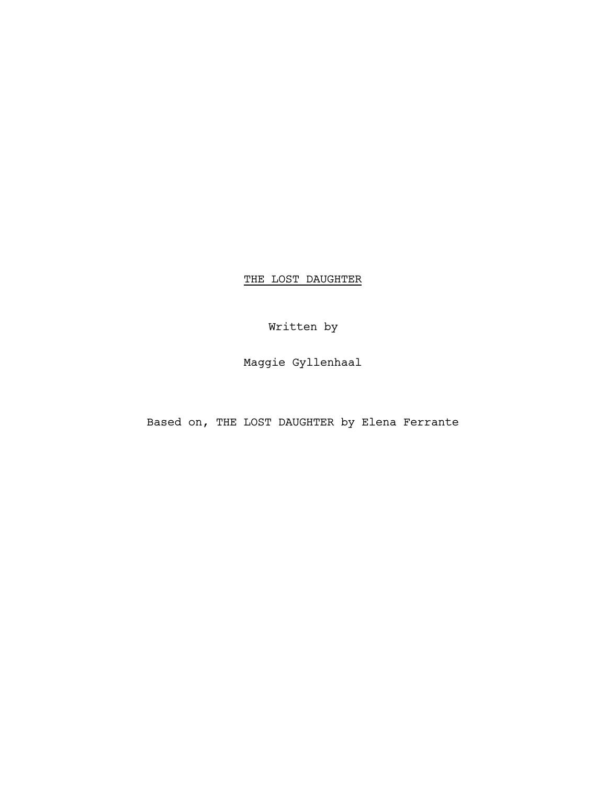THE LOST DAUGHTER

Written by

Maggie Gyllenhaal

Based on, THE LOST DAUGHTER by Elena Ferrante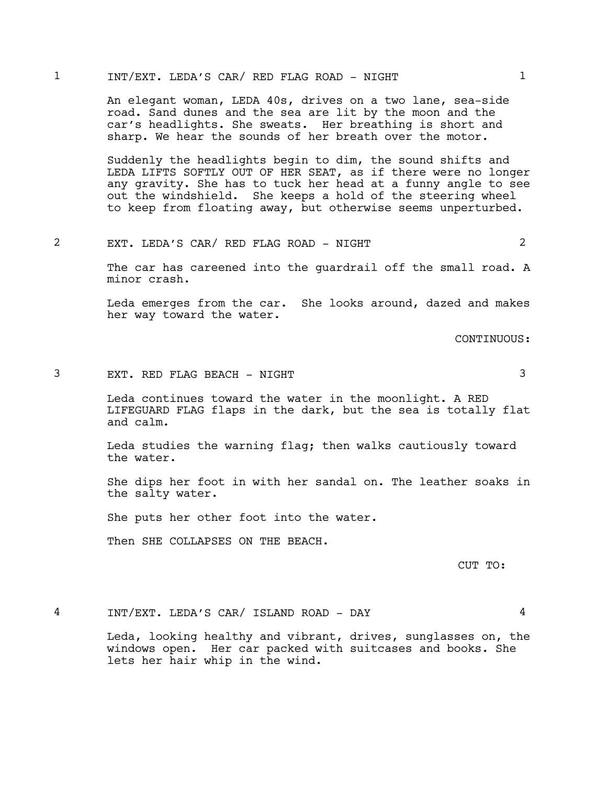### 1 INT/EXT. LEDA'S CAR/ RED FLAG ROAD - NIGHT 1

An elegant woman, LEDA 40s, drives on a two lane, sea-side road. Sand dunes and the sea are lit by the moon and the car's headlights. She sweats. Her breathing is short and sharp. We hear the sounds of her breath over the motor.

Suddenly the headlights begin to dim, the sound shifts and LEDA LIFTS SOFTLY OUT OF HER SEAT, as if there were no longer any gravity. She has to tuck her head at a funny angle to see out the windshield. She keeps a hold of the steering wheel to keep from floating away, but otherwise seems unperturbed.

2 EXT. LEDA'S CAR/ RED FLAG ROAD - NIGHT 2

The car has careened into the guardrail off the small road. A minor crash.

Leda emerges from the car. She looks around, dazed and makes her way toward the water.

CONTINUOUS:

# 3 EXT. RED FLAG BEACH - NIGHT 3

Leda continues toward the water in the moonlight. A RED LIFEGUARD FLAG flaps in the dark, but the sea is totally flat and calm.

Leda studies the warning flag; then walks cautiously toward the water.

She dips her foot in with her sandal on. The leather soaks in the salty water.

She puts her other foot into the water.

Then SHE COLLAPSES ON THE BEACH.

#### CUT TO:

4 INT/EXT. LEDA'S CAR/ ISLAND ROAD - DAY 4

Leda, looking healthy and vibrant, drives, sunglasses on, the windows open. Her car packed with suitcases and books. She lets her hair whip in the wind.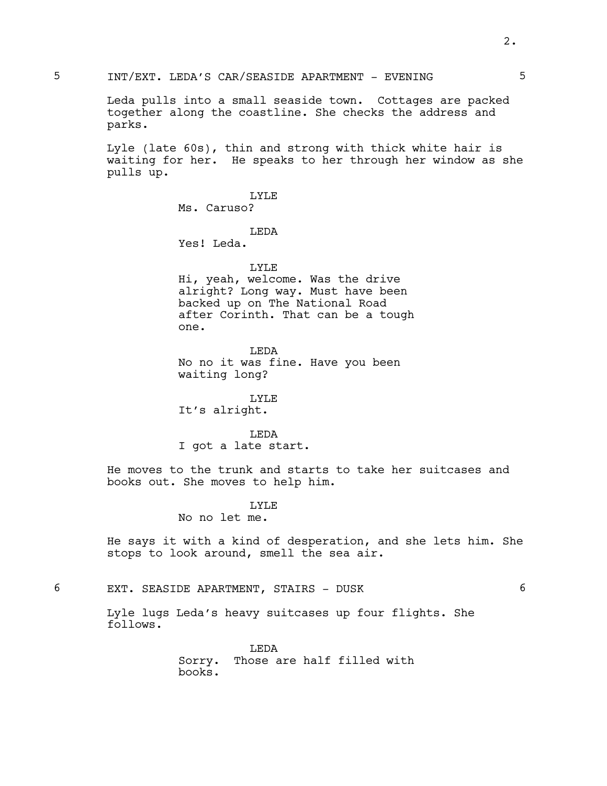Leda pulls into a small seaside town. Cottages are packed together along the coastline. She checks the address and parks.

Lyle (late 60s), thin and strong with thick white hair is waiting for her. He speaks to her through her window as she pulls up.

> LYLE Ms. Caruso?

### LEDA

Yes! Leda.

### LYLE

Hi, yeah, welcome. Was the drive alright? Long way. Must have been backed up on The National Road after Corinth. That can be a tough one.

LEDA No no it was fine. Have you been waiting long?

LYLE It's alright.

#### LEDA

I got a late start.

He moves to the trunk and starts to take her suitcases and books out. She moves to help him.

#### LYLE

No no let me.

He says it with a kind of desperation, and she lets him. She stops to look around, smell the sea air.

6 EXT. SEASIDE APARTMENT, STAIRS - DUSK 6

Lyle lugs Leda's heavy suitcases up four flights. She follows.

> **T.EDA** Sorry. Those are half filled with books.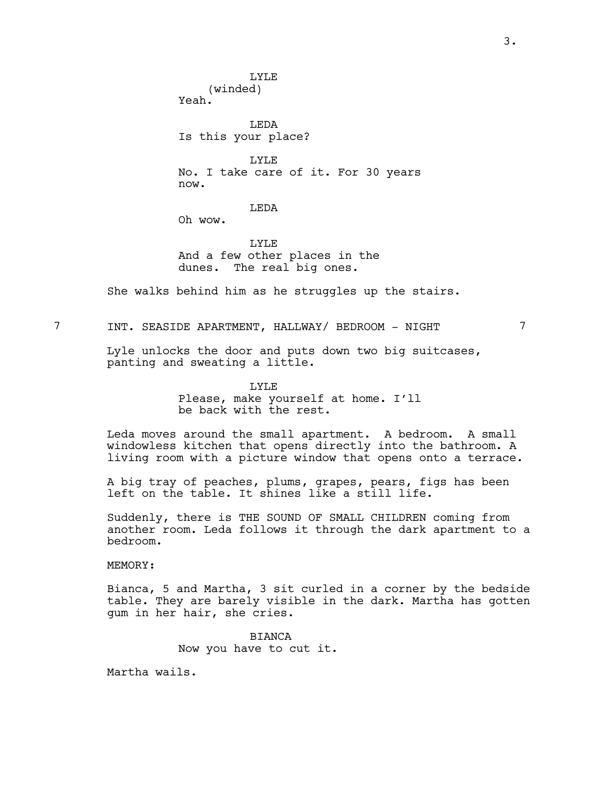(winded) Yeah. LEDA Is this your place? LYLE No. I take care of it. For 30 years now.

# **T.EDA**

LYLE

Oh wow.

LYLE And a few other places in the dunes. The real big ones.

She walks behind him as he struggles up the stairs.

7 INT. SEASIDE APARTMENT, HALLWAY/ BEDROOM - NIGHT 7

Lyle unlocks the door and puts down two big suitcases, panting and sweating a little.

> LYLE Please, make yourself at home. I'll be back with the rest.

Leda moves around the small apartment. A bedroom. A small windowless kitchen that opens directly into the bathroom. A living room with a picture window that opens onto a terrace.

A big tray of peaches, plums, grapes, pears, figs has been left on the table. It shines like a still life.

Suddenly, there is THE SOUND OF SMALL CHILDREN coming from another room. Leda follows it through the dark apartment to a bedroom.

MEMORY:

Bianca, 5 and Martha, 3 sit curled in a corner by the bedside table. They are barely visible in the dark. Martha has gotten gum in her hair, she cries.

> BIANCA Now you have to cut it.

Martha wails.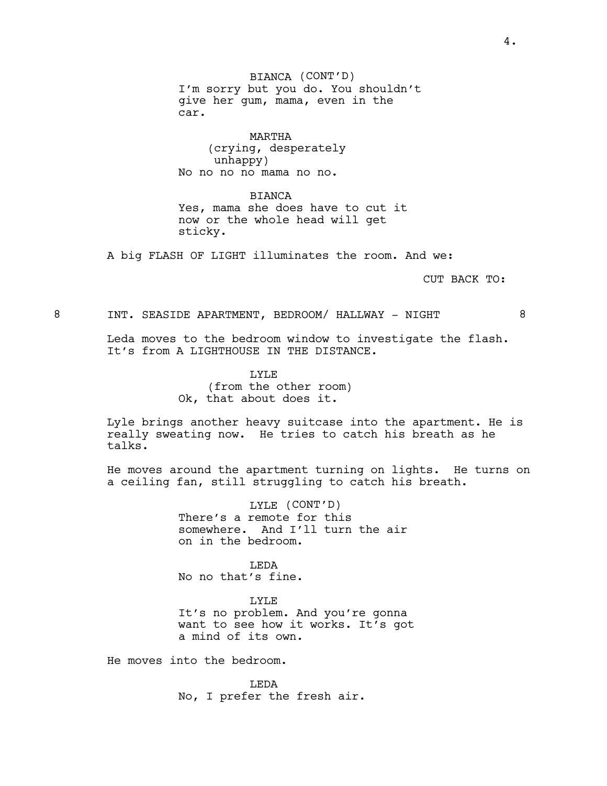BIANCA (CONT'D) I'm sorry but you do. You shouldn't give her gum, mama, even in the car.

MARTHA (crying, desperately unhappy) No no no no mama no no.

### BIANCA

Yes, mama she does have to cut it now or the whole head will get sticky.

A big FLASH OF LIGHT illuminates the room. And we:

CUT BACK TO:

### 8 INT. SEASIDE APARTMENT, BEDROOM/ HALLWAY - NIGHT 8

Leda moves to the bedroom window to investigate the flash. It's from A LIGHTHOUSE IN THE DISTANCE.

> LYLE (from the other room) Ok, that about does it.

Lyle brings another heavy suitcase into the apartment. He is really sweating now. He tries to catch his breath as he talks.

He moves around the apartment turning on lights. He turns on a ceiling fan, still struggling to catch his breath.

> LYLE (CONT'D) There's a remote for this somewhere. And I'll turn the air on in the bedroom.

LEDA No no that's fine.

LYLE It's no problem. And you're gonna want to see how it works. It's got a mind of its own.

He moves into the bedroom.

LEDA No, I prefer the fresh air.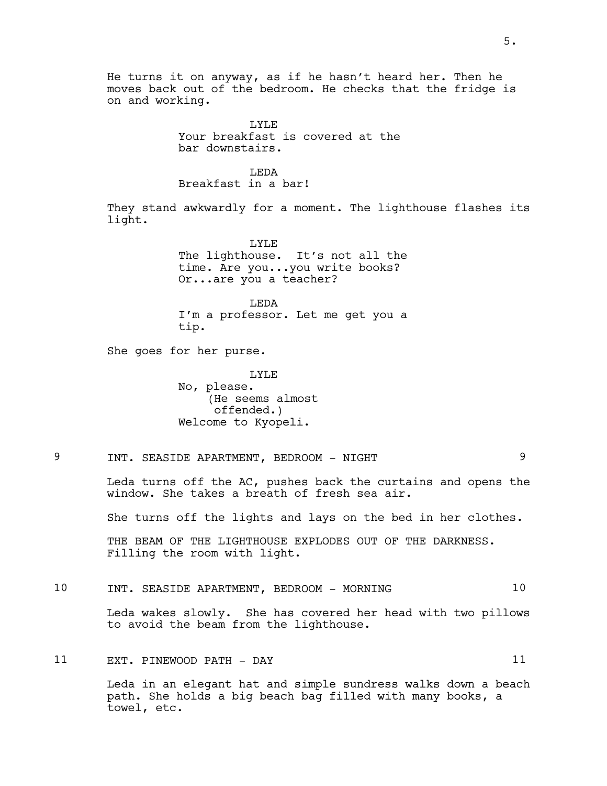He turns it on anyway, as if he hasn't heard her. Then he moves back out of the bedroom. He checks that the fridge is on and working.

> LYLE Your breakfast is covered at the bar downstairs.

**T.EDA** Breakfast in a bar!

They stand awkwardly for a moment. The lighthouse flashes its light.

> LYLE The lighthouse. It's not all the time. Are you...you write books? Or...are you a teacher?

> LEDA I'm a professor. Let me get you a tip.

She goes for her purse.

LYLE No, please. (He seems almost offended.) Welcome to Kyopeli.

9 INT. SEASIDE APARTMENT, BEDROOM - NIGHT 9

Leda turns off the AC, pushes back the curtains and opens the window. She takes a breath of fresh sea air.

She turns off the lights and lays on the bed in her clothes.

THE BEAM OF THE LIGHTHOUSE EXPLODES OUT OF THE DARKNESS. Filling the room with light.

10 INT. SEASIDE APARTMENT, BEDROOM - MORNING 10

Leda wakes slowly. She has covered her head with two pillows to avoid the beam from the lighthouse.

11 EXT. PINEWOOD PATH - DAY 11

Leda in an elegant hat and simple sundress walks down a beach path. She holds a big beach bag filled with many books, a towel, etc.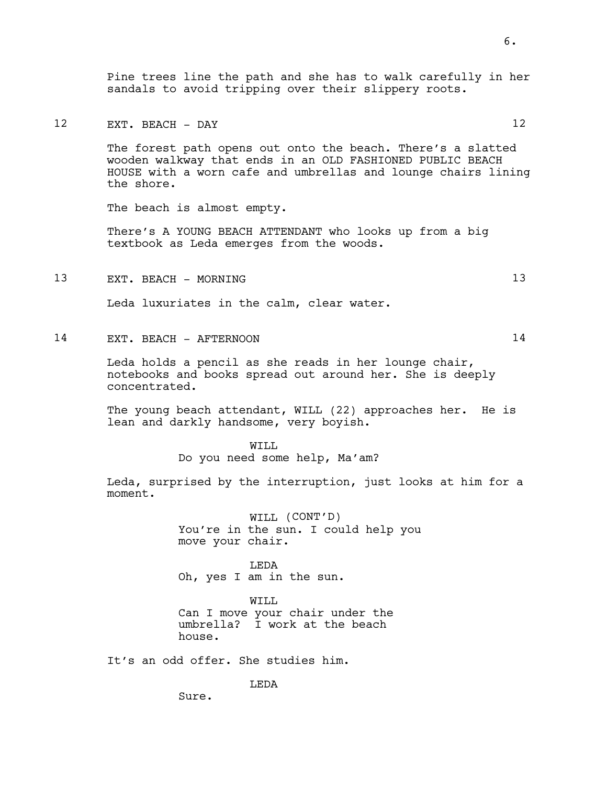Pine trees line the path and she has to walk carefully in her sandals to avoid tripping over their slippery roots.

# 12 EXT. BEACH - DAY 12

The forest path opens out onto the beach. There's a slatted wooden walkway that ends in an OLD FASHIONED PUBLIC BEACH HOUSE with a worn cafe and umbrellas and lounge chairs lining the shore.

The beach is almost empty.

There's A YOUNG BEACH ATTENDANT who looks up from a big textbook as Leda emerges from the woods.

13 EXT. BEACH - MORNING 13

Leda luxuriates in the calm, clear water.

14 EXT. BEACH - AFTERNOON 14

Leda holds a pencil as she reads in her lounge chair, notebooks and books spread out around her. She is deeply concentrated.

The young beach attendant, WILL (22) approaches her. He is lean and darkly handsome, very boyish.

> WTT.T. Do you need some help, Ma'am?

Leda, surprised by the interruption, just looks at him for a moment.

> WILL (CONT'D) You're in the sun. I could help you move your chair.

LEDA Oh, yes I am in the sun.

WILL Can I move your chair under the umbrella? I work at the beach house.

It's an odd offer. She studies him.

LEDA

Sure.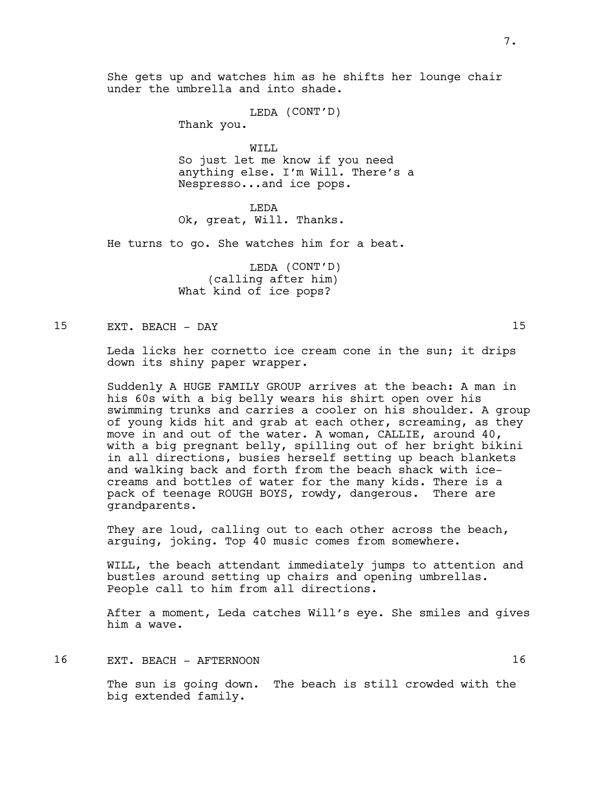She gets up and watches him as he shifts her lounge chair under the umbrella and into shade.

LEDA (CONT'D)

Thank you.

WILL So just let me know if you need anything else. I'm Will. There's a Nespresso...and ice pops.

LEDA Ok, great, Will. Thanks.

He turns to go. She watches him for a beat.

LEDA (CONT'D) (calling after him) What kind of ice pops?

# 15 EXT. BEACH - DAY 15

Leda licks her cornetto ice cream cone in the sun; it drips down its shiny paper wrapper.

Suddenly A HUGE FAMILY GROUP arrives at the beach: A man in his 60s with a big belly wears his shirt open over his swimming trunks and carries a cooler on his shoulder. A group of young kids hit and grab at each other, screaming, as they move in and out of the water. A woman, CALLIE, around 40, with a big pregnant belly, spilling out of her bright bikini in all directions, busies herself setting up beach blankets and walking back and forth from the beach shack with icecreams and bottles of water for the many kids. There is a pack of teenage ROUGH BOYS, rowdy, dangerous. There are grandparents.

They are loud, calling out to each other across the beach, arguing, joking. Top 40 music comes from somewhere.

WILL, the beach attendant immediately jumps to attention and bustles around setting up chairs and opening umbrellas. People call to him from all directions.

After a moment, Leda catches Will's eye. She smiles and gives him a wave.

# 16 EXT. BEACH - AFTERNOON 16

The sun is going down. The beach is still crowded with the big extended family.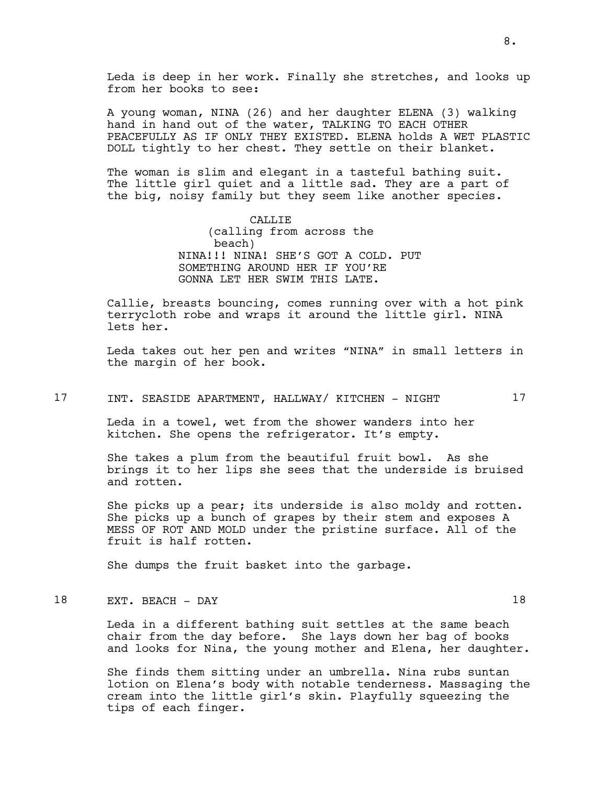A young woman, NINA (26) and her daughter ELENA (3) walking hand in hand out of the water, TALKING TO EACH OTHER PEACEFULLY AS IF ONLY THEY EXISTED. ELENA holds A WET PLASTIC DOLL tightly to her chest. They settle on their blanket.

The woman is slim and elegant in a tasteful bathing suit. The little girl quiet and a little sad. They are a part of the big, noisy family but they seem like another species.

> CALLIE (calling from across the beach) NINA!!! NINA! SHE'S GOT A COLD. PUT SOMETHING AROUND HER IF YOU'RE GONNA LET HER SWIM THIS LATE.

Callie, breasts bouncing, comes running over with a hot pink terrycloth robe and wraps it around the little girl. NINA lets her.

Leda takes out her pen and writes "NINA" in small letters in the margin of her book.

### 17 INT. SEASIDE APARTMENT, HALLWAY/ KITCHEN - NIGHT 17

from her books to see:

Leda in a towel, wet from the shower wanders into her kitchen. She opens the refrigerator. It's empty.

She takes a plum from the beautiful fruit bowl. As she brings it to her lips she sees that the underside is bruised and rotten.

She picks up a pear; its underside is also moldy and rotten. She picks up a bunch of grapes by their stem and exposes A MESS OF ROT AND MOLD under the pristine surface. All of the fruit is half rotten.

She dumps the fruit basket into the garbage.

# 18 EXT. BEACH - DAY 18

Leda in a different bathing suit settles at the same beach chair from the day before. She lays down her bag of books and looks for Nina, the young mother and Elena, her daughter.

She finds them sitting under an umbrella. Nina rubs suntan lotion on Elena's body with notable tenderness. Massaging the cream into the little girl's skin. Playfully squeezing the tips of each finger.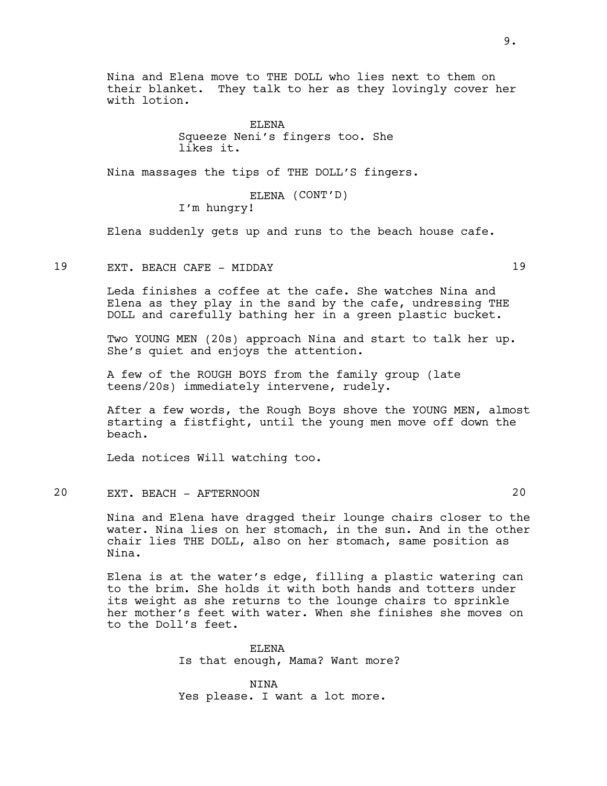Nina and Elena move to THE DOLL who lies next to them on their blanket. They talk to her as they lovingly cover her with lotion.

> ELENA Squeeze Neni's fingers too. She likes it.

Nina massages the tips of THE DOLL'S fingers.

ELENA (CONT'D)

I'm hungry!

Elena suddenly gets up and runs to the beach house cafe.

19 EXT. BEACH CAFE - MIDDAY 19

Leda finishes a coffee at the cafe. She watches Nina and Elena as they play in the sand by the cafe, undressing THE DOLL and carefully bathing her in a green plastic bucket.

Two YOUNG MEN (20s) approach Nina and start to talk her up. She's quiet and enjoys the attention.

A few of the ROUGH BOYS from the family group (late teens/20s) immediately intervene, rudely.

After a few words, the Rough Boys shove the YOUNG MEN, almost starting a fistfight, until the young men move off down the beach.

Leda notices Will watching too.

20 EXT. BEACH - AFTERNOON 20

Nina and Elena have dragged their lounge chairs closer to the water. Nina lies on her stomach, in the sun. And in the other chair lies THE DOLL, also on her stomach, same position as Nina.

Elena is at the water's edge, filling a plastic watering can to the brim. She holds it with both hands and totters under its weight as she returns to the lounge chairs to sprinkle her mother's feet with water. When she finishes she moves on to the Doll's feet.

> ELENA Is that enough, Mama? Want more?

NINA Yes please. I want a lot more.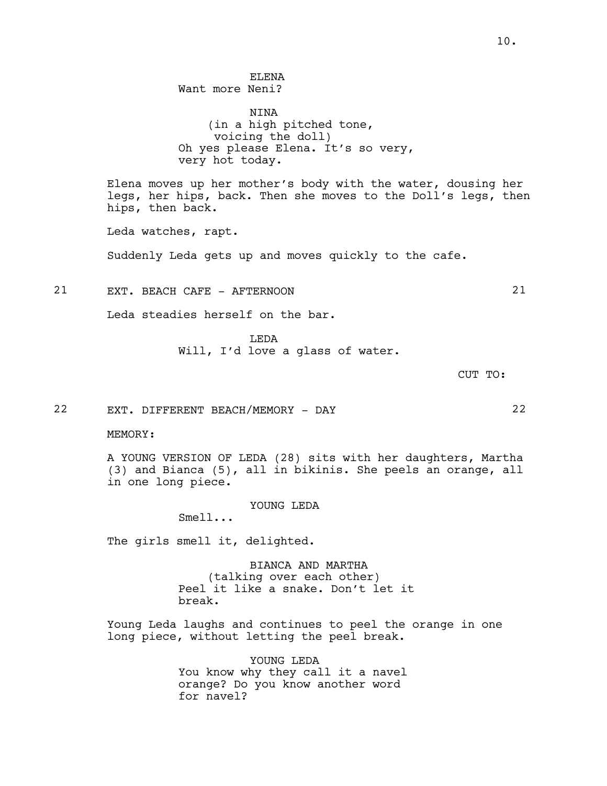**NTNA** (in a high pitched tone, voicing the doll) Oh yes please Elena. It's so very, very hot today.

Elena moves up her mother's body with the water, dousing her legs, her hips, back. Then she moves to the Doll's legs, then hips, then back.

Leda watches, rapt.

Suddenly Leda gets up and moves quickly to the cafe.

21 EXT. BEACH CAFE - AFTERNOON 21

Leda steadies herself on the bar.

**T.EDA** Will, I'd love a glass of water.

CUT TO:

22 EXT. DIFFERENT BEACH/MEMORY - DAY 22

MEMORY:

A YOUNG VERSION OF LEDA (28) sits with her daughters, Martha (3) and Bianca (5), all in bikinis. She peels an orange, all in one long piece.

YOUNG LEDA

Smell...

The girls smell it, delighted.

BIANCA AND MARTHA (talking over each other) Peel it like a snake. Don't let it break.

Young Leda laughs and continues to peel the orange in one long piece, without letting the peel break.

> YOUNG LEDA You know why they call it a navel orange? Do you know another word for navel?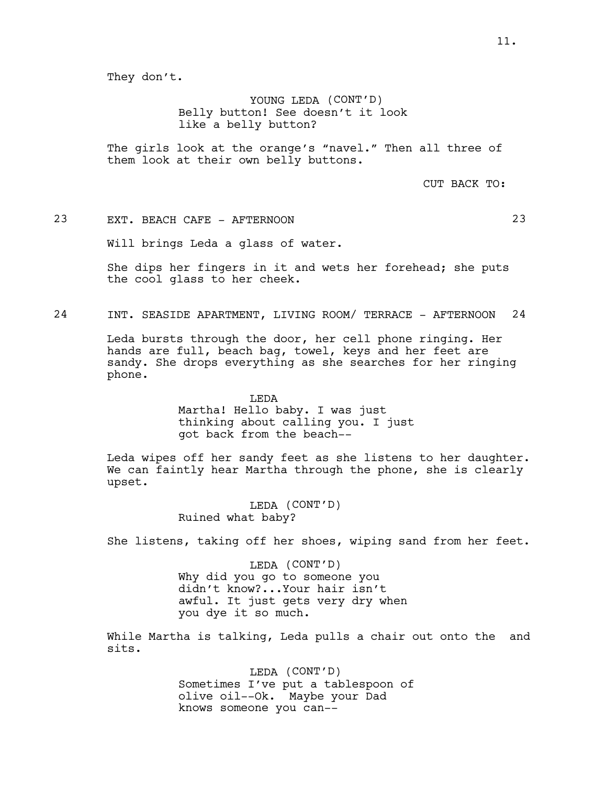YOUNG LEDA (CONT'D) Belly button! See doesn't it look like a belly button?

The girls look at the orange's "navel." Then all three of them look at their own belly buttons.

CUT BACK TO:

# 23 EXT. BEACH CAFE - AFTERNOON 23

Will brings Leda a glass of water.

She dips her fingers in it and wets her forehead; she puts the cool glass to her cheek.

24 INT. SEASIDE APARTMENT, LIVING ROOM/ TERRACE - AFTERNOON 24

Leda bursts through the door, her cell phone ringing. Her hands are full, beach bag, towel, keys and her feet are sandy. She drops everything as she searches for her ringing phone.

> LEDA Martha! Hello baby. I was just thinking about calling you. I just got back from the beach--

Leda wipes off her sandy feet as she listens to her daughter. We can faintly hear Martha through the phone, she is clearly upset.

> LEDA (CONT'D) Ruined what baby?

She listens, taking off her shoes, wiping sand from her feet.

LEDA (CONT'D) Why did you go to someone you didn't know?...Your hair isn't awful. It just gets very dry when you dye it so much.

While Martha is talking, Leda pulls a chair out onto the and sits.

> LEDA (CONT'D) Sometimes I've put a tablespoon of olive oil--Ok. Maybe your Dad knows someone you can--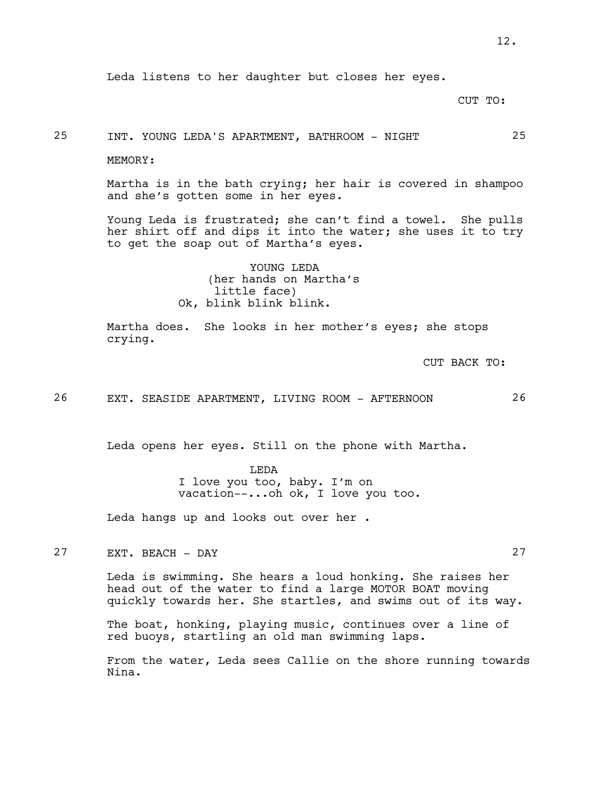CUT TO:

25 INT. YOUNG LEDA'S APARTMENT, BATHROOM - NIGHT 25

MEMORY:

Martha is in the bath crying; her hair is covered in shampoo and she's gotten some in her eyes.

Young Leda is frustrated; she can't find a towel. She pulls her shirt off and dips it into the water; she uses it to try to get the soap out of Martha's eyes.

> YOUNG LEDA (her hands on Martha's little face) Ok, blink blink blink.

Martha does. She looks in her mother's eyes; she stops crying.

CUT BACK TO:

26 EXT. SEASIDE APARTMENT, LIVING ROOM - AFTERNOON 26

Leda opens her eyes. Still on the phone with Martha.

LEDA I love you too, baby. I'm on vacation--...oh ok, I love you too.

Leda hangs up and looks out over her .

27 EXT. BEACH - DAY 27

Leda is swimming. She hears a loud honking. She raises her head out of the water to find a large MOTOR BOAT moving quickly towards her. She startles, and swims out of its way.

The boat, honking, playing music, continues over a line of red buoys, startling an old man swimming laps.

From the water, Leda sees Callie on the shore running towards Nina.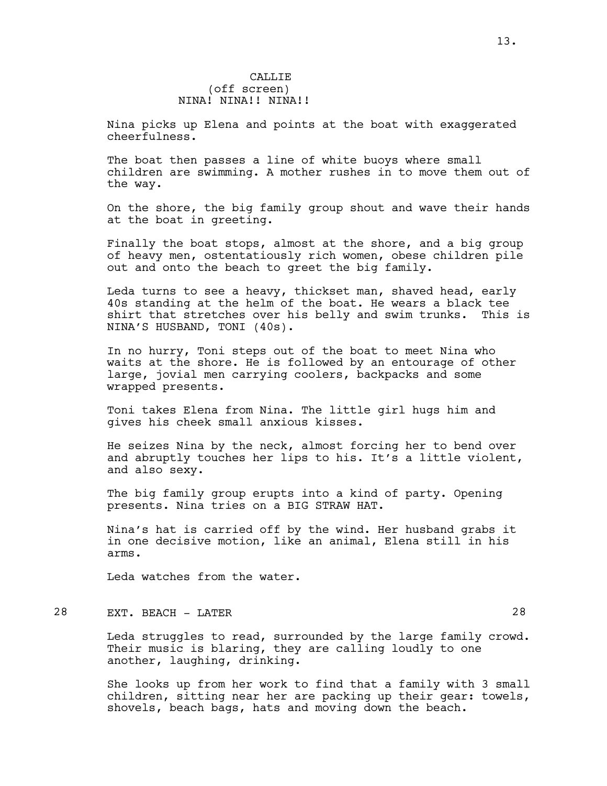Nina picks up Elena and points at the boat with exaggerated cheerfulness.

The boat then passes a line of white buoys where small children are swimming. A mother rushes in to move them out of the way.

On the shore, the big family group shout and wave their hands at the boat in greeting.

Finally the boat stops, almost at the shore, and a big group of heavy men, ostentatiously rich women, obese children pile out and onto the beach to greet the big family.

Leda turns to see a heavy, thickset man, shaved head, early 40s standing at the helm of the boat. He wears a black tee shirt that stretches over his belly and swim trunks. This is NINA'S HUSBAND, TONI (40s).

In no hurry, Toni steps out of the boat to meet Nina who waits at the shore. He is followed by an entourage of other large, jovial men carrying coolers, backpacks and some wrapped presents.

Toni takes Elena from Nina. The little girl hugs him and gives his cheek small anxious kisses.

He seizes Nina by the neck, almost forcing her to bend over and abruptly touches her lips to his. It's a little violent, and also sexy.

The big family group erupts into a kind of party. Opening presents. Nina tries on a BIG STRAW HAT.

Nina's hat is carried off by the wind. Her husband grabs it in one decisive motion, like an animal, Elena still in his arms.

Leda watches from the water.

# 28 EXT. BEACH - LATER 28

Leda struggles to read, surrounded by the large family crowd. Their music is blaring, they are calling loudly to one another, laughing, drinking.

She looks up from her work to find that a family with 3 small children, sitting near her are packing up their gear: towels, shovels, beach bags, hats and moving down the beach.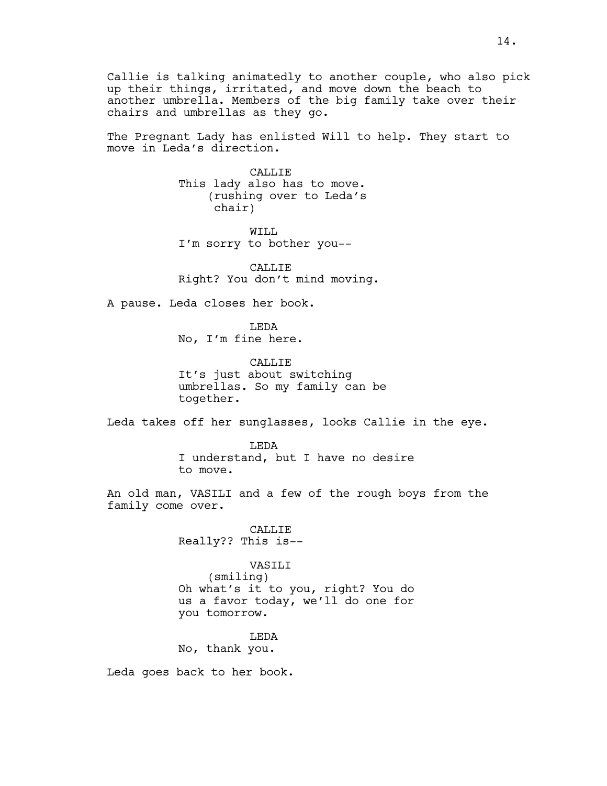Callie is talking animatedly to another couple, who also pick up their things, irritated, and move down the beach to another umbrella. Members of the big family take over their chairs and umbrellas as they go.

The Pregnant Lady has enlisted Will to help. They start to move in Leda's direction.

> CALLIE This lady also has to move. (rushing over to Leda's chair)

WTT.T. I'm sorry to bother you--

CALLIE Right? You don't mind moving.

A pause. Leda closes her book.

LEDA No, I'm fine here.

**CALLIE** It's just about switching umbrellas. So my family can be together.

Leda takes off her sunglasses, looks Callie in the eye.

**T.EDA** I understand, but I have no desire to move.

An old man, VASILI and a few of the rough boys from the family come over.

> CALLIE Really?? This is--

VASILI (smiling) Oh what's it to you, right? You do us a favor today, we'll do one for you tomorrow.

LEDA No, thank you.

Leda goes back to her book.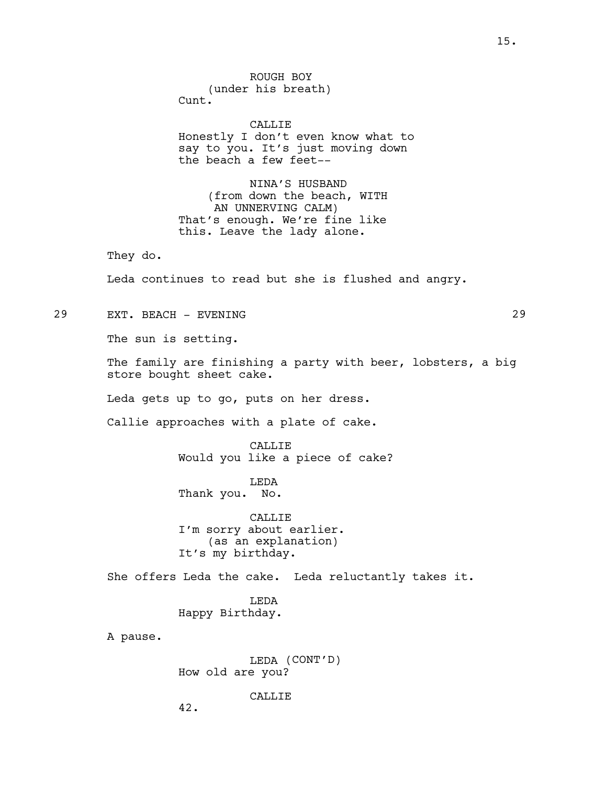ROUGH BOY (under his breath)

Cunt.

CALLIE Honestly I don't even know what to say to you. It's just moving down the beach a few feet--

NINA'S HUSBAND (from down the beach, WITH AN UNNERVING CALM) That's enough. We're fine like this. Leave the lady alone.

They do.

Leda continues to read but she is flushed and angry.

29 EXT. BEACH - EVENING 29

The sun is setting.

The family are finishing a party with beer, lobsters, a big store bought sheet cake.

Leda gets up to go, puts on her dress.

Callie approaches with a plate of cake.

CALLIE Would you like a piece of cake?

LEDA Thank you. No.

CALLIE I'm sorry about earlier. (as an explanation) It's my birthday.

She offers Leda the cake. Leda reluctantly takes it.

LEDA Happy Birthday.

A pause.

LEDA (CONT'D) How old are you?

CALLIE

42.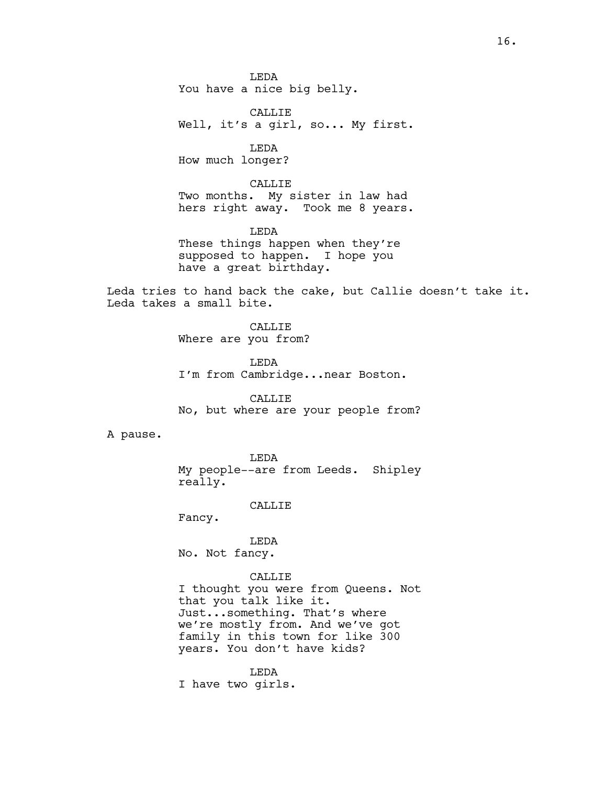LEDA You have a nice big belly.

CALLIE Well, it's a girl, so... My first.

LEDA How much longer?

CALLIE Two months. My sister in law had hers right away. Took me 8 years.

LEDA These things happen when they're supposed to happen. I hope you have a great birthday.

Leda tries to hand back the cake, but Callie doesn't take it. Leda takes a small bite.

> CALLIE Where are you from?

**T.EDA** I'm from Cambridge...near Boston.

CALLIE No, but where are your people from?

### A pause.

LEDA My people--are from Leeds. Shipley really.

CALLIE

Fancy.

LEDA No. Not fancy.

CALLIE I thought you were from Queens. Not that you talk like it. Just...something. That's where we're mostly from. And we've got family in this town for like 300 years. You don't have kids?

LEDA I have two girls.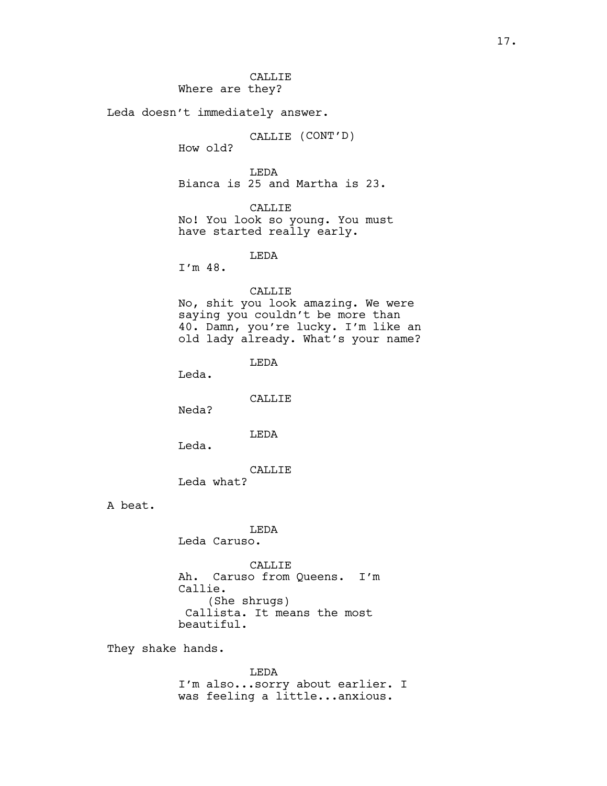Leda doesn't immediately answer.

```
CALLIE (CONT'D)
```
How old?

LEDA Bianca is 25 and Martha is 23.

CALLIE No! You look so young. You must have started really early.

LEDA

I'm 48.

#### CALLIE

No, shit you look amazing. We were saying you couldn't be more than 40. Damn, you're lucky. I'm like an old lady already. What's your name?

LEDA

Leda.

CALLIE

Neda?

LEDA

Leda.

CALLIE

Leda what?

A beat.

LEDA Leda Caruso.

CALLIE Ah. Caruso from Queens. I'm Callie. (She shrugs) Callista. It means the most beautiful.

They shake hands.

LEDA I'm also...sorry about earlier. I was feeling a little...anxious.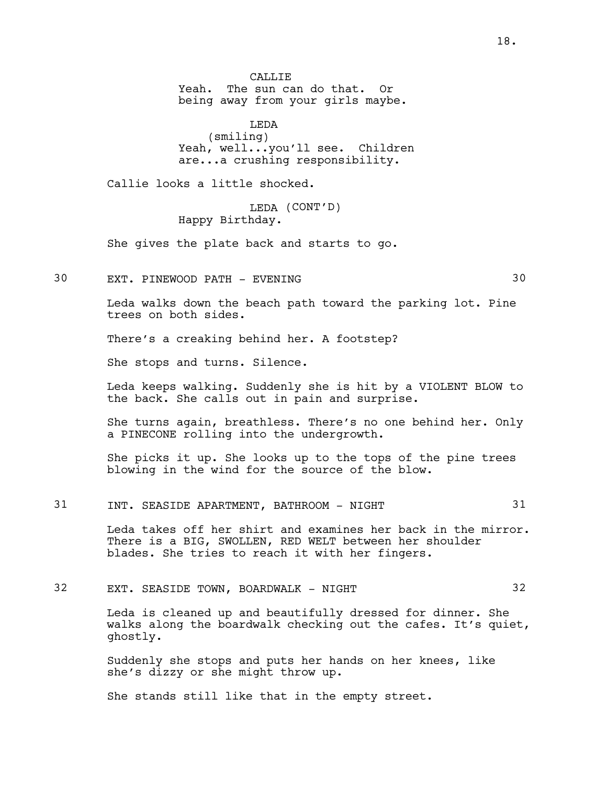**CALLIE** 

Yeah. The sun can do that. Or being away from your girls maybe.

LEDA (smiling) Yeah, well...you'll see. Children are...a crushing responsibility.

Callie looks a little shocked.

LEDA (CONT'D) Happy Birthday.

She gives the plate back and starts to go.

30 EXT. PINEWOOD PATH - EVENING 30

Leda walks down the beach path toward the parking lot. Pine trees on both sides.

There's a creaking behind her. A footstep?

She stops and turns. Silence.

Leda keeps walking. Suddenly she is hit by a VIOLENT BLOW to the back. She calls out in pain and surprise.

She turns again, breathless. There's no one behind her. Only a PINECONE rolling into the undergrowth.

She picks it up. She looks up to the tops of the pine trees blowing in the wind for the source of the blow.

# 31 INT. SEASIDE APARTMENT, BATHROOM - NIGHT 31

Leda takes off her shirt and examines her back in the mirror. There is a BIG, SWOLLEN, RED WELT between her shoulder blades. She tries to reach it with her fingers.

# 32 EXT. SEASIDE TOWN, BOARDWALK - NIGHT 32

Leda is cleaned up and beautifully dressed for dinner. She walks along the boardwalk checking out the cafes. It's quiet, ghostly.

Suddenly she stops and puts her hands on her knees, like she's dizzy or she might throw up.

She stands still like that in the empty street.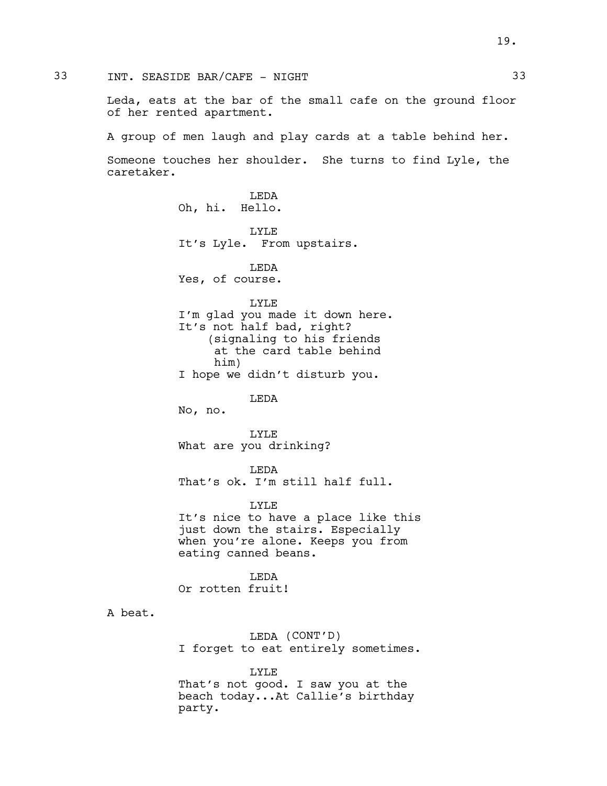A beat.

Leda, eats at the bar of the small cafe on the ground floor of her rented apartment.

A group of men laugh and play cards at a table behind her.

Someone touches her shoulder. She turns to find Lyle, the caretaker.

> LEDA Oh, hi. Hello. LYLE It's Lyle. From upstairs. LEDA Yes, of course. LYLE I'm glad you made it down here. It's not half bad, right? (signaling to his friends at the card table behind him) I hope we didn't disturb you. LEDA No, no. LYLE What are you drinking? LEDA That's ok. I'm still half full. LYLE It's nice to have a place like this just down the stairs. Especially when you're alone. Keeps you from eating canned beans. **T.EDA** Or rotten fruit! LEDA (CONT'D)

I forget to eat entirely sometimes.

LYLE That's not good. I saw you at the beach today...At Callie's birthday party.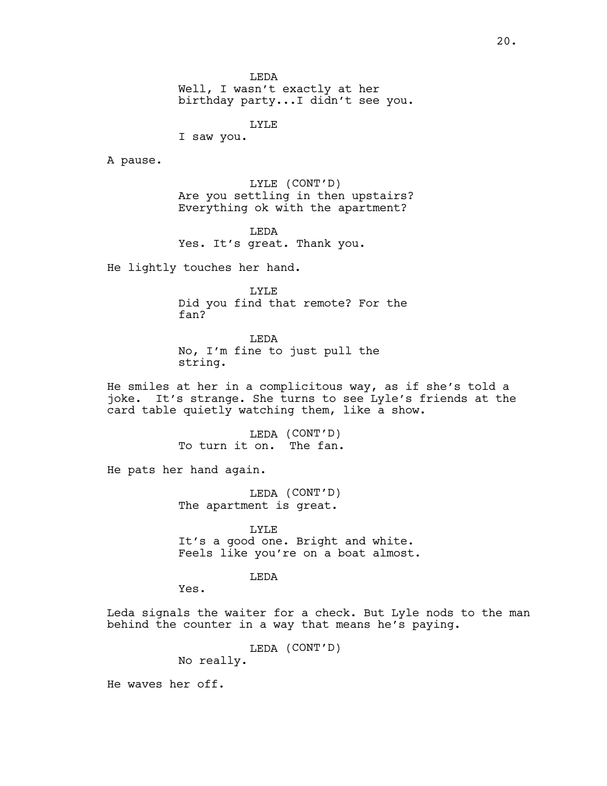**T.EDA** 

Well, I wasn't exactly at her birthday party...I didn't see you.

LYLE

I saw you.

A pause.

LYLE (CONT'D) Are you settling in then upstairs? Everything ok with the apartment?

**T.EDA** Yes. It's great. Thank you.

He lightly touches her hand.

LYLE Did you find that remote? For the fan?

LEDA No, I'm fine to just pull the string.

He smiles at her in a complicitous way, as if she's told a joke. It's strange. She turns to see Lyle's friends at the card table quietly watching them, like a show.

> LEDA (CONT'D) To turn it on. The fan.

He pats her hand again.

LEDA (CONT'D) The apartment is great.

LYLE It's a good one. Bright and white. Feels like you're on a boat almost.

# **T.EDA**

Yes.

Leda signals the waiter for a check. But Lyle nods to the man behind the counter in a way that means he's paying.

LEDA (CONT'D)

No really.

He waves her off.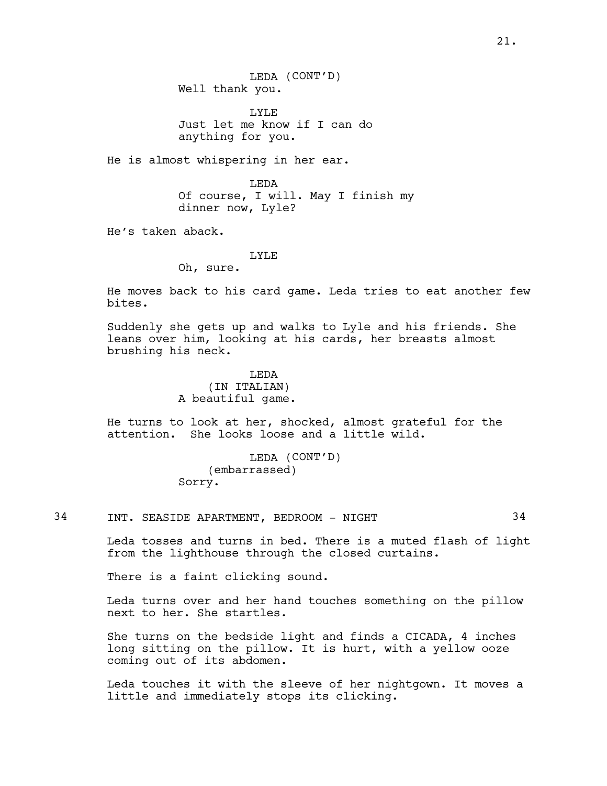LYLE Just let me know if I can do anything for you.

He is almost whispering in her ear.

LEDA Of course, I will. May I finish my dinner now, Lyle?

He's taken aback.

### LYLE

Oh, sure.

He moves back to his card game. Leda tries to eat another few bites.

Suddenly she gets up and walks to Lyle and his friends. She leans over him, looking at his cards, her breasts almost brushing his neck.

### LEDA

(IN ITALIAN) A beautiful game.

He turns to look at her, shocked, almost grateful for the attention. She looks loose and a little wild.

> LEDA (CONT'D) (embarrassed) Sorry.

### 34 INT. SEASIDE APARTMENT, BEDROOM - NIGHT 34

Leda tosses and turns in bed. There is a muted flash of light from the lighthouse through the closed curtains.

There is a faint clicking sound.

Leda turns over and her hand touches something on the pillow next to her. She startles.

She turns on the bedside light and finds a CICADA, 4 inches long sitting on the pillow. It is hurt, with a yellow ooze coming out of its abdomen.

Leda touches it with the sleeve of her nightgown. It moves a little and immediately stops its clicking.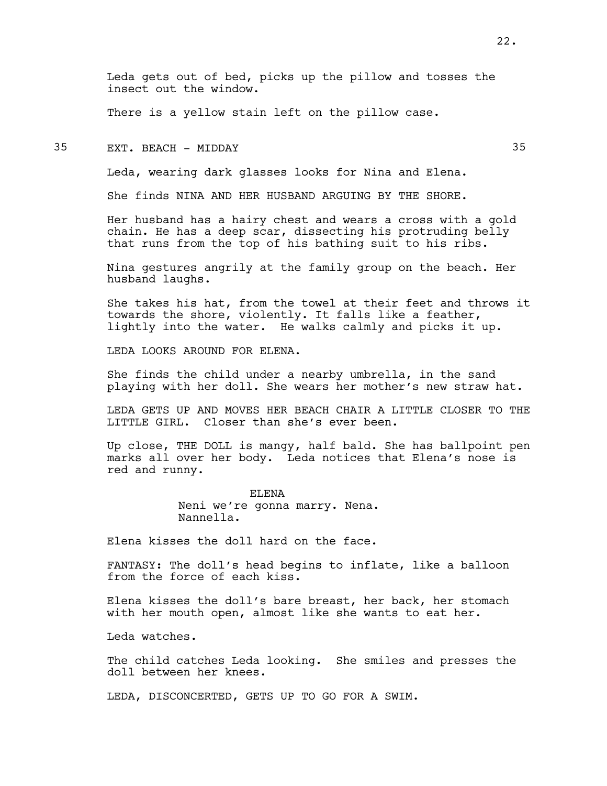Leda gets out of bed, picks up the pillow and tosses the insect out the window.

There is a yellow stain left on the pillow case.

35 EXT. BEACH - MIDDAY 35

Leda, wearing dark glasses looks for Nina and Elena.

She finds NINA AND HER HUSBAND ARGUING BY THE SHORE.

Her husband has a hairy chest and wears a cross with a gold chain. He has a deep scar, dissecting his protruding belly that runs from the top of his bathing suit to his ribs.

Nina gestures angrily at the family group on the beach. Her husband laughs.

She takes his hat, from the towel at their feet and throws it towards the shore, violently. It falls like a feather, lightly into the water. He walks calmly and picks it up.

LEDA LOOKS AROUND FOR ELENA.

She finds the child under a nearby umbrella, in the sand playing with her doll. She wears her mother's new straw hat.

LEDA GETS UP AND MOVES HER BEACH CHAIR A LITTLE CLOSER TO THE LITTLE GIRL. Closer than she's ever been.

Up close, THE DOLL is mangy, half bald. She has ballpoint pen marks all over her body. Leda notices that Elena's nose is red and runny.

> ELENA Neni we're gonna marry. Nena. Nannella.

Elena kisses the doll hard on the face.

FANTASY: The doll's head begins to inflate, like a balloon from the force of each kiss.

Elena kisses the doll's bare breast, her back, her stomach with her mouth open, almost like she wants to eat her.

Leda watches.

The child catches Leda looking. She smiles and presses the doll between her knees.

LEDA, DISCONCERTED, GETS UP TO GO FOR A SWIM.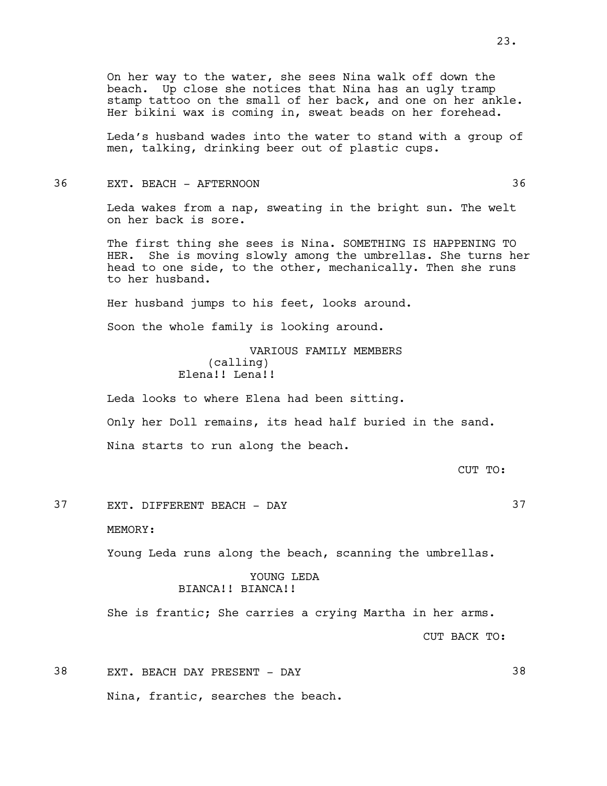On her way to the water, she sees Nina walk off down the beach. Up close she notices that Nina has an ugly tramp stamp tattoo on the small of her back, and one on her ankle. Her bikini wax is coming in, sweat beads on her forehead.

Leda's husband wades into the water to stand with a group of men, talking, drinking beer out of plastic cups.

36 EXT. BEACH - AFTERNOON 36

Leda wakes from a nap, sweating in the bright sun. The welt on her back is sore.

The first thing she sees is Nina. SOMETHING IS HAPPENING TO HER. She is moving slowly among the umbrellas. She turns her head to one side, to the other, mechanically. Then she runs to her husband.

Her husband jumps to his feet, looks around.

Soon the whole family is looking around.

VARIOUS FAMILY MEMBERS (calling) Elena!! Lena!!

Leda looks to where Elena had been sitting.

Only her Doll remains, its head half buried in the sand.

Nina starts to run along the beach.

CUT TO:

37 EXT. DIFFERENT BEACH - DAY 37

MEMORY:

Young Leda runs along the beach, scanning the umbrellas.

# YOUNG LEDA BIANCA!! BIANCA!!

She is frantic; She carries a crying Martha in her arms.

CUT BACK TO:

38 EXT. BEACH DAY PRESENT - DAY 38 Nina, frantic, searches the beach.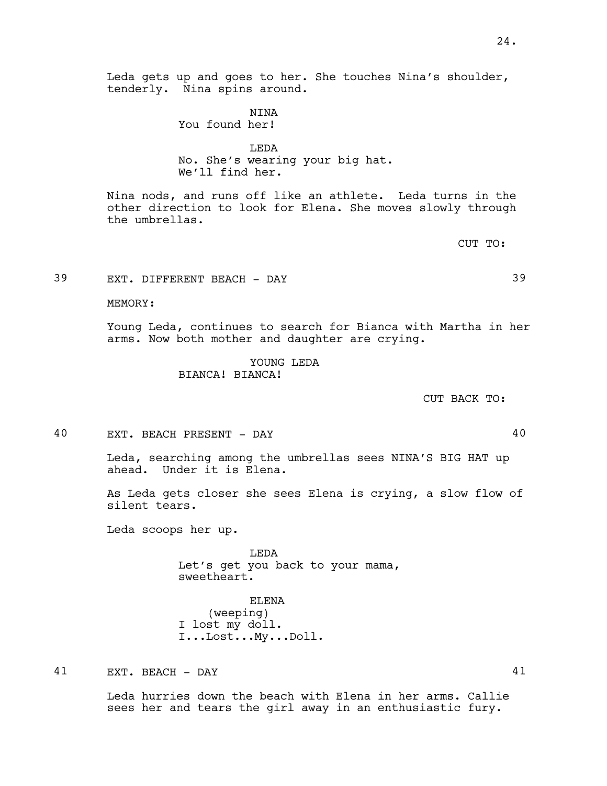Leda gets up and goes to her. She touches Nina's shoulder, tenderly. Nina spins around.

> NINA You found her!

LEDA No. She's wearing your big hat. We'll find her.

Nina nods, and runs off like an athlete. Leda turns in the other direction to look for Elena. She moves slowly through the umbrellas.

CUT TO:

39 EXT. DIFFERENT BEACH - DAY 39

MEMORY:

Young Leda, continues to search for Bianca with Martha in her arms. Now both mother and daughter are crying.

> YOUNG LEDA BIANCA! BIANCA!

> > CUT BACK TO:

40 EXT. BEACH PRESENT - DAY 40

Leda, searching among the umbrellas sees NINA'S BIG HAT up ahead. Under it is Elena.

As Leda gets closer she sees Elena is crying, a slow flow of silent tears.

Leda scoops her up.

LEDA Let's get you back to your mama, sweetheart.

ELENA (weeping) I lost my doll. I...Lost...My...Doll.

41 EXT. BEACH - DAY 41

Leda hurries down the beach with Elena in her arms. Callie sees her and tears the girl away in an enthusiastic fury.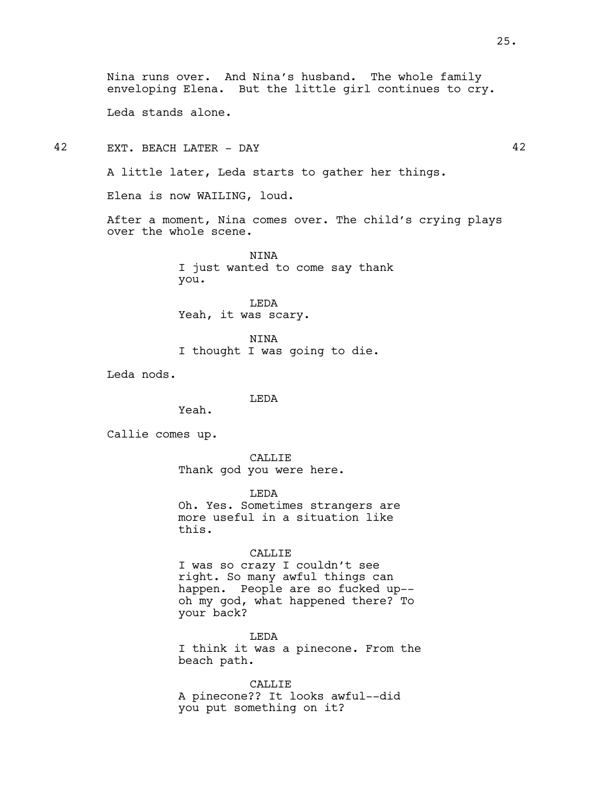Nina runs over. And Nina's husband. The whole family enveloping Elena. But the little girl continues to cry. Leda stands alone. 42 EXT. BEACH LATER - DAY 42 A little later, Leda starts to gather her things. Elena is now WAILING, loud. After a moment, Nina comes over. The child's crying plays over the whole scene. **NTNA** I just wanted to come say thank you. LEDA Yeah, it was scary. NINA I thought I was going to die. Leda nods. LEDA Yeah. Callie comes up. CALLIE Thank god you were here. LEDA Oh. Yes. Sometimes strangers are more useful in a situation like this. CALLIE I was so crazy I couldn't see right. So many awful things can

happen. People are so fucked up- oh my god, what happened there? To your back?

LEDA I think it was a pinecone. From the beach path.

CALLIE A pinecone?? It looks awful--did you put something on it?

25.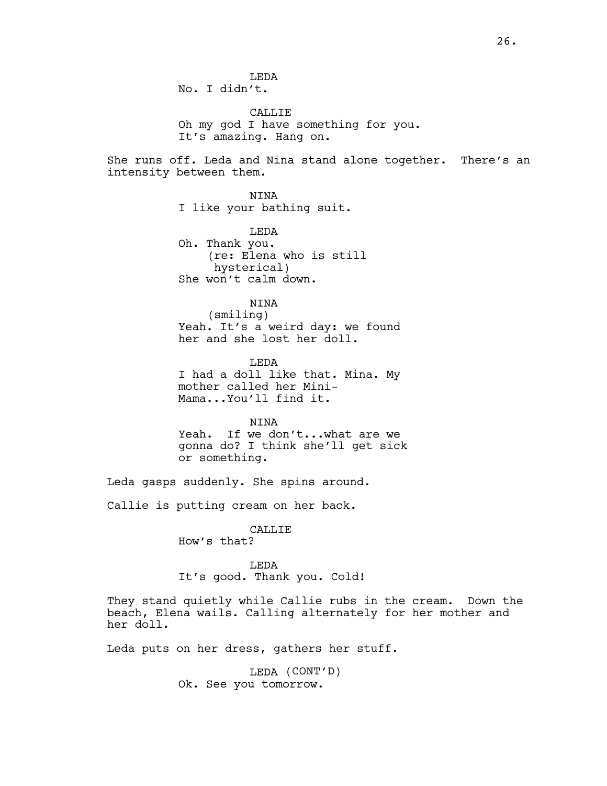**T.EDA** No. I didn't.

**CALLIE** Oh my god I have something for you. It's amazing. Hang on.

She runs off. Leda and Nina stand alone together. There's an intensity between them.

> NINA I like your bathing suit.

LEDA Oh. Thank you. (re: Elena who is still hysterical) She won't calm down.

### **NTNA**

(smiling) Yeah. It's a weird day: we found her and she lost her doll.

**T.EDA** I had a doll like that. Mina. My mother called her Mini-Mama...You'll find it.

### NINA

Yeah. If we don't...what are we gonna do? I think she'll get sick or something.

Leda gasps suddenly. She spins around.

Callie is putting cream on her back.

CALLIE How's that?

LEDA It's good. Thank you. Cold!

They stand quietly while Callie rubs in the cream. Down the beach, Elena wails. Calling alternately for her mother and her doll.

Leda puts on her dress, gathers her stuff.

LEDA (CONT'D) Ok. See you tomorrow.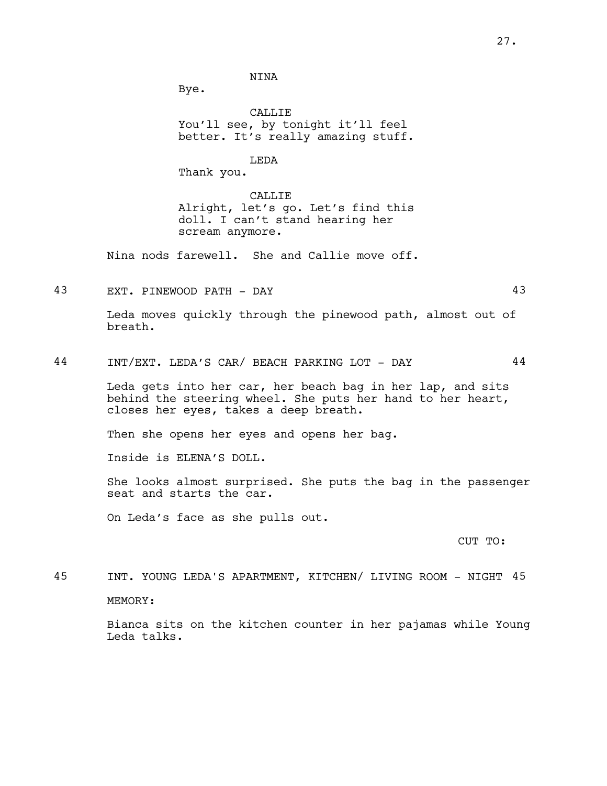NINA

Bye.

CALLIE You'll see, by tonight it'll feel better. It's really amazing stuff.

LEDA

Thank you.

CALLIE Alright, let's go. Let's find this doll. I can't stand hearing her scream anymore.

Nina nods farewell. She and Callie move off.

43 EXT. PINEWOOD PATH - DAY 43

Leda moves quickly through the pinewood path, almost out of breath.

44 INT/EXT. LEDA'S CAR/ BEACH PARKING LOT - DAY 44

Leda gets into her car, her beach bag in her lap, and sits behind the steering wheel. She puts her hand to her heart, closes her eyes, takes a deep breath.

Then she opens her eyes and opens her bag.

Inside is ELENA'S DOLL.

She looks almost surprised. She puts the bag in the passenger seat and starts the car.

On Leda's face as she pulls out.

CUT TO:

45 INT. YOUNG LEDA'S APARTMENT, KITCHEN/ LIVING ROOM - NIGHT 45 MEMORY:

> Bianca sits on the kitchen counter in her pajamas while Young Leda talks.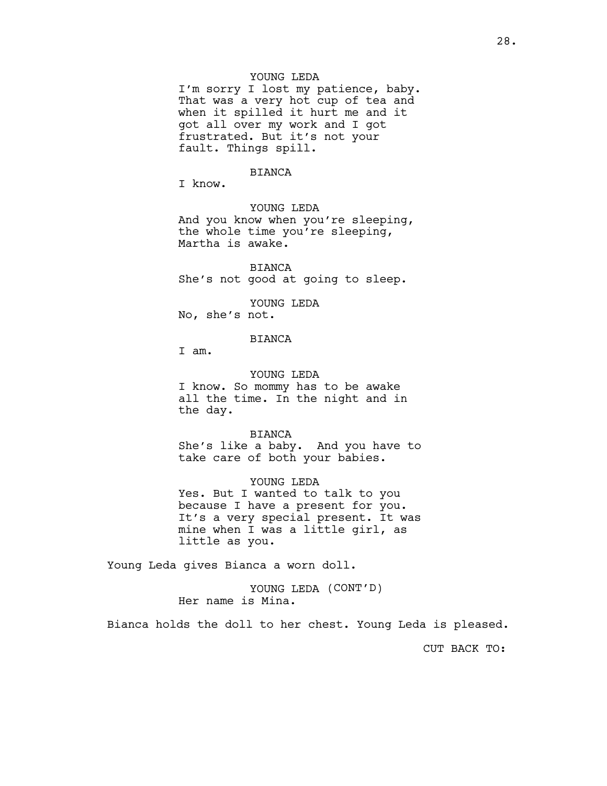# YOUNG LEDA

I'm sorry I lost my patience, baby. That was a very hot cup of tea and when it spilled it hurt me and it got all over my work and I got frustrated. But it's not your fault. Things spill.

### BIANCA

I know.

YOUNG LEDA And you know when you're sleeping, the whole time you're sleeping, Martha is awake.

BIANCA She's not good at going to sleep.

YOUNG LEDA

No, she's not.

### BIANCA

I am.

YOUNG LEDA I know. So mommy has to be awake all the time. In the night and in the day.

BIANCA She's like a baby. And you have to take care of both your babies.

YOUNG LEDA Yes. But I wanted to talk to you because I have a present for you. It's a very special present. It was mine when I was a little girl, as little as you.

Young Leda gives Bianca a worn doll.

YOUNG LEDA (CONT'D) Her name is Mina.

Bianca holds the doll to her chest. Young Leda is pleased.

CUT BACK TO: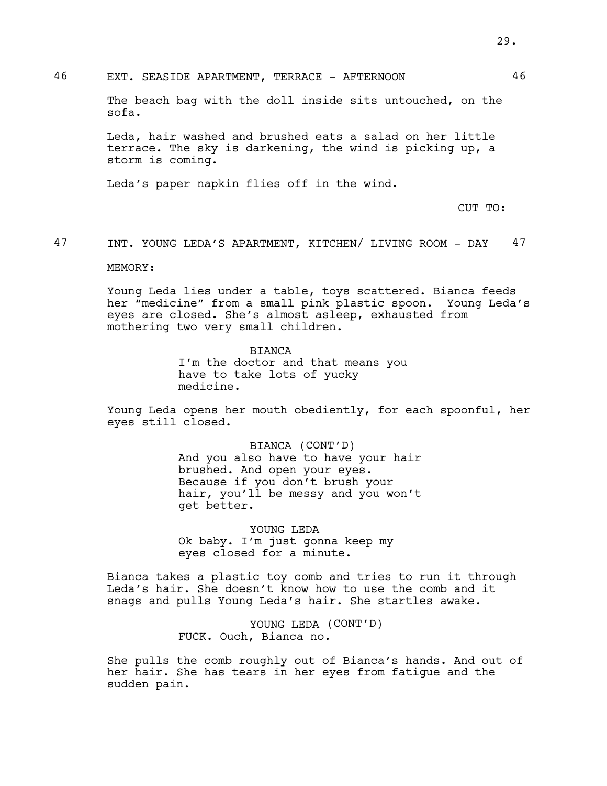The beach bag with the doll inside sits untouched, on the sofa.

Leda, hair washed and brushed eats a salad on her little terrace. The sky is darkening, the wind is picking up, a storm is coming.

Leda's paper napkin flies off in the wind.

CUT TO:

47 INT. YOUNG LEDA'S APARTMENT, KITCHEN/ LIVING ROOM - DAY 47

### MEMORY:

Young Leda lies under a table, toys scattered. Bianca feeds her "medicine" from a small pink plastic spoon. Young Leda's eyes are closed. She's almost asleep, exhausted from mothering two very small children.

> BIANCA I'm the doctor and that means you have to take lots of yucky medicine.

Young Leda opens her mouth obediently, for each spoonful, her eyes still closed.

> BIANCA (CONT'D) And you also have to have your hair brushed. And open your eyes. Because if you don't brush your hair, you'll be messy and you won't get better.

YOUNG LEDA Ok baby. I'm just gonna keep my eyes closed for a minute.

Bianca takes a plastic toy comb and tries to run it through Leda's hair. She doesn't know how to use the comb and it snags and pulls Young Leda's hair. She startles awake.

> YOUNG LEDA (CONT'D) FUCK. Ouch, Bianca no.

She pulls the comb roughly out of Bianca's hands. And out of her hair. She has tears in her eyes from fatigue and the sudden pain.

29.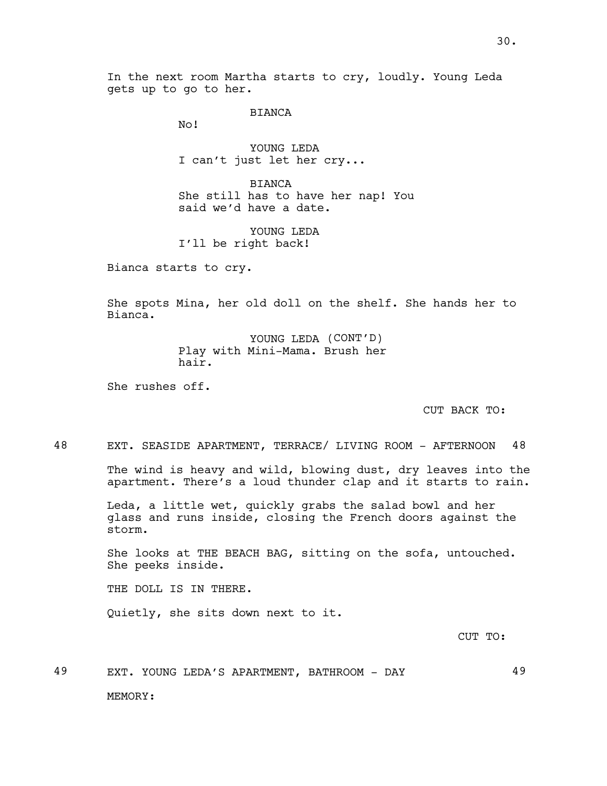In the next room Martha starts to cry, loudly. Young Leda gets up to go to her.

BIANCA

No!

YOUNG LEDA I can't just let her cry...

BIANCA She still has to have her nap! You said we'd have a date.

YOUNG LEDA I'll be right back!

Bianca starts to cry.

She spots Mina, her old doll on the shelf. She hands her to Bianca.

> YOUNG LEDA (CONT'D) Play with Mini-Mama. Brush her hair.

She rushes off.

CUT BACK TO:

48 EXT. SEASIDE APARTMENT, TERRACE/ LIVING ROOM - AFTERNOON 48

The wind is heavy and wild, blowing dust, dry leaves into the apartment. There's a loud thunder clap and it starts to rain.

Leda, a little wet, quickly grabs the salad bowl and her glass and runs inside, closing the French doors against the storm.

She looks at THE BEACH BAG, sitting on the sofa, untouched. She peeks inside.

THE DOLL IS IN THERE.

Quietly, she sits down next to it.

CUT TO:

49 EXT. YOUNG LEDA'S APARTMENT, BATHROOM - DAY 49 MEMORY: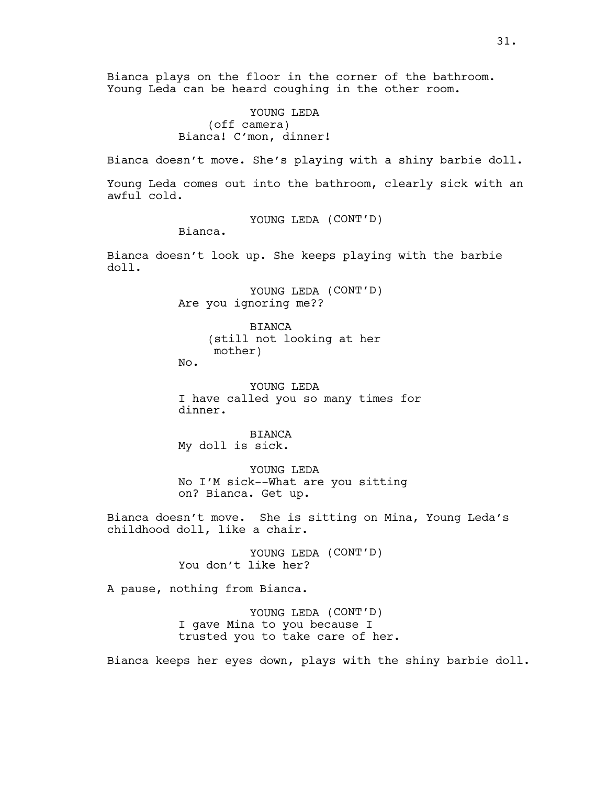Bianca plays on the floor in the corner of the bathroom. Young Leda can be heard coughing in the other room.

> YOUNG LEDA (off camera) Bianca! C'mon, dinner!

Bianca doesn't move. She's playing with a shiny barbie doll.

Young Leda comes out into the bathroom, clearly sick with an awful cold.

YOUNG LEDA (CONT'D)

Bianca.

Bianca doesn't look up. She keeps playing with the barbie doll.

> YOUNG LEDA (CONT'D) Are you ignoring me??

> > BIANCA (still not looking at her mother)

No.

YOUNG LEDA I have called you so many times for dinner.

BIANCA My doll is sick.

YOUNG LEDA No I'M sick--What are you sitting on? Bianca. Get up.

Bianca doesn't move. She is sitting on Mina, Young Leda's childhood doll, like a chair.

> YOUNG LEDA (CONT'D) You don't like her?

A pause, nothing from Bianca.

YOUNG LEDA (CONT'D) I gave Mina to you because I trusted you to take care of her.

Bianca keeps her eyes down, plays with the shiny barbie doll.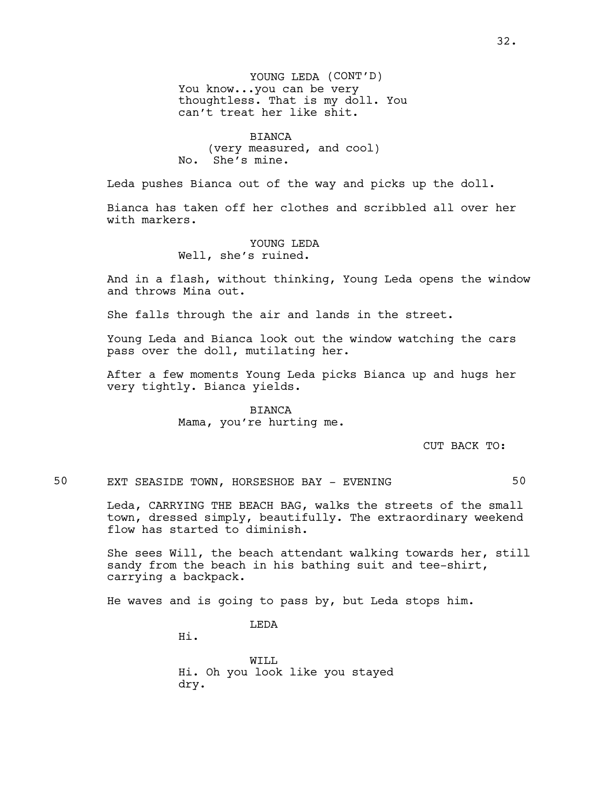YOUNG LEDA (CONT'D) You know...you can be very thoughtless. That is my doll. You can't treat her like shit.

BIANCA (very measured, and cool) No. She's mine.

Leda pushes Bianca out of the way and picks up the doll.

Bianca has taken off her clothes and scribbled all over her with markers.

> YOUNG LEDA Well, she's ruined.

And in a flash, without thinking, Young Leda opens the window and throws Mina out.

She falls through the air and lands in the street.

Young Leda and Bianca look out the window watching the cars pass over the doll, mutilating her.

After a few moments Young Leda picks Bianca up and hugs her very tightly. Bianca yields.

> BIANCA Mama, you're hurting me.

#### CUT BACK TO:

50 EXT SEASIDE TOWN, HORSESHOE BAY - EVENING 50

Leda, CARRYING THE BEACH BAG, walks the streets of the small town, dressed simply, beautifully. The extraordinary weekend flow has started to diminish.

She sees Will, the beach attendant walking towards her, still sandy from the beach in his bathing suit and tee-shirt, carrying a backpack.

He waves and is going to pass by, but Leda stops him.

**T.EDA** 

Hi.

WILL Hi. Oh you look like you stayed dry.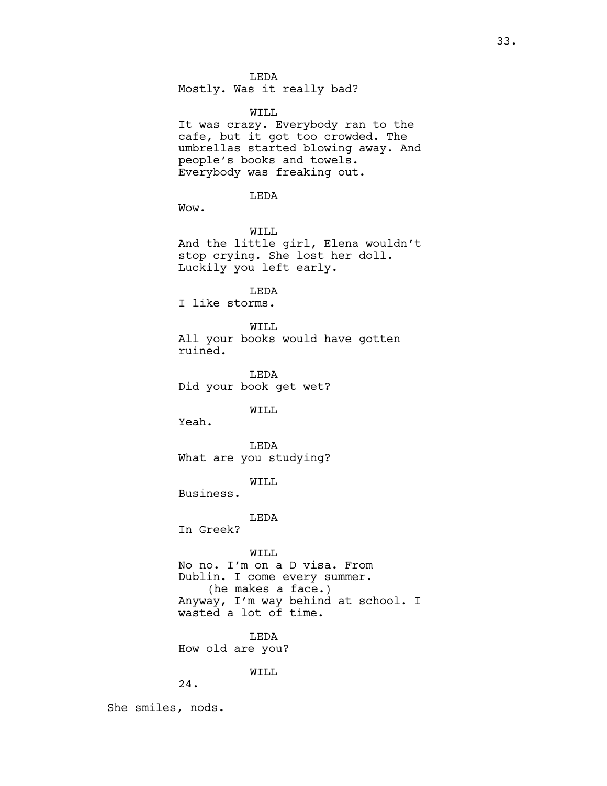LEDA

Mostly. Was it really bad?

WILL

It was crazy. Everybody ran to the cafe, but it got too crowded. The umbrellas started blowing away. And people's books and towels. Everybody was freaking out.

LEDA

Wow.

WILL And the little girl, Elena wouldn't stop crying. She lost her doll. Luckily you left early.

LEDA I like storms.

WILL All your books would have gotten ruined.

LEDA Did your book get wet?

WILL

Yeah.

LEDA What are you studying?

WILL

Business.

LEDA

In Greek?

WILL

No no. I'm on a D visa. From Dublin. I come every summer. (he makes a face.) Anyway, I'm way behind at school. I wasted a lot of time.

LEDA How old are you?

WILL

She smiles, nods.

24.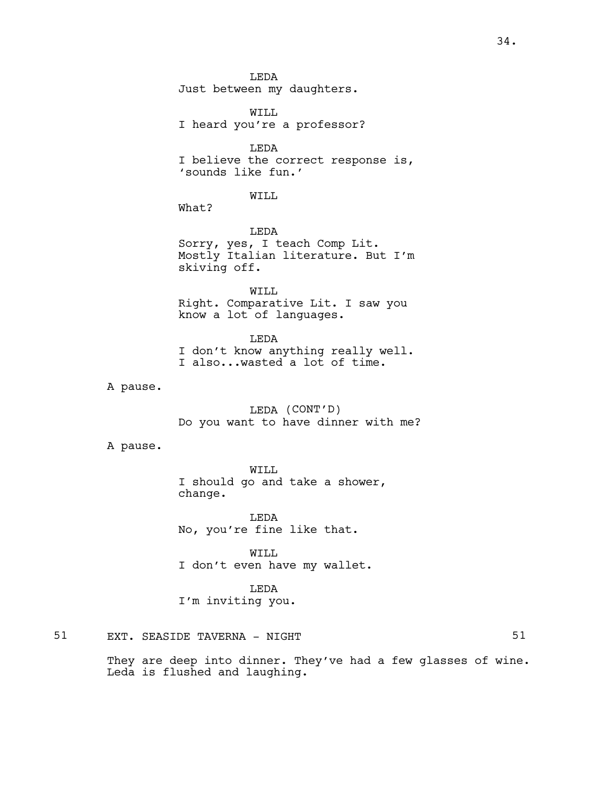LEDA Just between my daughters.

WILL I heard you're a professor?

LEDA I believe the correct response is, 'sounds like fun.'

WILL

What?

LEDA Sorry, yes, I teach Comp Lit. Mostly Italian literature. But I'm skiving off.

WILL Right. Comparative Lit. I saw you know a lot of languages.

LEDA I don't know anything really well. I also...wasted a lot of time.

A pause.

LEDA (CONT'D) Do you want to have dinner with me?

A pause.

WILL I should go and take a shower, change.

LEDA No, you're fine like that.

WILL I don't even have my wallet.

LEDA I'm inviting you.

51 EXT. SEASIDE TAVERNA - NIGHT 51

They are deep into dinner. They've had a few glasses of wine. Leda is flushed and laughing.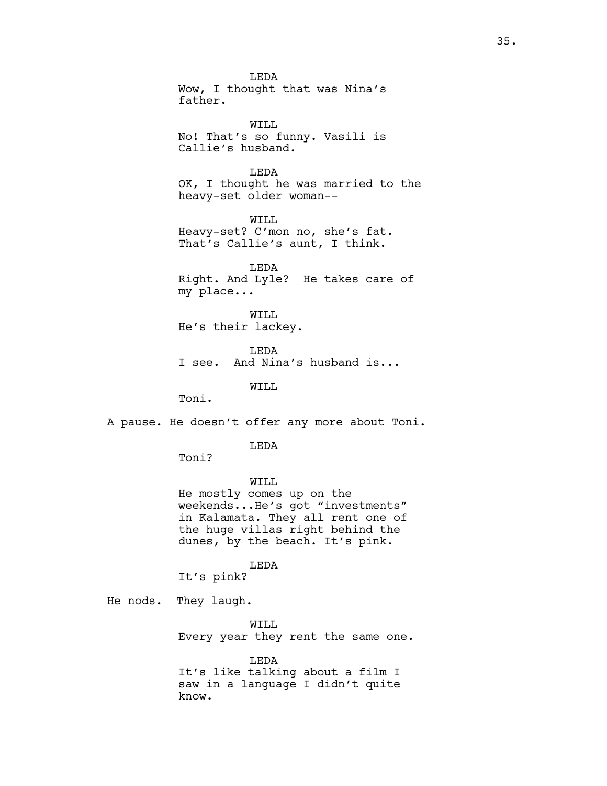LEDA Wow, I thought that was Nina's father. WILL No! That's so funny. Vasili is Callie's husband. LEDA OK, I thought he was married to the heavy-set older woman-- WILL Heavy-set? C'mon no, she's fat. That's Callie's aunt, I think. LEDA Right. And Lyle? He takes care of my place... WILL He's their lackey. LEDA I see. And Nina's husband is... WILL Toni. A pause. He doesn't offer any more about Toni. LEDA Toni?

WILL He mostly comes up on the weekends...He's got "investments" in Kalamata. They all rent one of the huge villas right behind the dunes, by the beach. It's pink.

LEDA

It's pink?

He nods. They laugh.

WILL Every year they rent the same one.

LEDA It's like talking about a film I saw in a language I didn't quite know.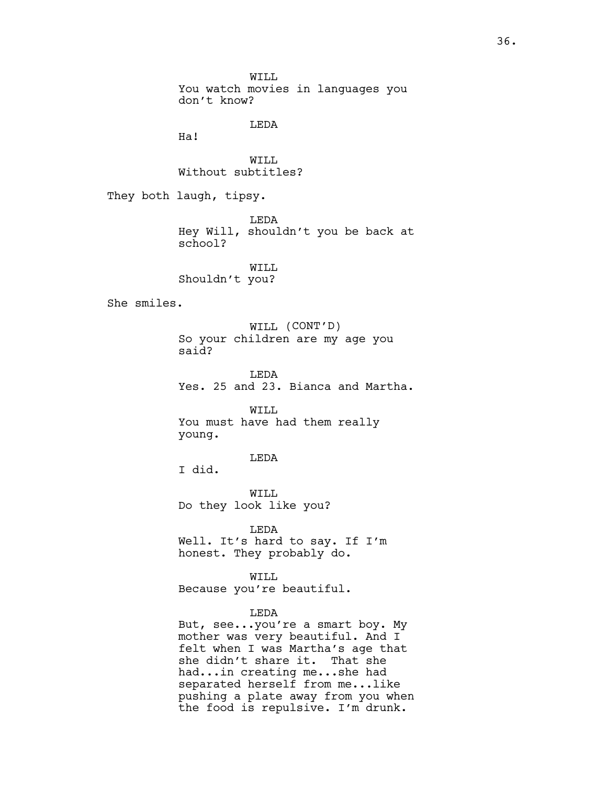WILL You watch movies in languages you don't know? LEDA Ha! WILL Without subtitles? They both laugh, tipsy. LEDA Hey Will, shouldn't you be back at school? WILL Shouldn't you? She smiles. WILL (CONT'D) So your children are my age you said? LEDA Yes. 25 and 23. Bianca and Martha. WILL You must have had them really young. LEDA I did. WILL Do they look like you? LEDA Well. It's hard to say. If I'm honest. They probably do. WILL Because you're beautiful. LEDA But, see...you're a smart boy. My mother was very beautiful. And I felt when I was Martha's age that she didn't share it. That she had...in creating me...she had separated herself from me...like pushing a plate away from you when the food is repulsive. I'm drunk.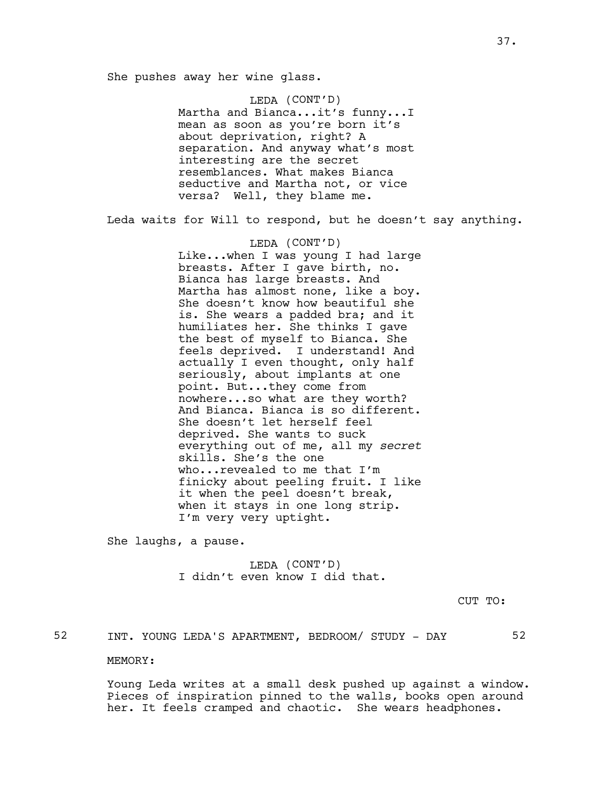LEDA (CONT'D) Martha and Bianca...it's funny...I mean as soon as you're born it's about deprivation, right? A separation. And anyway what's most interesting are the secret resemblances. What makes Bianca seductive and Martha not, or vice versa? Well, they blame me.

Leda waits for Will to respond, but he doesn't say anything.

LEDA (CONT'D) Like...when I was young I had large breasts. After I gave birth, no. Bianca has large breasts. And Martha has almost none, like a boy. She doesn't know how beautiful she is. She wears a padded bra; and it humiliates her. She thinks I gave the best of myself to Bianca. She feels deprived. I understand! And actually I even thought, only half seriously, about implants at one point. But...they come from nowhere...so what are they worth? And Bianca. Bianca is so different. She doesn't let herself feel deprived. She wants to suck everything out of me, all my *secret* skills. She's the one who...revealed to me that I'm finicky about peeling fruit. I like it when the peel doesn't break, when it stays in one long strip. I'm very very uptight.

She laughs, a pause.

LEDA (CONT'D) I didn't even know I did that.

CUT TO:

52 INT. YOUNG LEDA'S APARTMENT, BEDROOM/ STUDY - DAY 52

MEMORY:

Young Leda writes at a small desk pushed up against a window. Pieces of inspiration pinned to the walls, books open around her. It feels cramped and chaotic. She wears headphones.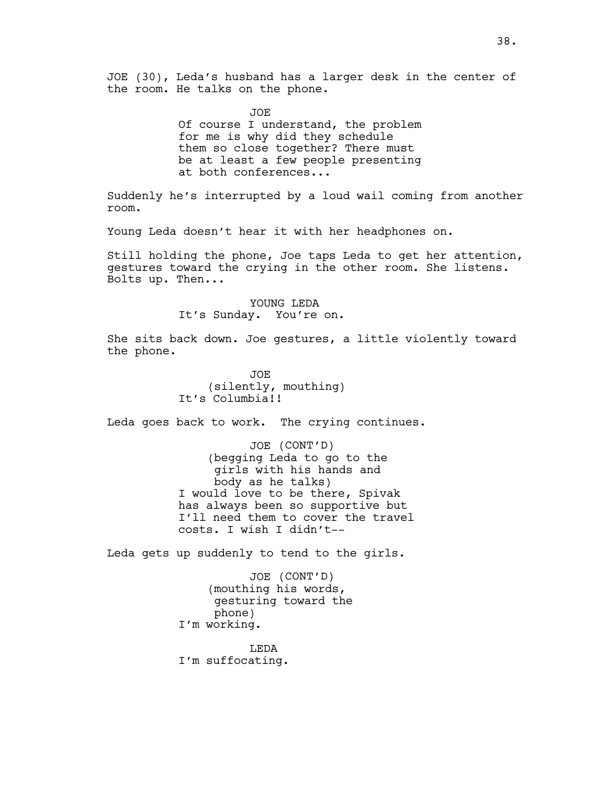JOE (30), Leda's husband has a larger desk in the center of the room. He talks on the phone.

JOE

Of course I understand, the problem for me is why did they schedule them so close together? There must be at least a few people presenting at both conferences...

Suddenly he's interrupted by a loud wail coming from another room.

Young Leda doesn't hear it with her headphones on.

Still holding the phone, Joe taps Leda to get her attention, gestures toward the crying in the other room. She listens. Bolts up. Then...

> YOUNG LEDA It's Sunday. You're on.

She sits back down. Joe gestures, a little violently toward the phone.

> JOE (silently, mouthing) It's Columbia!!

Leda goes back to work. The crying continues.

JOE (CONT'D) (begging Leda to go to the girls with his hands and body as he talks) I would love to be there, Spivak has always been so supportive but I'll need them to cover the travel costs. I wish I didn't--

Leda gets up suddenly to tend to the girls.

JOE (CONT'D) (mouthing his words, gesturing toward the phone) I'm working.

LEDA I'm suffocating.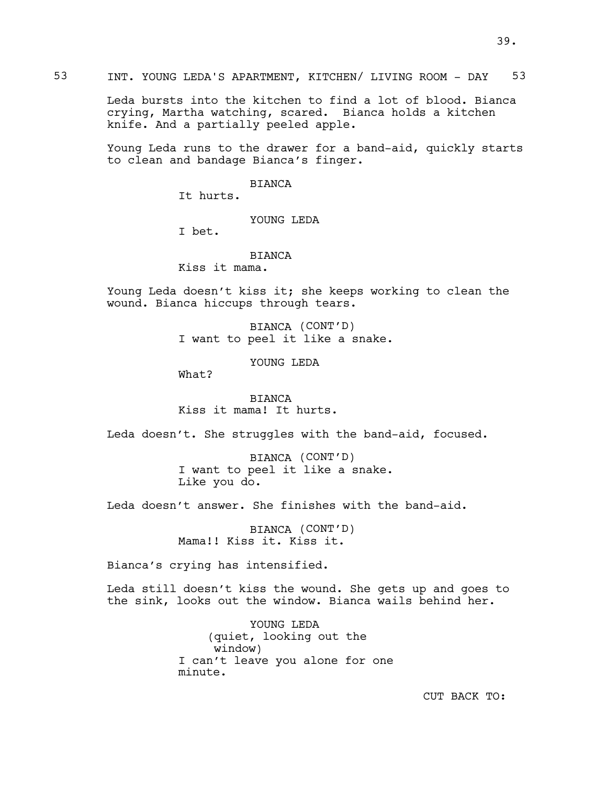53 INT. YOUNG LEDA'S APARTMENT, KITCHEN/ LIVING ROOM - DAY 53

Leda bursts into the kitchen to find a lot of blood. Bianca crying, Martha watching, scared. Bianca holds a kitchen knife. And a partially peeled apple.

Young Leda runs to the drawer for a band-aid, quickly starts to clean and bandage Bianca's finger.

# BIANCA

It hurts.

# YOUNG LEDA

I bet.

### BIANCA

Kiss it mama.

Young Leda doesn't kiss it; she keeps working to clean the wound. Bianca hiccups through tears.

> BIANCA (CONT'D) I want to peel it like a snake.

> > YOUNG LEDA

What?

BIANCA Kiss it mama! It hurts.

Leda doesn't. She struggles with the band-aid, focused.

BIANCA (CONT'D) I want to peel it like a snake. Like you do.

Leda doesn't answer. She finishes with the band-aid.

BIANCA (CONT'D) Mama!! Kiss it. Kiss it.

Bianca's crying has intensified.

Leda still doesn't kiss the wound. She gets up and goes to the sink, looks out the window. Bianca wails behind her.

> YOUNG LEDA (quiet, looking out the window) I can't leave you alone for one minute.

> > CUT BACK TO: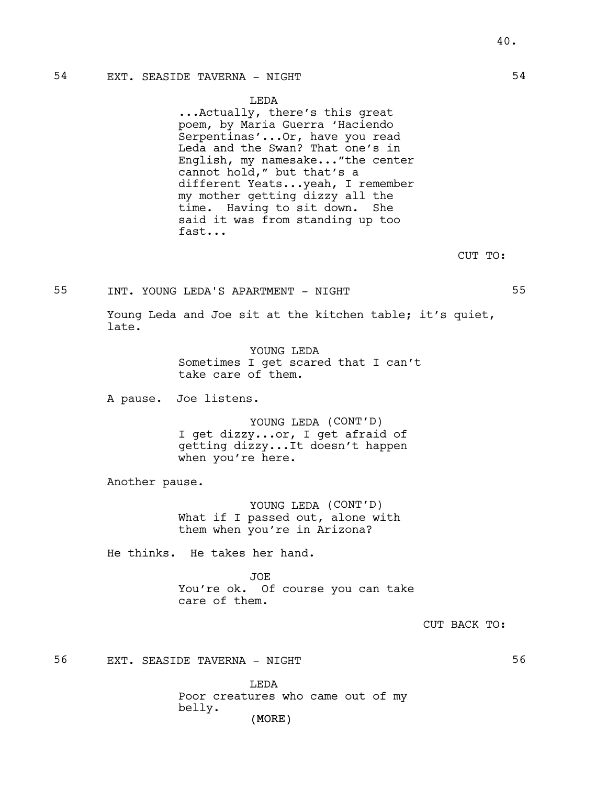#### **T.EDA**

...Actually, there's this great poem, by Maria Guerra 'Haciendo Serpentinas'...Or, have you read Leda and the Swan? That one's in English, my namesake..."the center cannot hold," but that's a different Yeats...yeah, I remember my mother getting dizzy all the time. Having to sit down. She said it was from standing up too fast...

CUT TO:

55 INT. YOUNG LEDA'S APARTMENT - NIGHT 55

Young Leda and Joe sit at the kitchen table; it's quiet, late.

> YOUNG LEDA Sometimes I get scared that I can't take care of them.

A pause. Joe listens.

YOUNG LEDA (CONT'D) I get dizzy...or, I get afraid of getting dizzy...It doesn't happen when you're here.

Another pause.

YOUNG LEDA (CONT'D) What if I passed out, alone with them when you're in Arizona?

He thinks. He takes her hand.

JOE You're ok. Of course you can take care of them.

CUT BACK TO:

56 EXT. SEASIDE TAVERNA - NIGHT 56

(MORE) LEDA Poor creatures who came out of my belly.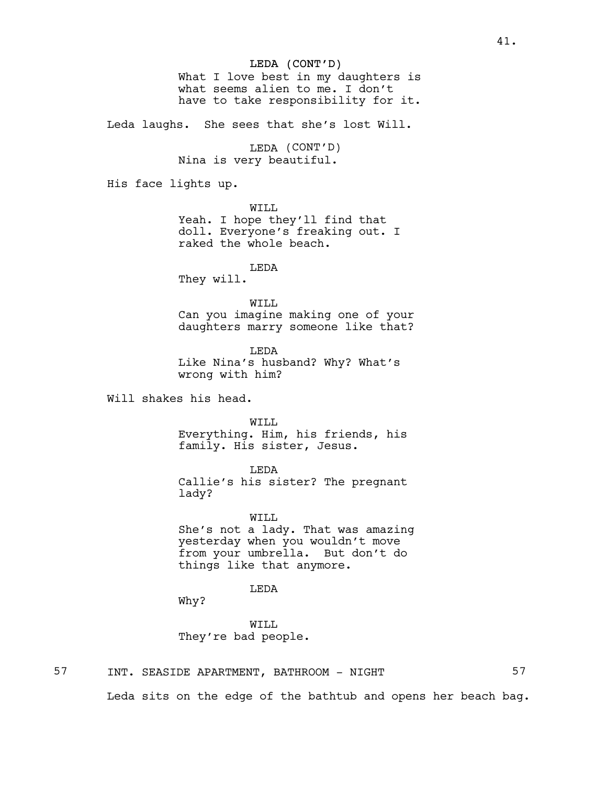#### LEDA (CONT'D)

What I love best in my daughters is what seems alien to me. I don't have to take responsibility for it.

Leda laughs. She sees that she's lost Will.

LEDA (CONT'D) Nina is very beautiful.

His face lights up.

WILL

Yeah. I hope they'll find that doll. Everyone's freaking out. I raked the whole beach.

LEDA

They will.

WTT.T. Can you imagine making one of your daughters marry someone like that?

LEDA Like Nina's husband? Why? What's wrong with him?

Will shakes his head.

WILL Everything. Him, his friends, his family. His sister, Jesus.

LEDA

Callie's his sister? The pregnant lady?

WILL She's not a lady. That was amazing yesterday when you wouldn't move from your umbrella. But don't do things like that anymore.

### LEDA

Why?

WTT.T. They're bad people.

57 INT. SEASIDE APARTMENT, BATHROOM - NIGHT

Leda sits on the edge of the bathtub and opens her beach bag.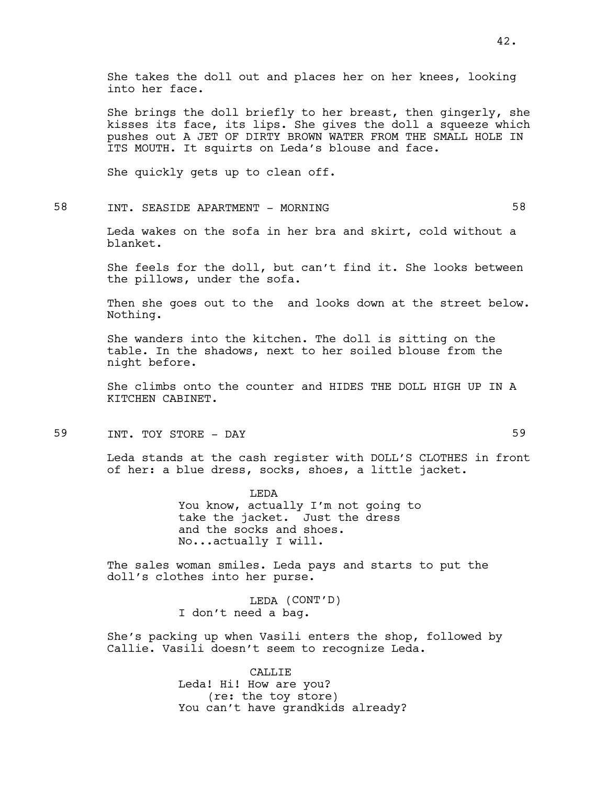She takes the doll out and places her on her knees, looking into her face.

She brings the doll briefly to her breast, then gingerly, she kisses its face, its lips. She gives the doll a squeeze which pushes out A JET OF DIRTY BROWN WATER FROM THE SMALL HOLE IN ITS MOUTH. It squirts on Leda's blouse and face.

She quickly gets up to clean off.

### 58 INT. SEASIDE APARTMENT - MORNING 58

Leda wakes on the sofa in her bra and skirt, cold without a blanket.

She feels for the doll, but can't find it. She looks between the pillows, under the sofa.

Then she goes out to the and looks down at the street below. Nothing.

She wanders into the kitchen. The doll is sitting on the table. In the shadows, next to her soiled blouse from the night before.

She climbs onto the counter and HIDES THE DOLL HIGH UP IN A KITCHEN CABINET.

59 INT. TOY STORE – DAY 59

Leda stands at the cash register with DOLL'S CLOTHES in front of her: a blue dress, socks, shoes, a little jacket.

> LEDA You know, actually I'm not going to take the jacket. Just the dress and the socks and shoes. No...actually I will.

The sales woman smiles. Leda pays and starts to put the doll's clothes into her purse.

> LEDA (CONT'D) I don't need a bag.

She's packing up when Vasili enters the shop, followed by Callie. Vasili doesn't seem to recognize Leda.

> CALLIE Leda! Hi! How are you? (re: the toy store) You can't have grandkids already?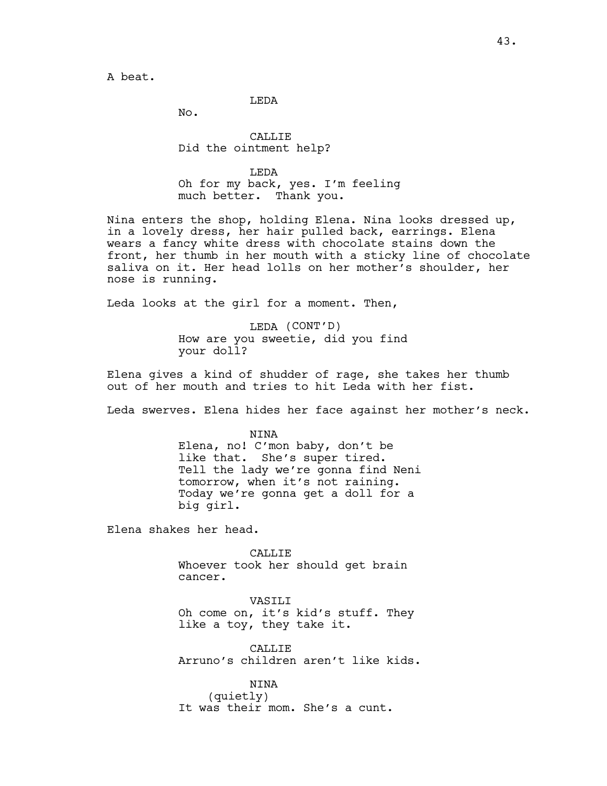LEDA

No.

CALLIE Did the ointment help?

LEDA Oh for my back, yes. I'm feeling much better. Thank you.

Nina enters the shop, holding Elena. Nina looks dressed up, in a lovely dress, her hair pulled back, earrings. Elena wears a fancy white dress with chocolate stains down the front, her thumb in her mouth with a sticky line of chocolate saliva on it. Her head lolls on her mother's shoulder, her nose is running.

Leda looks at the girl for a moment. Then,

LEDA (CONT'D) How are you sweetie, did you find your doll?

Elena gives a kind of shudder of rage, she takes her thumb out of her mouth and tries to hit Leda with her fist.

Leda swerves. Elena hides her face against her mother's neck.

NINA Elena, no! C'mon baby, don't be like that. She's super tired. Tell the lady we're gonna find Neni tomorrow, when it's not raining. Today we're gonna get a doll for a big girl.

Elena shakes her head.

CALLIE Whoever took her should get brain cancer.

VASILI Oh come on, it's kid's stuff. They like a toy, they take it.

**CALLIE** Arruno's children aren't like kids.

NINA (quietly) It was their mom. She's a cunt.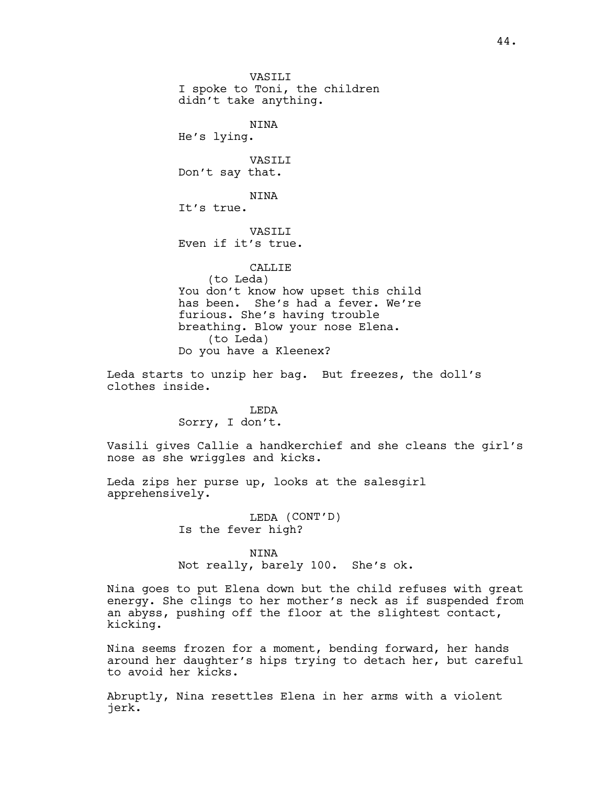**VASTLT** I spoke to Toni, the children didn't take anything. NINA He's lying. VASILI Don't say that. NINA It's true. **VASTLT** Even if it's true. CALLIE (to Leda) You don't know how upset this child has been. She's had a fever. We're furious. She's having trouble breathing. Blow your nose Elena. (to Leda) Do you have a Kleenex?

Leda starts to unzip her bag. But freezes, the doll's clothes inside.

> LEDA Sorry, I don't.

Vasili gives Callie a handkerchief and she cleans the girl's nose as she wriggles and kicks.

Leda zips her purse up, looks at the salesgirl apprehensively.

> LEDA (CONT'D) Is the fever high?

NINA Not really, barely 100. She's ok.

Nina goes to put Elena down but the child refuses with great energy. She clings to her mother's neck as if suspended from an abyss, pushing off the floor at the slightest contact, kicking.

Nina seems frozen for a moment, bending forward, her hands around her daughter's hips trying to detach her, but careful to avoid her kicks.

Abruptly, Nina resettles Elena in her arms with a violent jerk.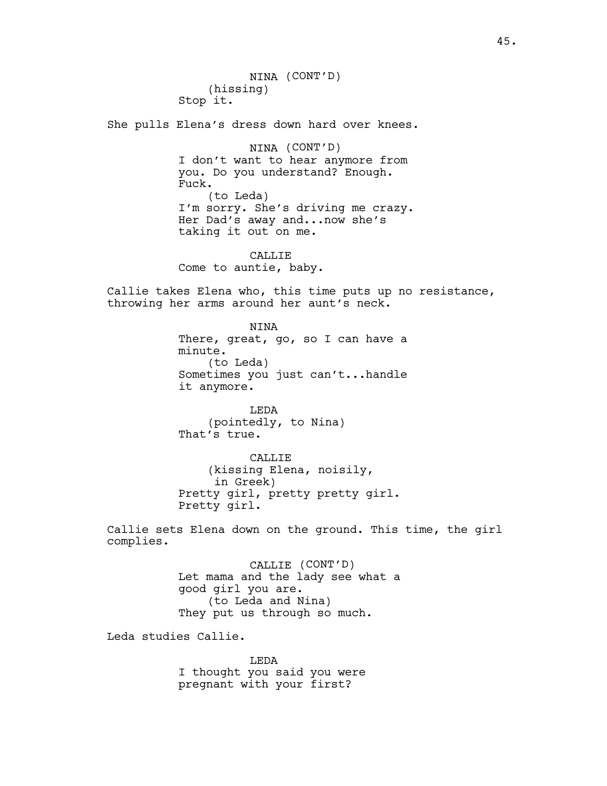She pulls Elena's dress down hard over knees.

NINA (CONT'D) I don't want to hear anymore from you. Do you understand? Enough. Fuck. (to Leda) I'm sorry. She's driving me crazy. Her Dad's away and...now she's taking it out on me.

CALLIE Come to auntie, baby.

Callie takes Elena who, this time puts up no resistance, throwing her arms around her aunt's neck.

> NINA There, great, go, so I can have a minute. (to Leda) Sometimes you just can't...handle it anymore.

LEDA (pointedly, to Nina) That's true.

CALLIE (kissing Elena, noisily, in Greek) Pretty girl, pretty pretty girl. Pretty girl.

Callie sets Elena down on the ground. This time, the girl complies.

> CALLIE (CONT'D) Let mama and the lady see what a good girl you are. (to Leda and Nina) They put us through so much.

Leda studies Callie.

LEDA I thought you said you were pregnant with your first?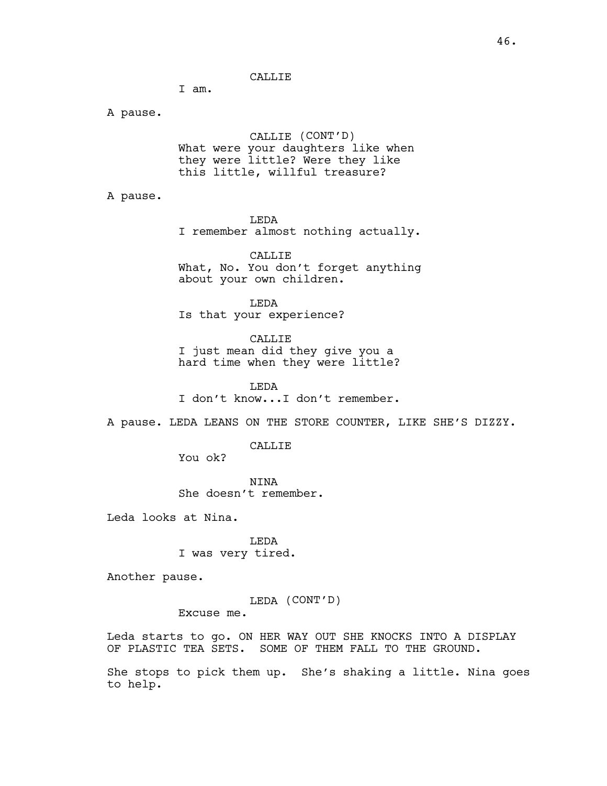CALLIE

I am.

A pause.

CALLIE (CONT'D) What were your daughters like when they were little? Were they like this little, willful treasure?

A pause.

LEDA

I remember almost nothing actually.

CALLIE What, No. You don't forget anything about your own children.

LEDA Is that your experience?

CALLIE I just mean did they give you a hard time when they were little?

LEDA I don't know...I don't remember.

A pause. LEDA LEANS ON THE STORE COUNTER, LIKE SHE'S DIZZY.

CALLIE

You ok?

NINA She doesn't remember.

Leda looks at Nina.

LEDA I was very tired.

Another pause.

LEDA (CONT'D)

Excuse me.

Leda starts to go. ON HER WAY OUT SHE KNOCKS INTO A DISPLAY OF PLASTIC TEA SETS. SOME OF THEM FALL TO THE GROUND.

She stops to pick them up. She's shaking a little. Nina goes to help.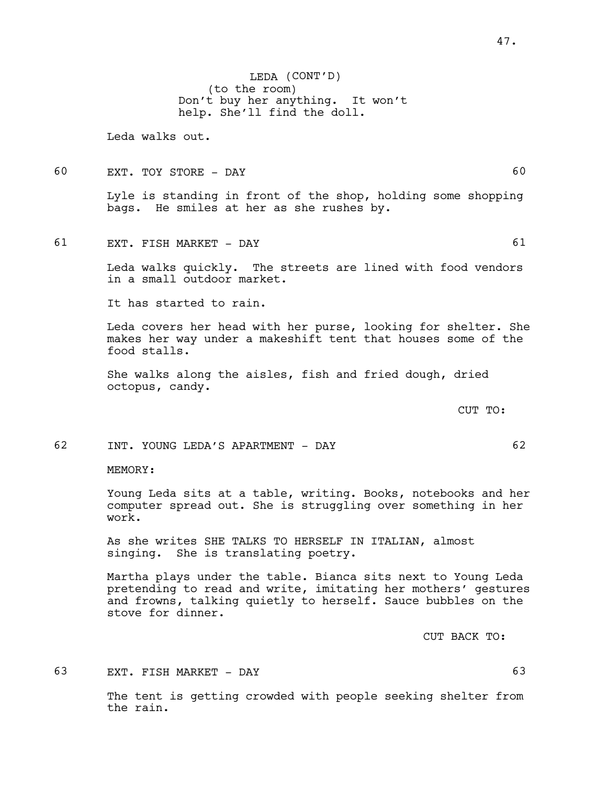47.

LEDA (CONT'D) (to the room) Don't buy her anything. It won't help. She'll find the doll.

Leda walks out.

60 EXT. TOY STORE - DAY 60

Lyle is standing in front of the shop, holding some shopping bags. He smiles at her as she rushes by.

61 EXT. FISH MARKET - DAY 61

Leda walks quickly. The streets are lined with food vendors in a small outdoor market.

It has started to rain.

Leda covers her head with her purse, looking for shelter. She makes her way under a makeshift tent that houses some of the food stalls.

She walks along the aisles, fish and fried dough, dried octopus, candy.

CUT TO:

62 INT. YOUNG LEDA'S APARTMENT - DAY 62

MEMORY:

Young Leda sits at a table, writing. Books, notebooks and her computer spread out. She is struggling over something in her work.

As she writes SHE TALKS TO HERSELF IN ITALIAN, almost singing. She is translating poetry.

Martha plays under the table. Bianca sits next to Young Leda pretending to read and write, imitating her mothers' gestures and frowns, talking quietly to herself. Sauce bubbles on the stove for dinner.

CUT BACK TO:

63 EXT. FISH MARKET - DAY

The tent is getting crowded with people seeking shelter from the rain.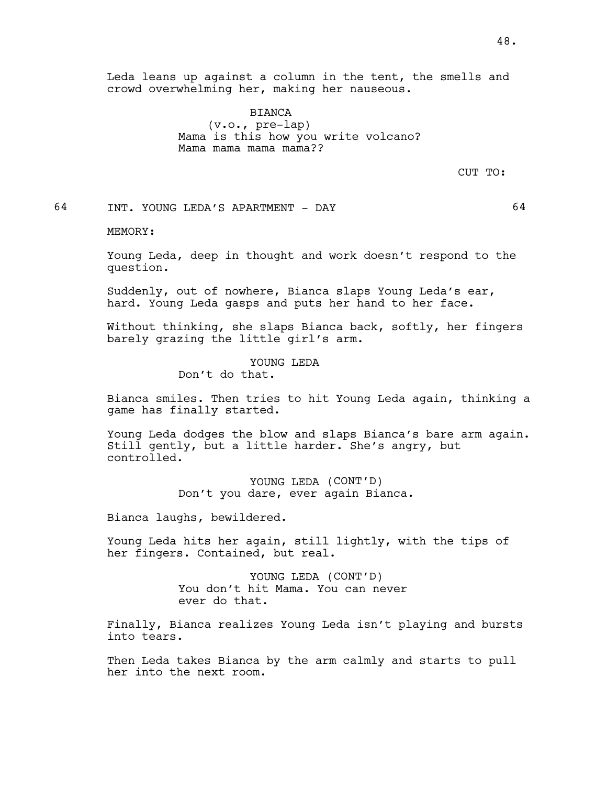Leda leans up against a column in the tent, the smells and crowd overwhelming her, making her nauseous.

> BIANCA (v.o., pre-lap) Mama is this how you write volcano? Mama mama mama mama??

> > CUT TO:

64 INT. YOUNG LEDA'S APARTMENT - DAY 64

MEMORY:

Young Leda, deep in thought and work doesn't respond to the question.

Suddenly, out of nowhere, Bianca slaps Young Leda's ear, hard. Young Leda gasps and puts her hand to her face.

Without thinking, she slaps Bianca back, softly, her fingers barely grazing the little girl's arm.

YOUNG LEDA

Don't do that.

Bianca smiles. Then tries to hit Young Leda again, thinking a game has finally started.

Young Leda dodges the blow and slaps Bianca's bare arm again. Still gently, but a little harder. She's angry, but controlled.

> YOUNG LEDA (CONT'D) Don't you dare, ever again Bianca.

Bianca laughs, bewildered.

Young Leda hits her again, still lightly, with the tips of her fingers. Contained, but real.

> YOUNG LEDA (CONT'D) You don't hit Mama. You can never ever do that.

Finally, Bianca realizes Young Leda isn't playing and bursts into tears.

Then Leda takes Bianca by the arm calmly and starts to pull her into the next room.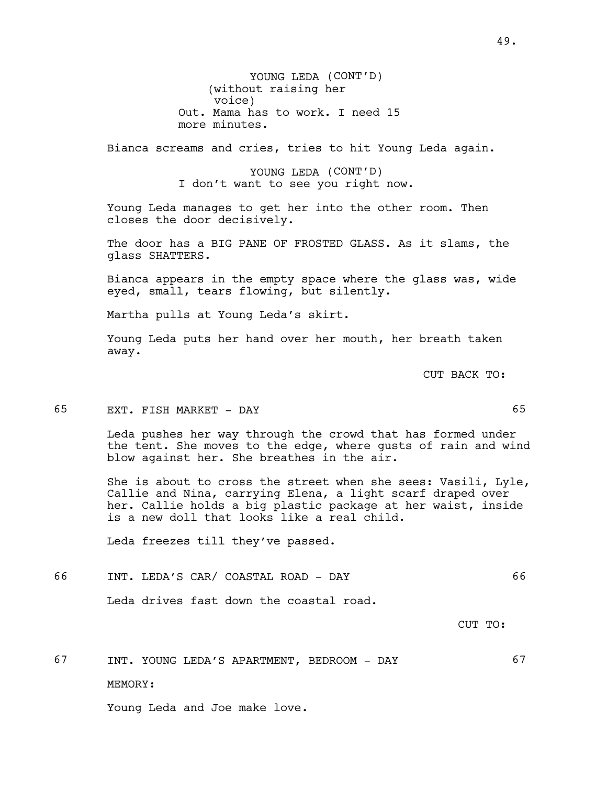YOUNG LEDA (CONT'D) (without raising her voice) Out. Mama has to work. I need 15 more minutes.

Bianca screams and cries, tries to hit Young Leda again.

YOUNG LEDA (CONT'D) I don't want to see you right now.

Young Leda manages to get her into the other room. Then closes the door decisively.

The door has a BIG PANE OF FROSTED GLASS. As it slams, the glass SHATTERS.

Bianca appears in the empty space where the glass was, wide eyed, small, tears flowing, but silently.

Martha pulls at Young Leda's skirt.

Young Leda puts her hand over her mouth, her breath taken away.

CUT BACK TO:

# 65 EXT. FISH MARKET - DAY 65

Leda pushes her way through the crowd that has formed under the tent. She moves to the edge, where gusts of rain and wind blow against her. She breathes in the air.

She is about to cross the street when she sees: Vasili, Lyle, Callie and Nina, carrying Elena, a light scarf draped over her. Callie holds a big plastic package at her waist, inside is a new doll that looks like a real child.

Leda freezes till they've passed.

66 INT. LEDA'S CAR/ COASTAL ROAD - DAY 66

Leda drives fast down the coastal road.

CUT TO:

67 INT. YOUNG LEDA'S APARTMENT, BEDROOM - DAY 67 MEMORY:

Young Leda and Joe make love.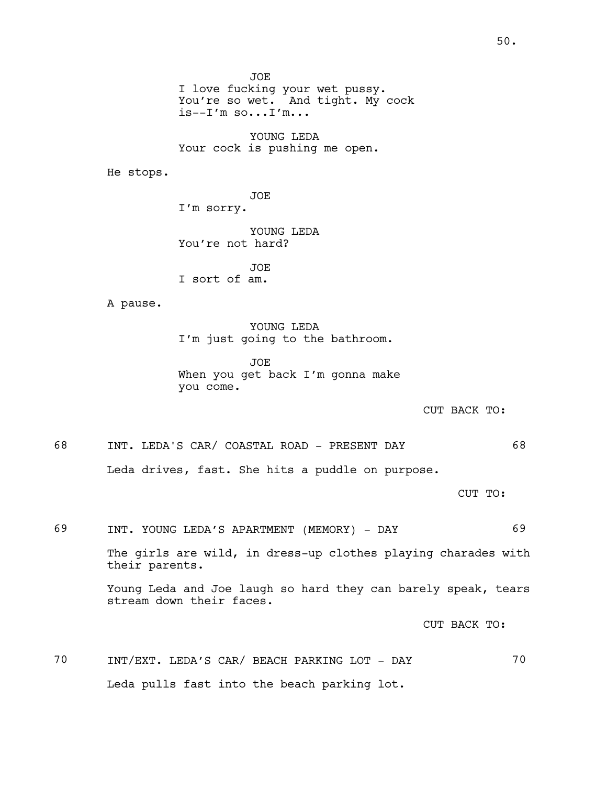JOE

I love fucking your wet pussy. You're so wet. And tight. My cock  $is--I'm so...I'm...$ 

YOUNG LEDA Your cock is pushing me open.

He stops.

JOE I'm sorry.

YOUNG LEDA You're not hard?

JOE I sort of am.

A pause.

YOUNG LEDA I'm just going to the bathroom.

JOE When you get back I'm gonna make you come.

CUT BACK TO:

68 INT. LEDA'S CAR/ COASTAL ROAD - PRESENT DAY 68 Leda drives, fast. She hits a puddle on purpose.

CUT TO:

69 INT. YOUNG LEDA'S APARTMENT (MEMORY) - DAY 69 The girls are wild, in dress-up clothes playing charades with their parents. Young Leda and Joe laugh so hard they can barely speak, tears stream down their faces. CUT BACK TO:

70 INT/EXT. LEDA'S CAR/ BEACH PARKING LOT - DAY 70 Leda pulls fast into the beach parking lot.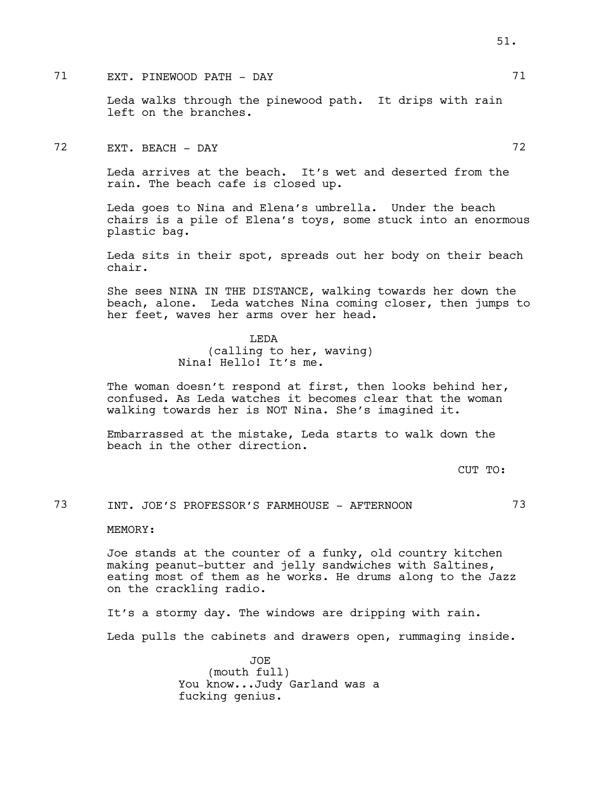# 71 EXT. PINEWOOD PATH - DAY 71

Leda walks through the pinewood path. It drips with rain left on the branches.

72 EXT. BEACH - DAY 72

Leda arrives at the beach. It's wet and deserted from the rain. The beach cafe is closed up.

Leda goes to Nina and Elena's umbrella. Under the beach chairs is a pile of Elena's toys, some stuck into an enormous plastic bag.

Leda sits in their spot, spreads out her body on their beach chair.

She sees NINA IN THE DISTANCE, walking towards her down the beach, alone. Leda watches Nina coming closer, then jumps to her feet, waves her arms over her head.

> LEDA (calling to her, waving) Nina! Hello! It's me.

The woman doesn't respond at first, then looks behind her, confused. As Leda watches it becomes clear that the woman walking towards her is NOT Nina. She's imagined it.

Embarrassed at the mistake, Leda starts to walk down the beach in the other direction.

CUT TO:

73 INT. JOE'S PROFESSOR'S FARMHOUSE - AFTERNOON 73

#### MEMORY:

Joe stands at the counter of a funky, old country kitchen making peanut-butter and jelly sandwiches with Saltines, eating most of them as he works. He drums along to the Jazz on the crackling radio.

It's a stormy day. The windows are dripping with rain.

Leda pulls the cabinets and drawers open, rummaging inside.

JOE (mouth full) You know...Judy Garland was a fucking genius.

51.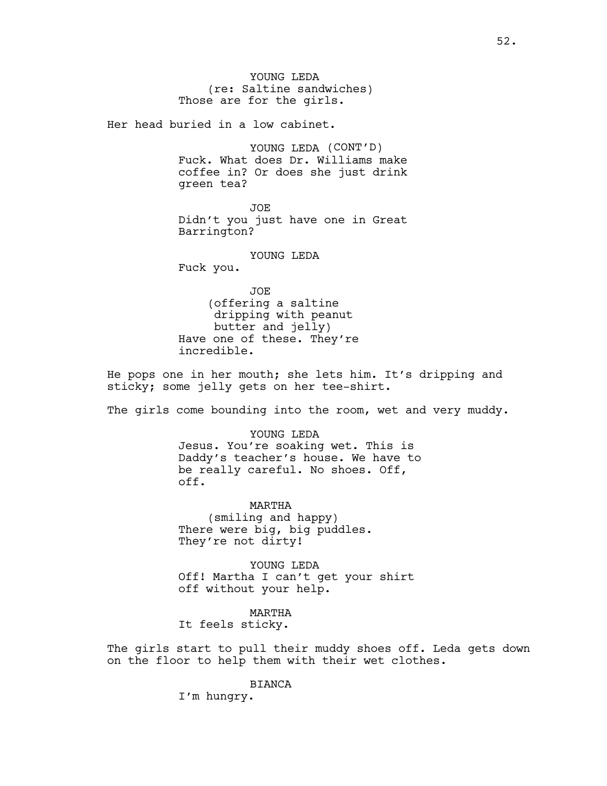YOUNG LEDA (re: Saltine sandwiches) Those are for the girls.

Her head buried in a low cabinet.

YOUNG LEDA (CONT'D) Fuck. What does Dr. Williams make coffee in? Or does she just drink green tea?

JOE Didn't you just have one in Great Barrington?

YOUNG LEDA

Fuck you.

JOE (offering a saltine dripping with peanut butter and jelly) Have one of these. They're incredible.

He pops one in her mouth; she lets him. It's dripping and sticky; some jelly gets on her tee-shirt.

The girls come bounding into the room, wet and very muddy.

YOUNG LEDA Jesus. You're soaking wet. This is Daddy's teacher's house. We have to be really careful. No shoes. Off, off.

MARTHA (smiling and happy) There were big, big puddles. They're not dirty!

YOUNG LEDA Off! Martha I can't get your shirt off without your help.

MARTHA It feels sticky.

The girls start to pull their muddy shoes off. Leda gets down on the floor to help them with their wet clothes.

> BIANCA I'm hungry.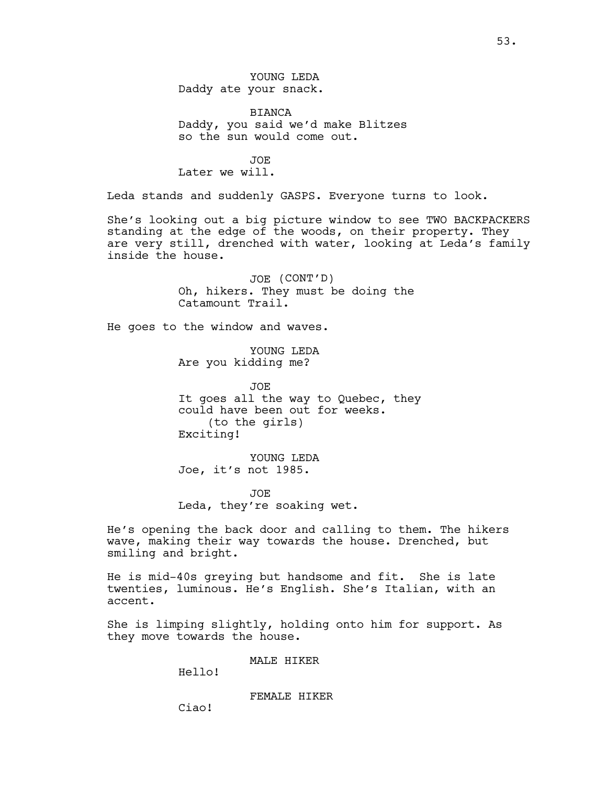53.

YOUNG LEDA Daddy ate your snack.

BIANCA Daddy, you said we'd make Blitzes so the sun would come out.

JOE Later we will.

Leda stands and suddenly GASPS. Everyone turns to look.

She's looking out a big picture window to see TWO BACKPACKERS standing at the edge of the woods, on their property. They are very still, drenched with water, looking at Leda's family inside the house.

> JOE (CONT'D) Oh, hikers. They must be doing the Catamount Trail.

He goes to the window and waves.

YOUNG LEDA Are you kidding me?

JOE It goes all the way to Quebec, they could have been out for weeks. (to the girls) Exciting!

YOUNG LEDA Joe, it's not 1985.

JOE Leda, they're soaking wet.

He's opening the back door and calling to them. The hikers wave, making their way towards the house. Drenched, but smiling and bright.

He is mid-40s greying but handsome and fit. She is late twenties, luminous. He's English. She's Italian, with an accent.

She is limping slightly, holding onto him for support. As they move towards the house.

MALE HIKER

Hello!

FEMALE HIKER

Ciao!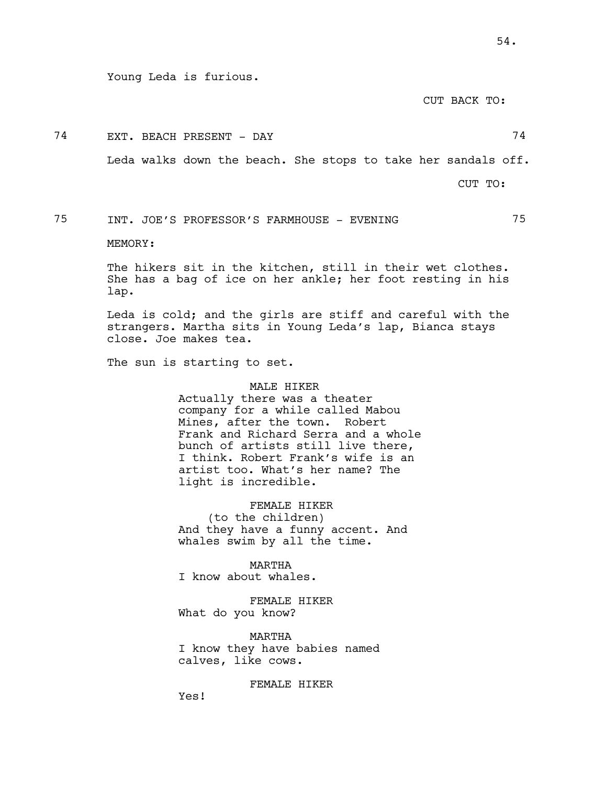CUT BACK TO:

74 EXT. BEACH PRESENT - DAY 74

Leda walks down the beach. She stops to take her sandals off.

CUT TO:

# 75 INT. JOE'S PROFESSOR'S FARMHOUSE - EVENING 75

MEMORY:

The hikers sit in the kitchen, still in their wet clothes. She has a bag of ice on her ankle; her foot resting in his lap.

Leda is cold; and the girls are stiff and careful with the strangers. Martha sits in Young Leda's lap, Bianca stays close. Joe makes tea.

The sun is starting to set.

MALE HIKER Actually there was a theater company for a while called Mabou Mines, after the town. Robert Frank and Richard Serra and a whole bunch of artists still live there, I think. Robert Frank's wife is an artist too. What's her name? The light is incredible.

FEMALE HIKER (to the children) And they have a funny accent. And whales swim by all the time.

MARTHA I know about whales.

FEMALE HIKER What do you know?

MARTHA I know they have babies named calves, like cows.

FEMALE HIKER

Yes!

54.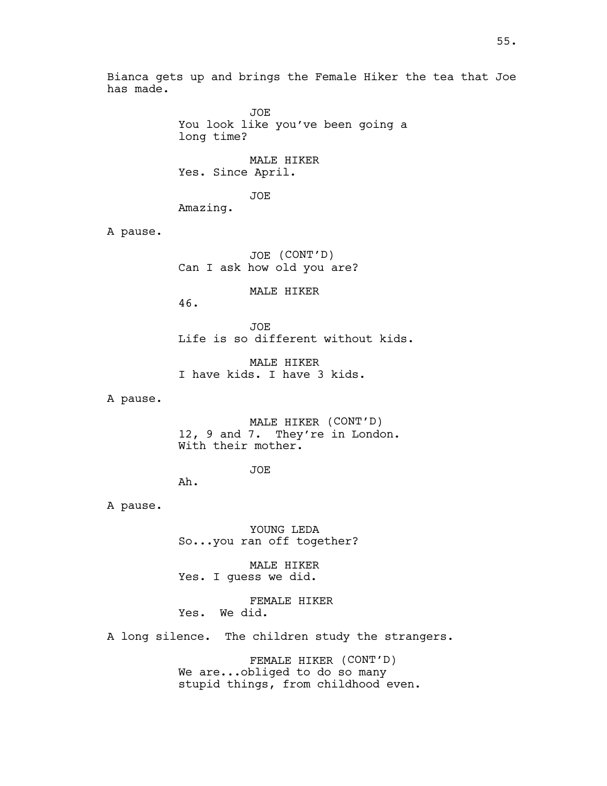Bianca gets up and brings the Female Hiker the tea that Joe has made.

> JOE You look like you've been going a long time?

MALE HIKER Yes. Since April.

JOE

Amazing.

A pause.

JOE (CONT'D) Can I ask how old you are?

#### MALE HIKER

46.

JOE Life is so different without kids.

MALE HIKER I have kids. I have 3 kids.

A pause.

MALE HIKER (CONT'D) 12, 9 and 7. They're in London. With their mother.

JOE

Ah.

A pause.

YOUNG LEDA So...you ran off together?

MALE HIKER Yes. I guess we did.

# FEMALE HIKER Yes. We did.

A long silence. The children study the strangers.

FEMALE HIKER (CONT'D) We are...obliged to do so many stupid things, from childhood even.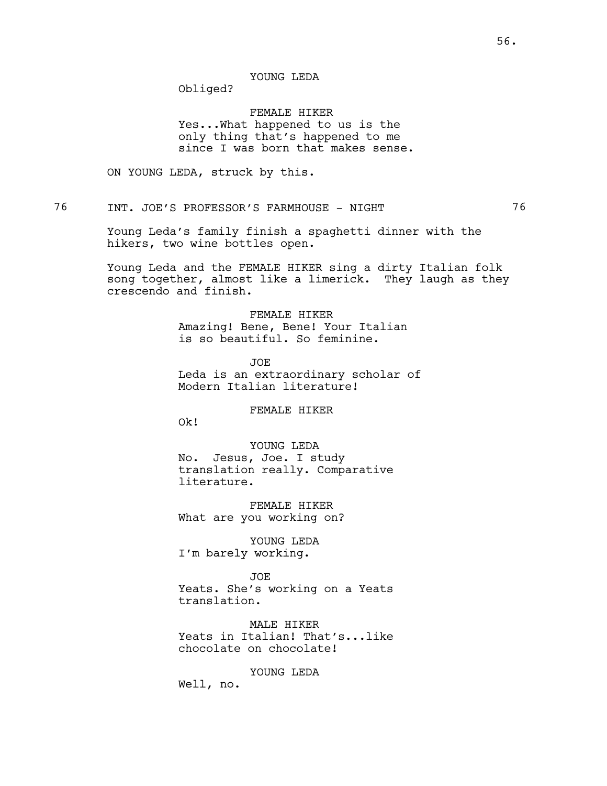#### YOUNG LEDA

Obliged?

FEMALE HIKER Yes...What happened to us is the only thing that's happened to me since I was born that makes sense.

ON YOUNG LEDA, struck by this.

76 INT. JOE'S PROFESSOR'S FARMHOUSE - NIGHT 76

Young Leda's family finish a spaghetti dinner with the hikers, two wine bottles open.

Young Leda and the FEMALE HIKER sing a dirty Italian folk song together, almost like a limerick. They laugh as they crescendo and finish.

> FEMALE HIKER Amazing! Bene, Bene! Your Italian is so beautiful. So feminine.

JOE Leda is an extraordinary scholar of Modern Italian literature!

FEMALE HIKER

Ok!

YOUNG LEDA No. Jesus, Joe. I study translation really. Comparative literature.

FEMALE HIKER What are you working on?

YOUNG LEDA I'm barely working.

JOE Yeats. She's working on a Yeats translation.

MALE HIKER Yeats in Italian! That's...like chocolate on chocolate!

YOUNG LEDA

Well, no.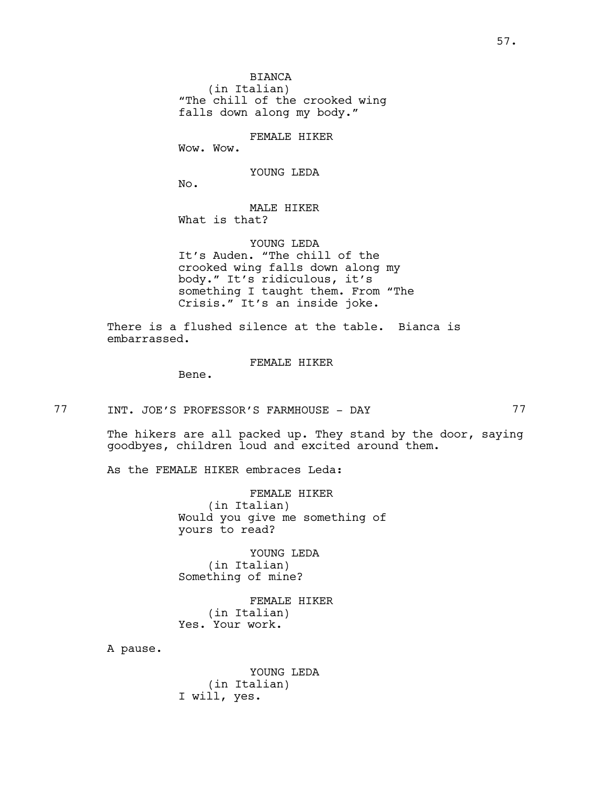BIANCA (in Italian) "The chill of the crooked wing falls down along my body."

FEMALE HIKER

Wow. Wow.

YOUNG LEDA

No.

MALE HIKER What is that?

YOUNG LEDA It's Auden. "The chill of the crooked wing falls down along my body." It's ridiculous, it's something I taught them. From "The Crisis." It's an inside joke.

There is a flushed silence at the table. Bianca is embarrassed.

# FEMALE HIKER

Bene.

77 INT. JOE'S PROFESSOR'S FARMHOUSE - DAY 77

The hikers are all packed up. They stand by the door, saying goodbyes, children loud and excited around them.

As the FEMALE HIKER embraces Leda:

FEMALE HIKER (in Italian) Would you give me something of yours to read?

YOUNG LEDA (in Italian) Something of mine?

FEMALE HIKER (in Italian) Yes. Your work.

A pause.

YOUNG LEDA (in Italian) I will, yes.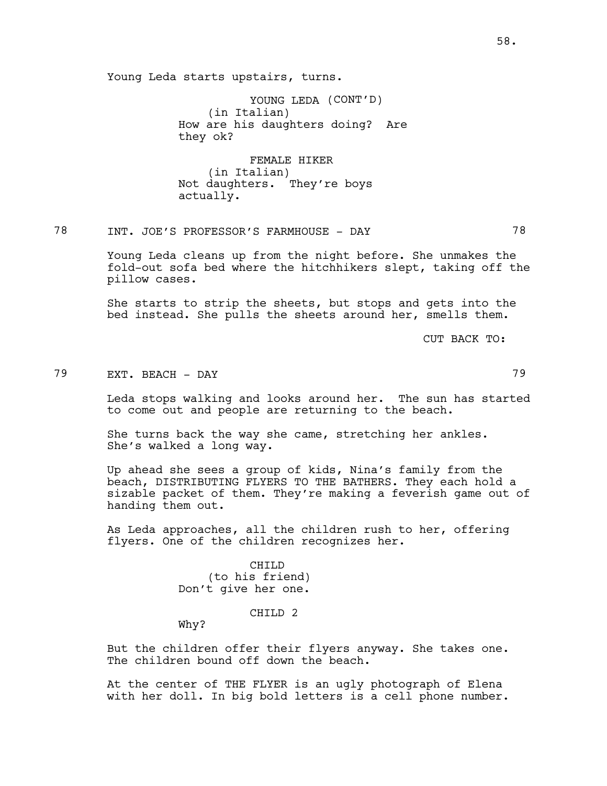YOUNG LEDA (CONT'D) (in Italian) How are his daughters doing? Are they ok?

FEMALE HIKER (in Italian) Not daughters. They're boys actually.

# 78 INT. JOE'S PROFESSOR'S FARMHOUSE - DAY 78

Young Leda cleans up from the night before. She unmakes the fold-out sofa bed where the hitchhikers slept, taking off the pillow cases.

She starts to strip the sheets, but stops and gets into the bed instead. She pulls the sheets around her, smells them.

CUT BACK TO:

79 EXT. BEACH - DAY 79

Leda stops walking and looks around her. The sun has started to come out and people are returning to the beach.

She turns back the way she came, stretching her ankles. She's walked a long way.

Up ahead she sees a group of kids, Nina's family from the beach, DISTRIBUTING FLYERS TO THE BATHERS. They each hold a sizable packet of them. They're making a feverish game out of handing them out.

As Leda approaches, all the children rush to her, offering flyers. One of the children recognizes her.

> CHILD (to his friend) Don't give her one.

> > CHILD 2

Why?

But the children offer their flyers anyway. She takes one. The children bound off down the beach.

At the center of THE FLYER is an ugly photograph of Elena with her doll. In big bold letters is a cell phone number.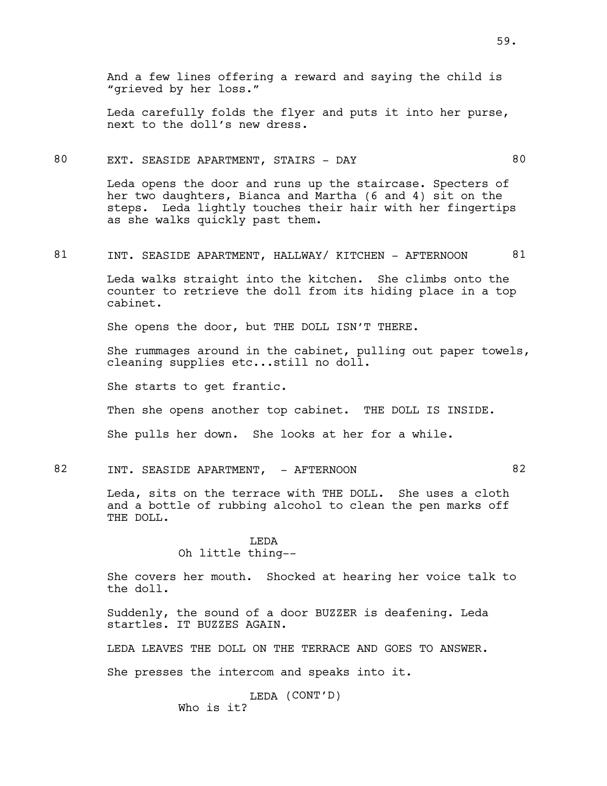And a few lines offering a reward and saying the child is "grieved by her loss."

Leda carefully folds the flyer and puts it into her purse, next to the doll's new dress.

## 80 EXT. SEASIDE APARTMENT, STAIRS - DAY 60

Leda opens the door and runs up the staircase. Specters of her two daughters, Bianca and Martha (6 and 4) sit on the steps. Leda lightly touches their hair with her fingertips as she walks quickly past them.

## 81 INT. SEASIDE APARTMENT, HALLWAY/ KITCHEN - AFTERNOON 81

Leda walks straight into the kitchen. She climbs onto the counter to retrieve the doll from its hiding place in a top cabinet.

She opens the door, but THE DOLL ISN'T THERE.

She rummages around in the cabinet, pulling out paper towels, cleaning supplies etc...still no doll.

She starts to get frantic.

Then she opens another top cabinet. THE DOLL IS INSIDE.

She pulls her down. She looks at her for a while.

## 82 INT. SEASIDE APARTMENT, - AFTERNOON 82

Leda, sits on the terrace with THE DOLL. She uses a cloth and a bottle of rubbing alcohol to clean the pen marks off THE DOLL.

### LEDA Oh little thing--

She covers her mouth. Shocked at hearing her voice talk to the doll.

Suddenly, the sound of a door BUZZER is deafening. Leda startles. IT BUZZES AGAIN.

LEDA LEAVES THE DOLL ON THE TERRACE AND GOES TO ANSWER.

She presses the intercom and speaks into it.

LEDA (CONT'D) Who is it?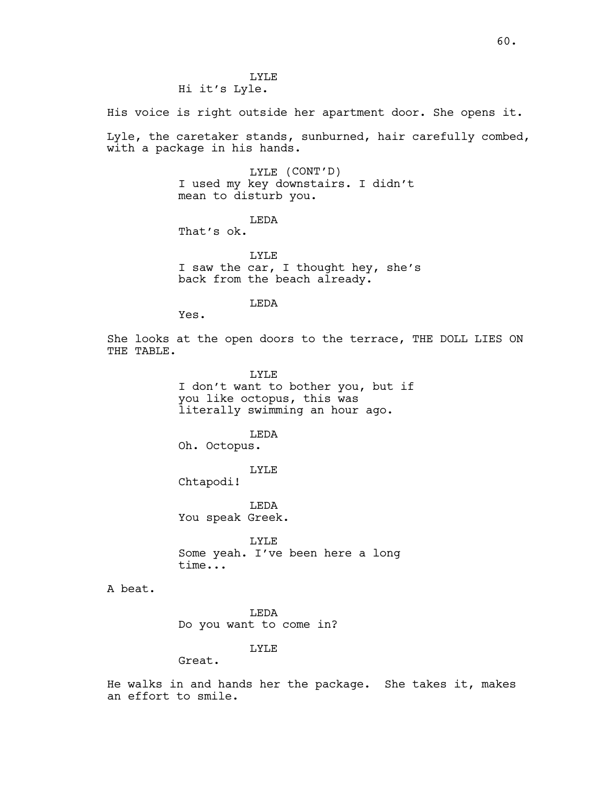#### LYLE Hi it's Lyle.

His voice is right outside her apartment door. She opens it.

Lyle, the caretaker stands, sunburned, hair carefully combed, with a package in his hands.

> LYLE (CONT'D) I used my key downstairs. I didn't mean to disturb you.

> > LEDA

That's ok.

LYLE I saw the car, I thought hey, she's back from the beach already.

LEDA

Yes.

She looks at the open doors to the terrace, THE DOLL LIES ON THE TABLE.

> LYLE I don't want to bother you, but if you like octopus, this was literally swimming an hour ago.

LEDA Oh. Octopus.

LYLE

Chtapodi!

LEDA You speak Greek.

LYLE Some yeah. I've been here a long time...

A beat.

LEDA Do you want to come in?

LYLE

Great.

He walks in and hands her the package. She takes it, makes an effort to smile.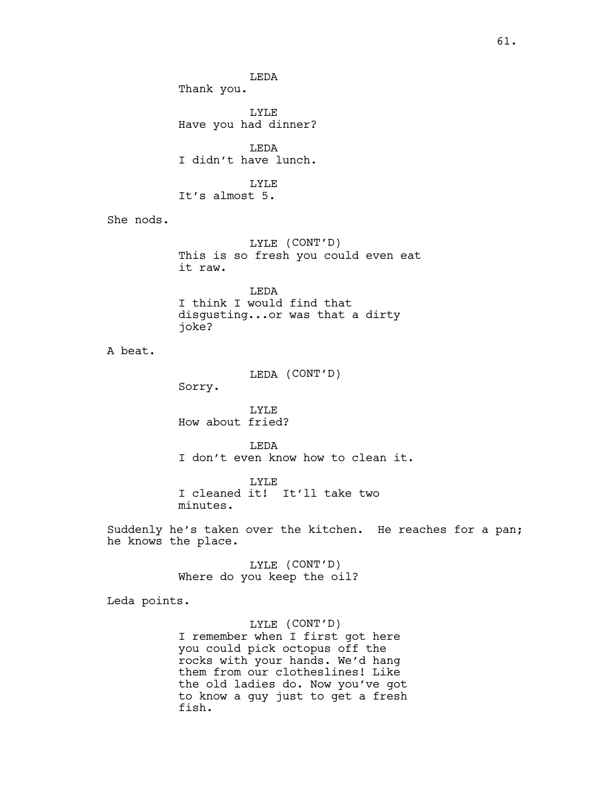LEDA LYLE Have you had dinner? LEDA I didn't have lunch. LYLE It's almost 5. LYLE (CONT'D) This is so fresh you could even eat LEDA I think I would find that disgusting...or was that a dirty LEDA (CONT'D)

LYLE

Thank you.

it raw.

joke?

Sorry.

How about fried?

**T.EDA** I don't even know how to clean it.

LYLE I cleaned it! It'll take two minutes.

Suddenly he's taken over the kitchen. He reaches for a pan; he knows the place.

> LYLE (CONT'D) Where do you keep the oil?

Leda points.

She nods.

A beat.

LYLE (CONT'D) I remember when I first got here you could pick octopus off the rocks with your hands. We'd hang them from our clotheslines! Like the old ladies do. Now you've got to know a guy just to get a fresh fish.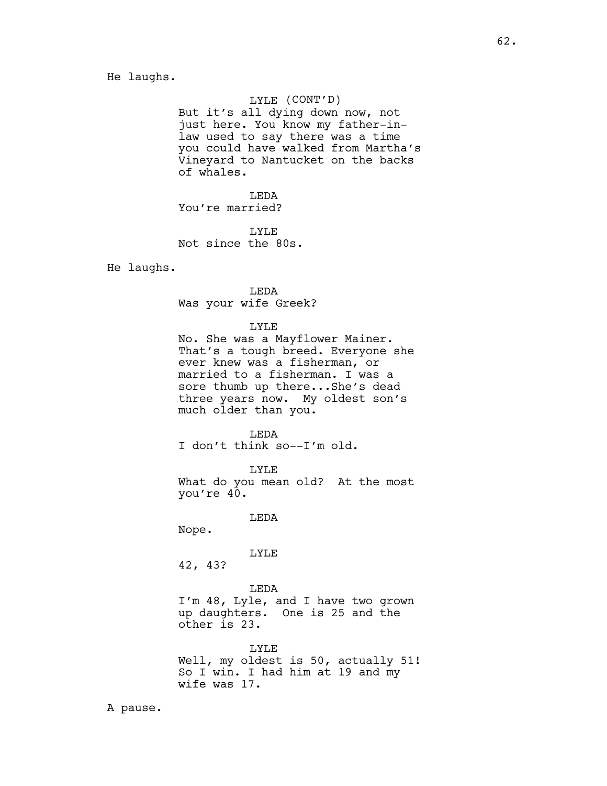He laughs.

### LYLE (CONT'D)

But it's all dying down now, not just here. You know my father-inlaw used to say there was a time you could have walked from Martha's Vineyard to Nantucket on the backs of whales.

LEDA You're married?

LYLE Not since the 80s.

He laughs.

LEDA Was your wife Greek?

#### LYLE

No. She was a Mayflower Mainer. That's a tough breed. Everyone she ever knew was a fisherman, or married to a fisherman. I was a sore thumb up there...She's dead three years now. My oldest son's much older than you.

#### LEDA

I don't think so--I'm old.

LYLE

What do you mean old? At the most you're 40.

LEDA

Nope.

### LYLE

42, 43?

#### LEDA

I'm 48, Lyle, and I have two grown up daughters. One is 25 and the other is 23.

LYLE Well, my oldest is 50, actually 51! So I win. I had him at 19 and my wife was 17.

A pause.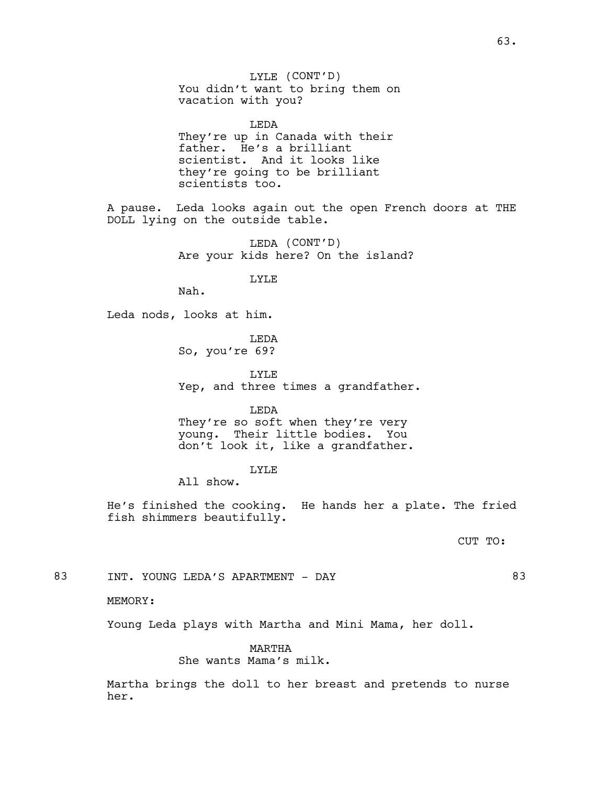LYLE (CONT'D) You didn't want to bring them on vacation with you?

LEDA They're up in Canada with their father. He's a brilliant scientist. And it looks like they're going to be brilliant scientists too.

A pause. Leda looks again out the open French doors at THE DOLL lying on the outside table.

> LEDA (CONT'D) Are your kids here? On the island?

> > LYLE

Nah.

Leda nods, looks at him.

LEDA So, you're 69?

LYLE Yep, and three times a grandfather.

LEDA

They're so soft when they're very young. Their little bodies. You don't look it, like a grandfather.

## LYLE

All show.

He's finished the cooking. He hands her a plate. The fried fish shimmers beautifully.

CUT TO:

83 INT. YOUNG LEDA'S APARTMENT - DAY 83

MEMORY:

Young Leda plays with Martha and Mini Mama, her doll.

MARTHA She wants Mama's milk.

Martha brings the doll to her breast and pretends to nurse her.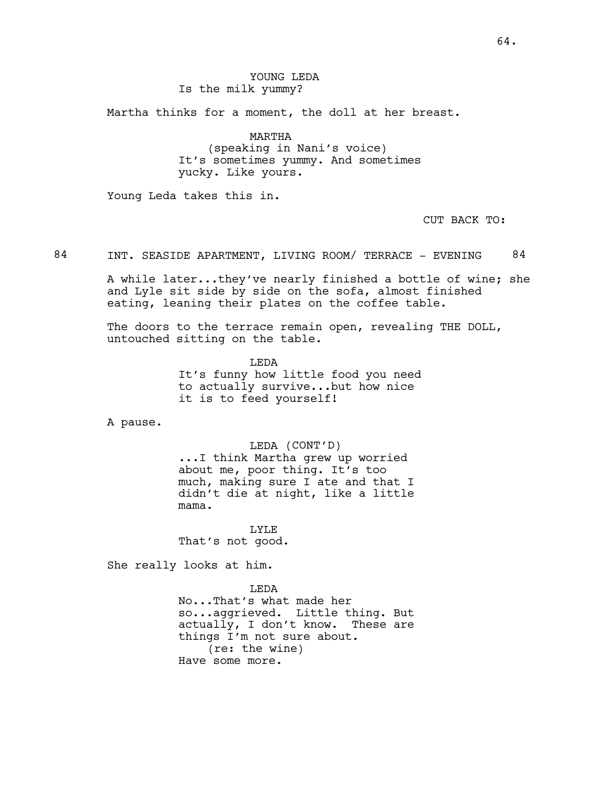# YOUNG LEDA Is the milk yummy?

Martha thinks for a moment, the doll at her breast.

MARTHA

(speaking in Nani's voice) It's sometimes yummy. And sometimes yucky. Like yours.

Young Leda takes this in.

CUT BACK TO:

84 INT. SEASIDE APARTMENT, LIVING ROOM/ TERRACE - EVENING 84

A while later...they've nearly finished a bottle of wine; she and Lyle sit side by side on the sofa, almost finished eating, leaning their plates on the coffee table.

The doors to the terrace remain open, revealing THE DOLL, untouched sitting on the table.

> **T.EDA** It's funny how little food you need to actually survive...but how nice it is to feed yourself!

A pause.

LEDA (CONT'D) ...I think Martha grew up worried about me, poor thing. It's too much, making sure I ate and that I didn't die at night, like a little mama.

LYLE That's not good.

She really looks at him.

LEDA No...That's what made her so...aggrieved. Little thing. But actually, I don't know. These are things I'm not sure about. (re: the wine) Have some more.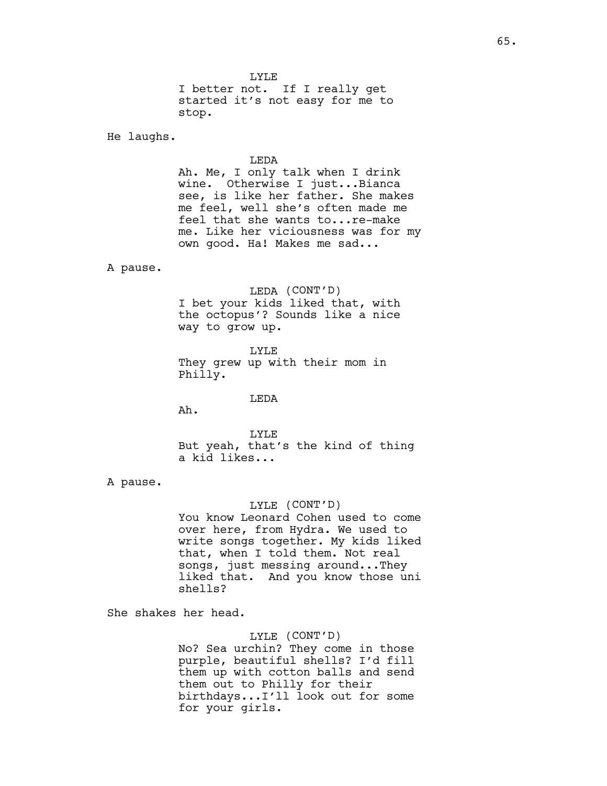LYLE I better not. If I really get started it's not easy for me to stop.

He laughs.

#### LEDA

Ah. Me, I only talk when I drink wine. Otherwise I just...Bianca see, is like her father. She makes me feel, well she's often made me feel that she wants to...re-make me. Like her viciousness was for my own good. Ha! Makes me sad...

# A pause.

#### LEDA (CONT'D)

I bet your kids liked that, with the octopus'? Sounds like a nice way to grow up.

LYLE They grew up with their mom in Philly.

## LEDA

Ah.

LYLE But yeah, that's the kind of thing a kid likes...

#### A pause.

#### LYLE (CONT'D)

You know Leonard Cohen used to come over here, from Hydra. We used to write songs together. My kids liked that, when I told them. Not real songs, just messing around...They liked that. And you know those uni shells?

She shakes her head.

#### LYLE (CONT'D)

No? Sea urchin? They come in those purple, beautiful shells? I'd fill them up with cotton balls and send them out to Philly for their birthdays...I'll look out for some for your girls.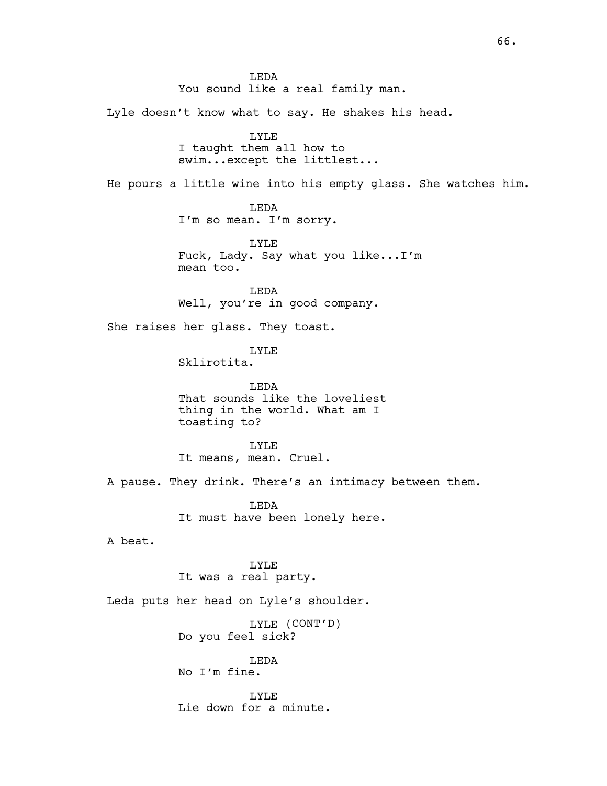**T.EDA** You sound like a real family man. Lyle doesn't know what to say. He shakes his head. LYLE I taught them all how to swim...except the littlest... He pours a little wine into his empty glass. She watches him. LEDA I'm so mean. I'm sorry. LYLE Fuck, Lady. Say what you like...I'm mean too. LEDA Well, you're in good company. She raises her glass. They toast. LYLE Sklirotita. LEDA That sounds like the loveliest thing in the world. What am I toasting to? LYLE It means, mean. Cruel. A pause. They drink. There's an intimacy between them. LEDA It must have been lonely here. A beat. LYLE It was a real party. Leda puts her head on Lyle's shoulder. LYLE (CONT'D) Do you feel sick? LEDA No I'm fine.

> LYLE Lie down for a minute.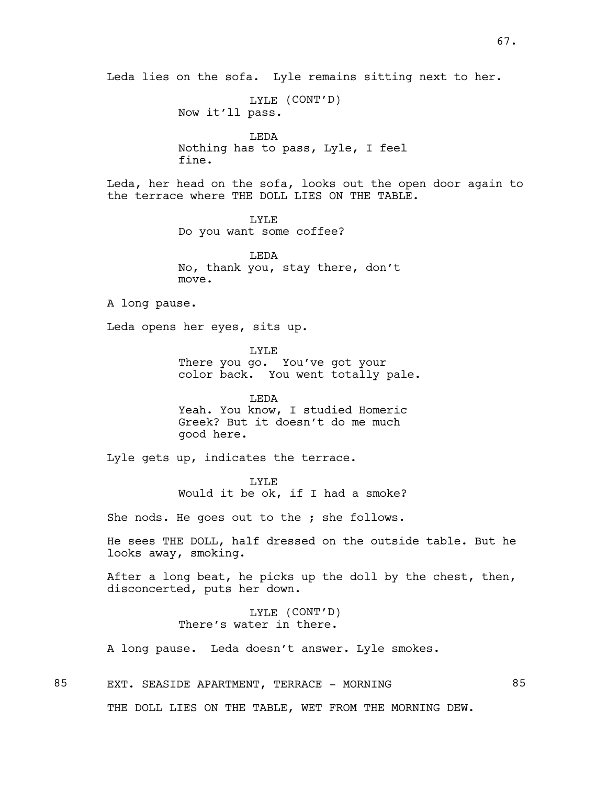Leda lies on the sofa. Lyle remains sitting next to her.

LYLE (CONT'D) Now it'll pass.

LEDA Nothing has to pass, Lyle, I feel fine.

Leda, her head on the sofa, looks out the open door again to the terrace where THE DOLL LIES ON THE TABLE.

> LYLE Do you want some coffee?

LEDA No, thank you, stay there, don't move.

A long pause.

Leda opens her eyes, sits up.

LYLE There you go. You've got your color back. You went totally pale.

LEDA Yeah. You know, I studied Homeric Greek? But it doesn't do me much good here.

Lyle gets up, indicates the terrace.

LYLE Would it be ok, if I had a smoke?

She nods. He goes out to the ; she follows.

He sees THE DOLL, half dressed on the outside table. But he looks away, smoking.

After a long beat, he picks up the doll by the chest, then, disconcerted, puts her down.

> LYLE (CONT'D) There's water in there.

A long pause. Leda doesn't answer. Lyle smokes.

85 EXT. SEASIDE APARTMENT, TERRACE - MORNING 85 THE DOLL LIES ON THE TABLE, WET FROM THE MORNING DEW.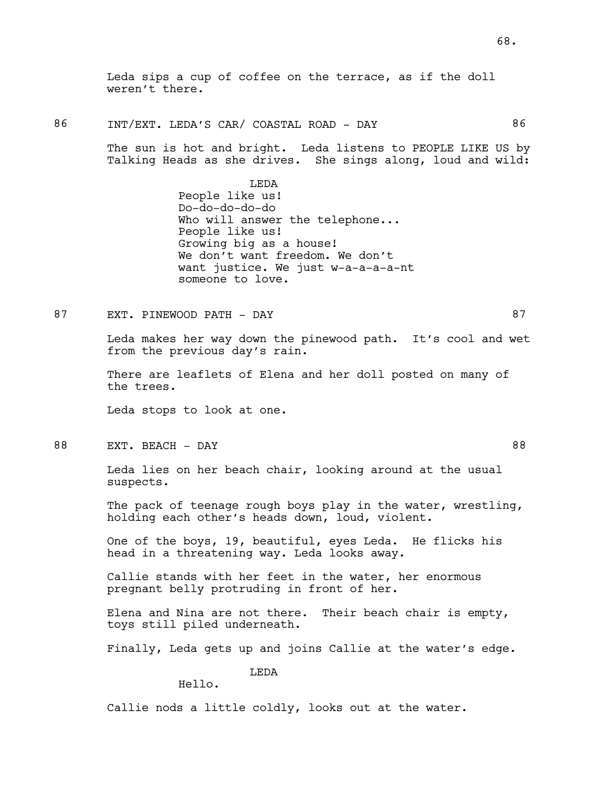Leda sips a cup of coffee on the terrace, as if the doll weren't there.

86 INT/EXT. LEDA'S CAR/ COASTAL ROAD - DAY 86

The sun is hot and bright. Leda listens to PEOPLE LIKE US by Talking Heads as she drives. She sings along, loud and wild:

> LEDA People like us! Do-do-do-do-do Who will answer the telephone... People like us! Growing big as a house! We don't want freedom. We don't want justice. We just w-a-a-a-a-nt someone to love.

87 EXT. PINEWOOD PATH - DAY 87

Leda makes her way down the pinewood path. It's cool and wet from the previous day's rain.

There are leaflets of Elena and her doll posted on many of the trees.

Leda stops to look at one.

88 EXT. BEACH - DAY 88

Leda lies on her beach chair, looking around at the usual suspects.

The pack of teenage rough boys play in the water, wrestling, holding each other's heads down, loud, violent.

One of the boys, 19, beautiful, eyes Leda. He flicks his head in a threatening way. Leda looks away.

Callie stands with her feet in the water, her enormous pregnant belly protruding in front of her.

Elena and Nina are not there. Their beach chair is empty, toys still piled underneath.

Finally, Leda gets up and joins Callie at the water's edge.

LEDA

Hello.

Callie nods a little coldly, looks out at the water.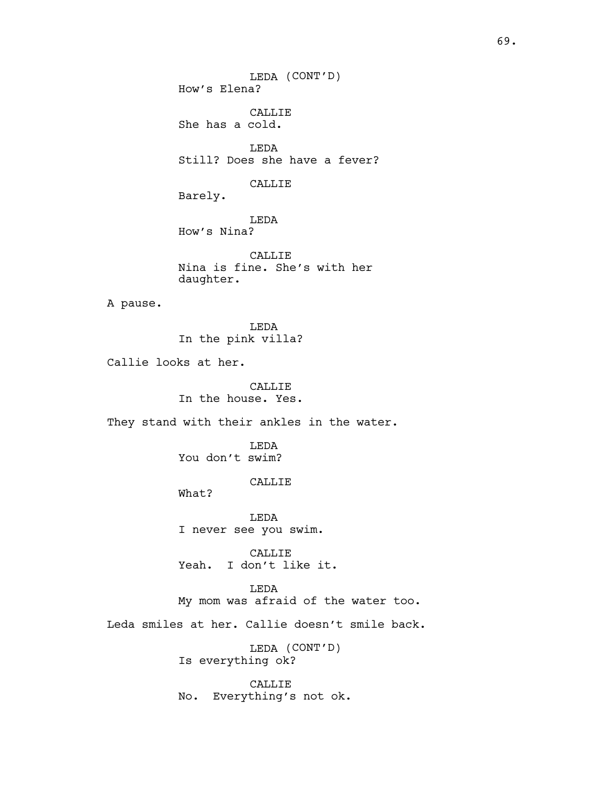LEDA (CONT'D) How's Elena? CALLIE She has a cold. LEDA Still? Does she have a fever? CALLIE Barely. LEDA How's Nina? CALLIE Nina is fine. She's with her daughter. A pause. LEDA In the pink villa? Callie looks at her. CALLIE In the house. Yes. They stand with their ankles in the water. LEDA You don't swim? CALLIE What? LEDA I never see you swim. CALLIE Yeah. I don't like it. LEDA My mom was afraid of the water too. Leda smiles at her. Callie doesn't smile back. LEDA (CONT'D) Is everything ok?

> CALLIE No. Everything's not ok.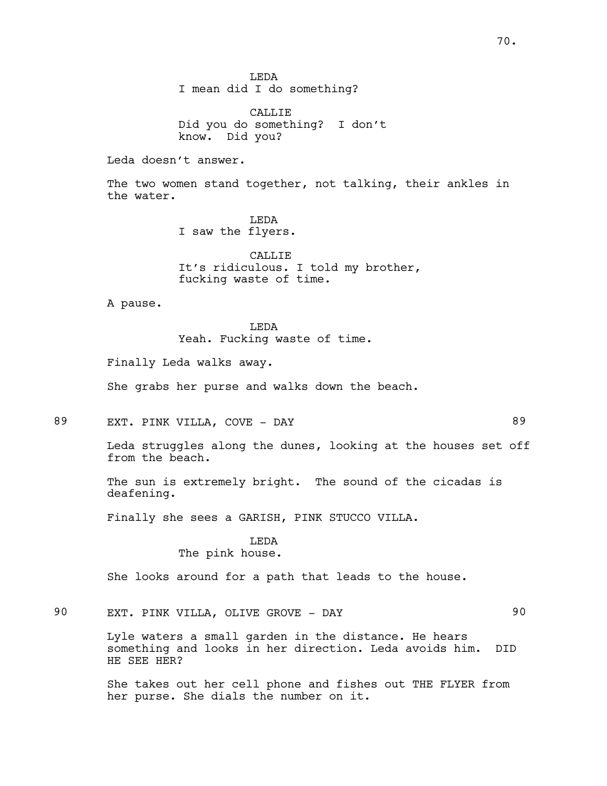LEDA I mean did I do something?

CALLIE Did you do something? I don't know. Did you?

Leda doesn't answer.

The two women stand together, not talking, their ankles in the water.

> LEDA I saw the flyers.

**CALLIE** It's ridiculous. I told my brother, fucking waste of time.

A pause.

LEDA Yeah. Fucking waste of time.

Finally Leda walks away.

She grabs her purse and walks down the beach.

89 EXT. PINK VILLA, COVE - DAY 69

Leda struggles along the dunes, looking at the houses set off from the beach.

The sun is extremely bright. The sound of the cicadas is deafening.

Finally she sees a GARISH, PINK STUCCO VILLA.

#### LEDA The pink house.

She looks around for a path that leads to the house.

90 EXT. PINK VILLA, OLIVE GROVE - DAY 90

Lyle waters a small garden in the distance. He hears something and looks in her direction. Leda avoids him. DID HE SEE HER?

She takes out her cell phone and fishes out THE FLYER from her purse. She dials the number on it.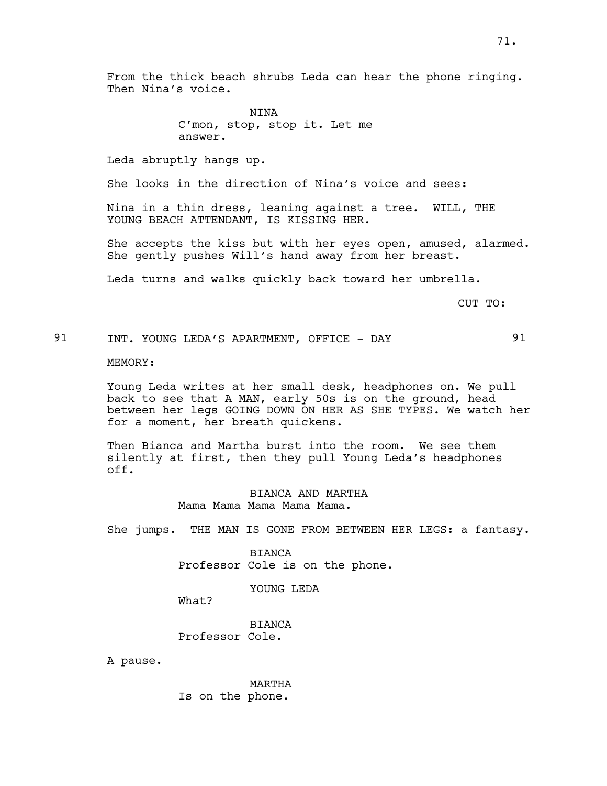From the thick beach shrubs Leda can hear the phone ringing. Then Nina's voice.

> **NTNA** C'mon, stop, stop it. Let me answer.

Leda abruptly hangs up.

She looks in the direction of Nina's voice and sees:

Nina in a thin dress, leaning against a tree. WILL, THE YOUNG BEACH ATTENDANT, IS KISSING HER.

She accepts the kiss but with her eyes open, amused, alarmed. She gently pushes Will's hand away from her breast.

Leda turns and walks quickly back toward her umbrella.

CUT TO:

91 INT. YOUNG LEDA'S APARTMENT, OFFICE - DAY 91

MEMORY:

Young Leda writes at her small desk, headphones on. We pull back to see that A MAN, early 50s is on the ground, head between her legs GOING DOWN ON HER AS SHE TYPES. We watch her for a moment, her breath quickens.

Then Bianca and Martha burst into the room. We see them silently at first, then they pull Young Leda's headphones off.

> BIANCA AND MARTHA Mama Mama Mama Mama Mama.

She jumps. THE MAN IS GONE FROM BETWEEN HER LEGS: a fantasy.

BIANCA Professor Cole is on the phone.

YOUNG LEDA

What?

**BIANCA** Professor Cole.

A pause.

MARTHA Is on the phone.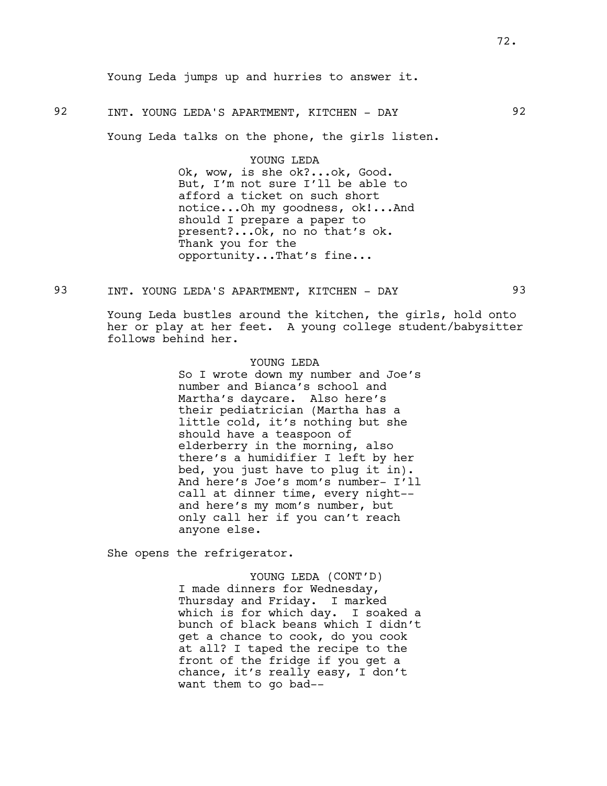## 92 INT. YOUNG LEDA'S APARTMENT, KITCHEN - DAY 92

Young Leda talks on the phone, the girls listen.

YOUNG LEDA Ok, wow, is she ok?...ok, Good. But, I'm not sure I'll be able to afford a ticket on such short notice...Oh my goodness, ok!...And should I prepare a paper to present?...Ok, no no that's ok. Thank you for the opportunity...That's fine...

93 INT. YOUNG LEDA'S APARTMENT, KITCHEN - DAY 93

Young Leda bustles around the kitchen, the girls, hold onto her or play at her feet. A young college student/babysitter follows behind her.

#### YOUNG LEDA

So I wrote down my number and Joe's number and Bianca's school and Martha's daycare. Also here's their pediatrician (Martha has a little cold, it's nothing but she should have a teaspoon of elderberry in the morning, also there's a humidifier I left by her bed, you just have to plug it in). And here's Joe's mom's number- I'll call at dinner time, every night- and here's my mom's number, but only call her if you can't reach anyone else.

She opens the refrigerator.

YOUNG LEDA (CONT'D) I made dinners for Wednesday, Thursday and Friday. I marked which is for which day. I soaked a bunch of black beans which I didn't get a chance to cook, do you cook at all? I taped the recipe to the front of the fridge if you get a chance, it's really easy, I don't want them to go bad--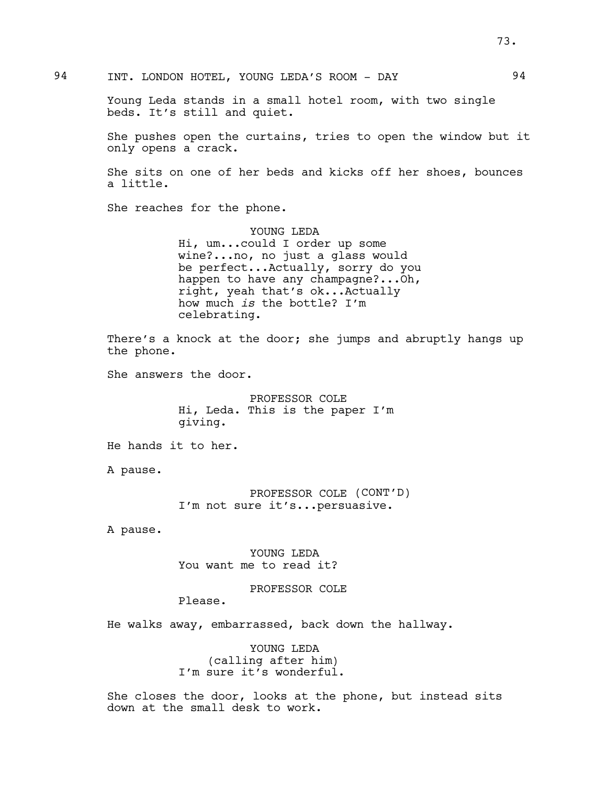Young Leda stands in a small hotel room, with two single beds. It's still and quiet.

She pushes open the curtains, tries to open the window but it only opens a crack.

She sits on one of her beds and kicks off her shoes, bounces a little.

She reaches for the phone.

YOUNG LEDA Hi, um...could I order up some wine?...no, no just a glass would be perfect...Actually, sorry do you happen to have any champagne?...Oh, right, yeah that's ok...Actually how much *is* the bottle? I'm celebrating.

There's a knock at the door; she jumps and abruptly hangs up the phone.

She answers the door.

PROFESSOR COLE Hi, Leda. This is the paper I'm giving.

He hands it to her.

A pause.

PROFESSOR COLE (CONT'D) I'm not sure it's...persuasive.

A pause.

YOUNG LEDA You want me to read it?

PROFESSOR COLE

Please.

He walks away, embarrassed, back down the hallway.

YOUNG LEDA (calling after him) I'm sure it's wonderful.

She closes the door, looks at the phone, but instead sits down at the small desk to work.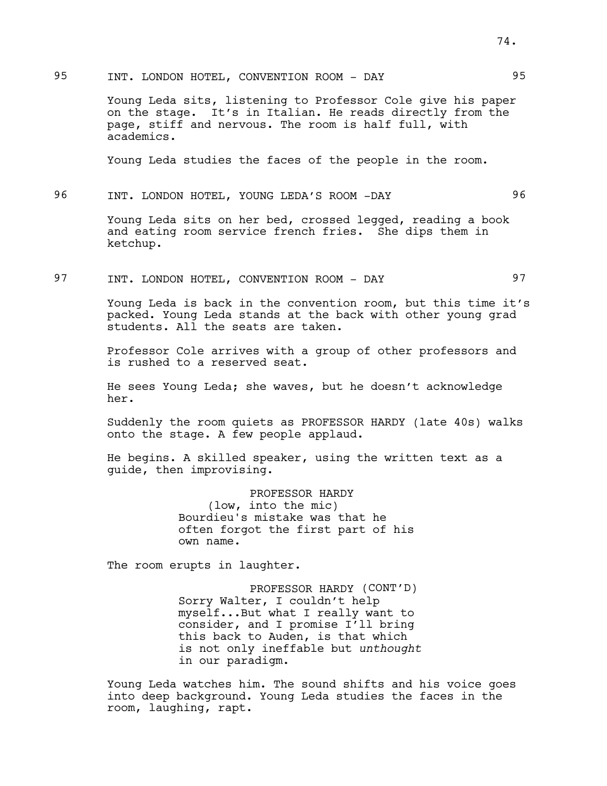# 95 INT. LONDON HOTEL, CONVENTION ROOM - DAY 95

Young Leda sits, listening to Professor Cole give his paper on the stage. It's in Italian. He reads directly from the page, stiff and nervous. The room is half full, with academics.

Young Leda studies the faces of the people in the room.

## 96 INT. LONDON HOTEL, YOUNG LEDA'S ROOM -DAY 96

Young Leda sits on her bed, crossed legged, reading a book and eating room service french fries. She dips them in ketchup.

97 INT. LONDON HOTEL, CONVENTION ROOM - DAY 97

Young Leda is back in the convention room, but this time it's packed. Young Leda stands at the back with other young grad students. All the seats are taken.

Professor Cole arrives with a group of other professors and is rushed to a reserved seat.

He sees Young Leda; she waves, but he doesn't acknowledge her.

Suddenly the room quiets as PROFESSOR HARDY (late 40s) walks onto the stage. A few people applaud.

He begins. A skilled speaker, using the written text as a guide, then improvising.

> PROFESSOR HARDY (low, into the mic) Bourdieu's mistake was that he often forgot the first part of his own name.

The room erupts in laughter.

PROFESSOR HARDY (CONT'D) Sorry Walter, I couldn't help myself...But what I really want to consider, and I promise I'll bring this back to Auden, is that which is not only ineffable but *unthought* in our paradigm.

Young Leda watches him. The sound shifts and his voice goes into deep background. Young Leda studies the faces in the room, laughing, rapt.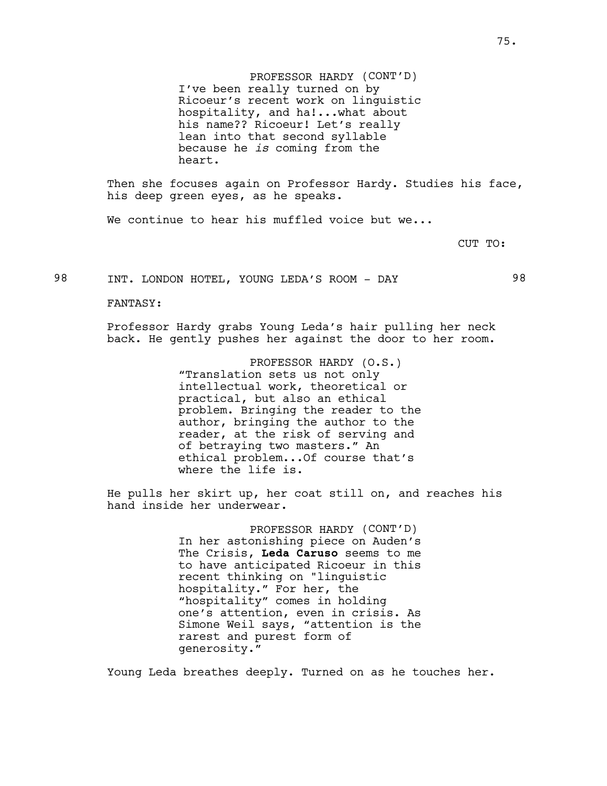PROFESSOR HARDY (CONT'D) I've been really turned on by Ricoeur's recent work on linguistic hospitality, and ha!...what about his name?? Ricoeur! Let's really lean into that second syllable because he *is* coming from the heart.

Then she focuses again on Professor Hardy. Studies his face, his deep green eyes, as he speaks.

We continue to hear his muffled voice but we...

CUT TO:

98 INT. LONDON HOTEL, YOUNG LEDA'S ROOM - DAY 98

FANTASY:

Professor Hardy grabs Young Leda's hair pulling her neck back. He gently pushes her against the door to her room.

> PROFESSOR HARDY (O.S.) "Translation sets us not only intellectual work, theoretical or practical, but also an ethical problem. Bringing the reader to the author, bringing the author to the reader, at the risk of serving and of betraying two masters." An ethical problem...Of course that's where the life is.

He pulls her skirt up, her coat still on, and reaches his hand inside her underwear.

> PROFESSOR HARDY (CONT'D) In her astonishing piece on Auden's The Crisis, **Leda Caruso** seems to me to have anticipated Ricoeur in this recent thinking on "linguistic hospitality." For her, the "hospitality" comes in holding one's attention, even in crisis. As Simone Weil says, "attention is the rarest and purest form of generosity."

Young Leda breathes deeply. Turned on as he touches her.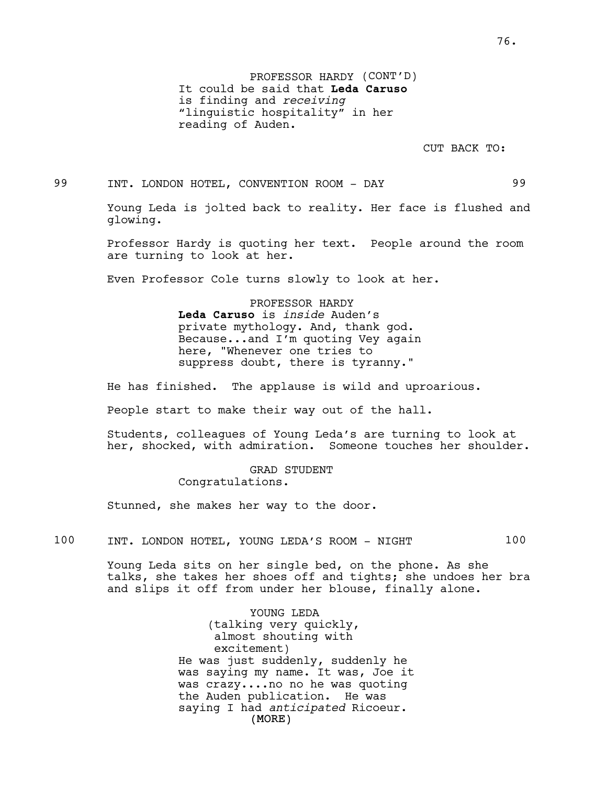76.

PROFESSOR HARDY (CONT'D) It could be said that **Leda Caruso** is finding and *receiving* "linguistic hospitality" in her reading of Auden.

CUT BACK TO:

99 INT. LONDON HOTEL, CONVENTION ROOM - DAY 99

Young Leda is jolted back to reality. Her face is flushed and glowing.

Professor Hardy is quoting her text. People around the room are turning to look at her.

Even Professor Cole turns slowly to look at her.

PROFESSOR HARDY **Leda Caruso** is *inside* Auden's private mythology. And, thank god. Because...and I'm quoting Vey again here, "Whenever one tries to suppress doubt, there is tyranny."

He has finished. The applause is wild and uproarious.

People start to make their way out of the hall.

Students, colleagues of Young Leda's are turning to look at her, shocked, with admiration. Someone touches her shoulder.

> GRAD STUDENT Congratulations.

Stunned, she makes her way to the door.

100 INT. LONDON HOTEL, YOUNG LEDA'S ROOM - NIGHT 100

Young Leda sits on her single bed, on the phone. As she talks, she takes her shoes off and tights; she undoes her bra and slips it off from under her blouse, finally alone.

> (MORE) YOUNG LEDA (talking very quickly, almost shouting with excitement) He was just suddenly, suddenly he was saying my name. It was, Joe it was crazy....no no he was quoting the Auden publication. He was saying I had *anticipated* Ricoeur.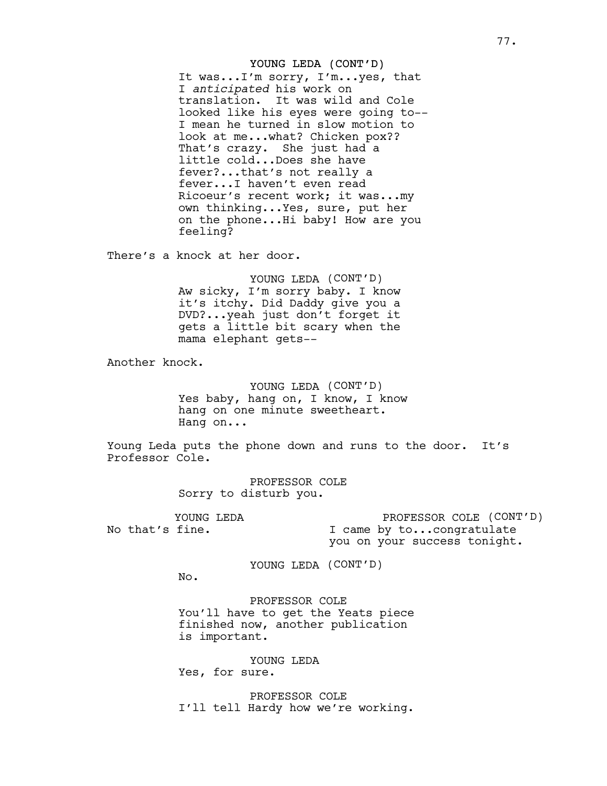#### YOUNG LEDA (CONT'D)

It was...I'm sorry, I'm...yes, that I *anticipated* his work on translation. It was wild and Cole looked like his eyes were going to-- I mean he turned in slow motion to look at me...what? Chicken pox?? That's crazy. She just had a little cold...Does she have fever?...that's not really a fever...I haven't even read Ricoeur's recent work; it was...my own thinking...Yes, sure, put her on the phone...Hi baby! How are you feeling?

There's a knock at her door.

YOUNG LEDA (CONT'D) Aw sicky, I'm sorry baby. I know it's itchy. Did Daddy give you a DVD?...yeah just don't forget it gets a little bit scary when the mama elephant gets--

Another knock.

YOUNG LEDA (CONT'D) Yes baby, hang on, I know, I know hang on one minute sweetheart. Hang on...

Young Leda puts the phone down and runs to the door. It's Professor Cole.

> PROFESSOR COLE Sorry to disturb you.

YOUNG LEDA No that's fine. PROFESSOR COLE (CONT'D) I came by to...congratulate you on your success tonight.

YOUNG LEDA (CONT'D)

No.

PROFESSOR COLE You'll have to get the Yeats piece finished now, another publication is important.

YOUNG LEDA Yes, for sure.

PROFESSOR COLE I'll tell Hardy how we're working.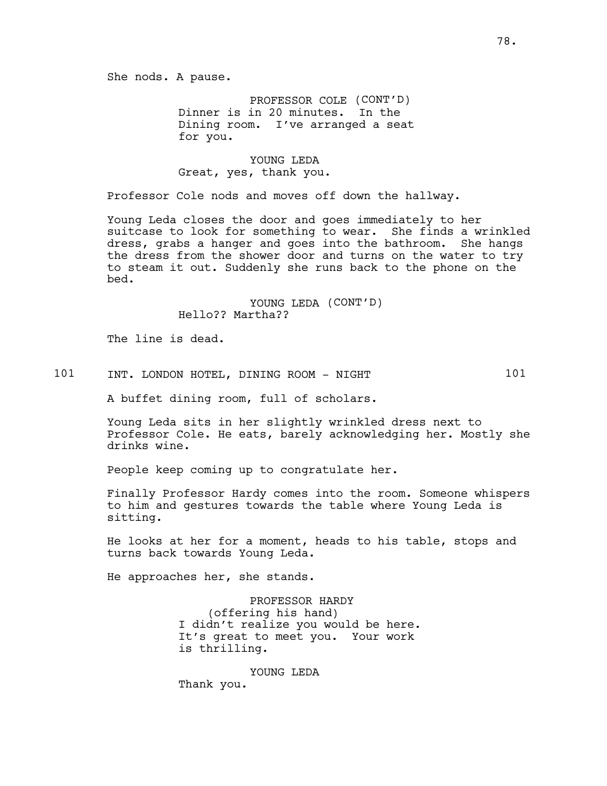She nods. A pause.

PROFESSOR COLE (CONT'D) Dinner is in 20 minutes. In the Dining room. I've arranged a seat for you.

YOUNG LEDA Great, yes, thank you.

Professor Cole nods and moves off down the hallway.

Young Leda closes the door and goes immediately to her suitcase to look for something to wear. She finds a wrinkled dress, grabs a hanger and goes into the bathroom. She hangs the dress from the shower door and turns on the water to try to steam it out. Suddenly she runs back to the phone on the bed.

> YOUNG LEDA (CONT'D) Hello?? Martha??

The line is dead.

101 INT. LONDON HOTEL, DINING ROOM - NIGHT 101

A buffet dining room, full of scholars.

Young Leda sits in her slightly wrinkled dress next to Professor Cole. He eats, barely acknowledging her. Mostly she drinks wine.

People keep coming up to congratulate her.

Finally Professor Hardy comes into the room. Someone whispers to him and gestures towards the table where Young Leda is sitting.

He looks at her for a moment, heads to his table, stops and turns back towards Young Leda.

He approaches her, she stands.

PROFESSOR HARDY (offering his hand) I didn't realize you would be here. It's great to meet you. Your work is thrilling.

YOUNG LEDA

Thank you.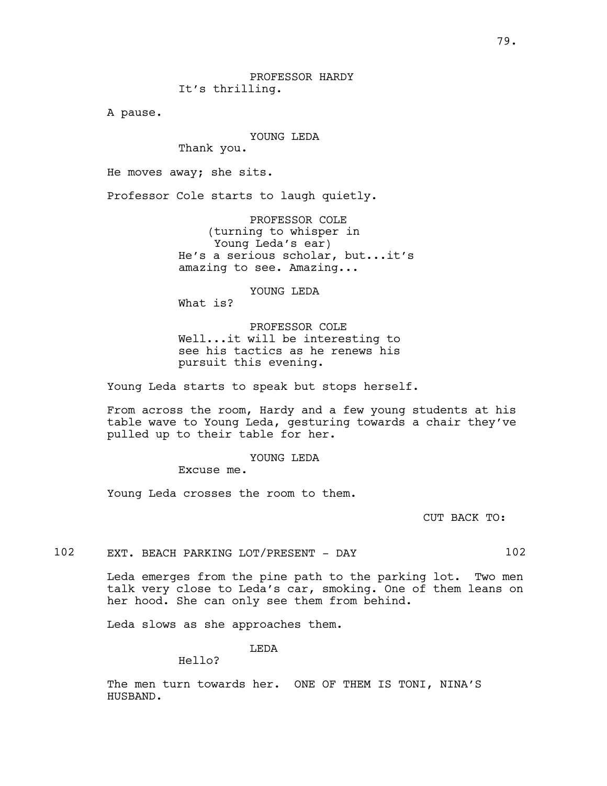PROFESSOR HARDY It's thrilling.

A pause.

YOUNG LEDA

Thank you.

He moves away; she sits.

Professor Cole starts to laugh quietly.

PROFESSOR COLE (turning to whisper in Young Leda's ear) He's a serious scholar, but...it's amazing to see. Amazing...

YOUNG LEDA

What is?

PROFESSOR COLE Well...it will be interesting to see his tactics as he renews his pursuit this evening.

Young Leda starts to speak but stops herself.

From across the room, Hardy and a few young students at his table wave to Young Leda, gesturing towards a chair they've pulled up to their table for her.

YOUNG LEDA

Excuse me.

Young Leda crosses the room to them.

CUT BACK TO:

102 EXT. BEACH PARKING LOT/PRESENT - DAY 102

Leda emerges from the pine path to the parking lot. Two men talk very close to Leda's car, smoking. One of them leans on her hood. She can only see them from behind.

Leda slows as she approaches them.

LEDA

Hello?

The men turn towards her. ONE OF THEM IS TONI, NINA'S HUSBAND.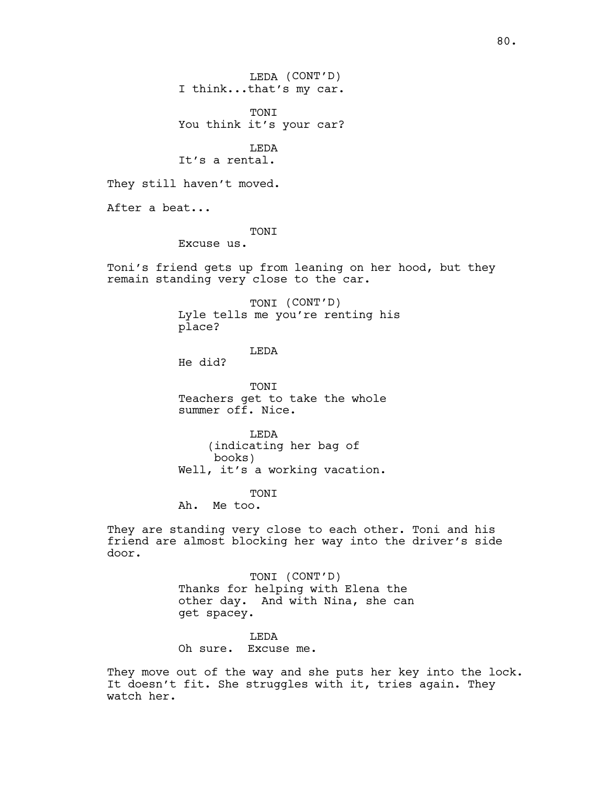LEDA (CONT'D) I think...that's my car.

TONI You think it's your car?

LEDA It's a rental.

They still haven't moved.

After a beat...

#### **TONT**

Excuse us.

Toni's friend gets up from leaning on her hood, but they remain standing very close to the car.

> TONI (CONT'D) Lyle tells me you're renting his place?

#### LEDA

He did?

TONI Teachers get to take the whole summer off. Nice.

LEDA (indicating her bag of books) Well, it's a working vacation.

#### **TONT**

Ah. Me too.

They are standing very close to each other. Toni and his friend are almost blocking her way into the driver's side door.

> TONI (CONT'D) Thanks for helping with Elena the other day. And with Nina, she can get spacey.

LEDA Oh sure. Excuse me.

They move out of the way and she puts her key into the lock. It doesn't fit. She struggles with it, tries again. They watch her.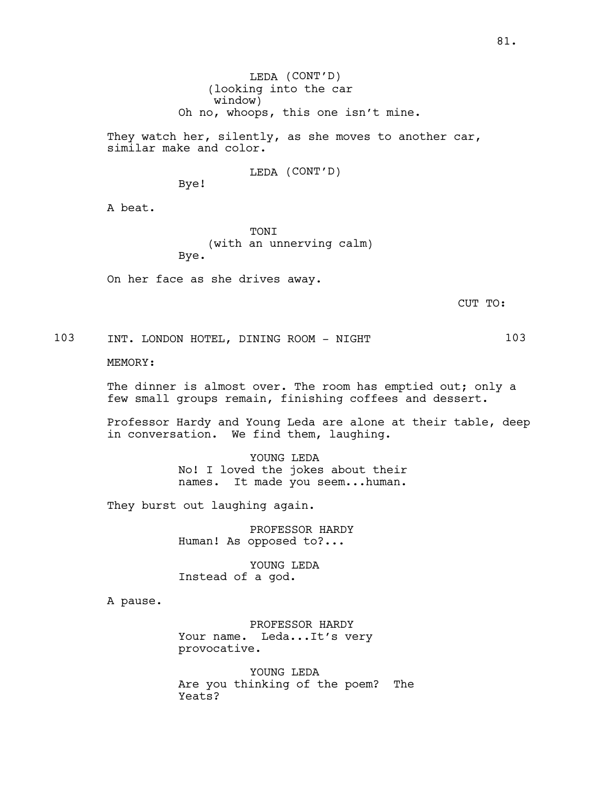LEDA (CONT'D) (looking into the car window) Oh no, whoops, this one isn't mine.

They watch her, silently, as she moves to another car, similar make and color.

LEDA (CONT'D)

Bye!

A beat.

**TONT** (with an unnerving calm) Bye.

On her face as she drives away.

CUT TO:

103 INT. LONDON HOTEL, DINING ROOM - NIGHT 103

MEMORY:

The dinner is almost over. The room has emptied out; only a few small groups remain, finishing coffees and dessert.

Professor Hardy and Young Leda are alone at their table, deep in conversation. We find them, laughing.

> YOUNG LEDA No! I loved the jokes about their names. It made you seem...human.

They burst out laughing again.

PROFESSOR HARDY Human! As opposed to?...

YOUNG LEDA Instead of a god.

A pause.

PROFESSOR HARDY Your name. Leda...It's very provocative.

YOUNG LEDA Are you thinking of the poem? The Yeats?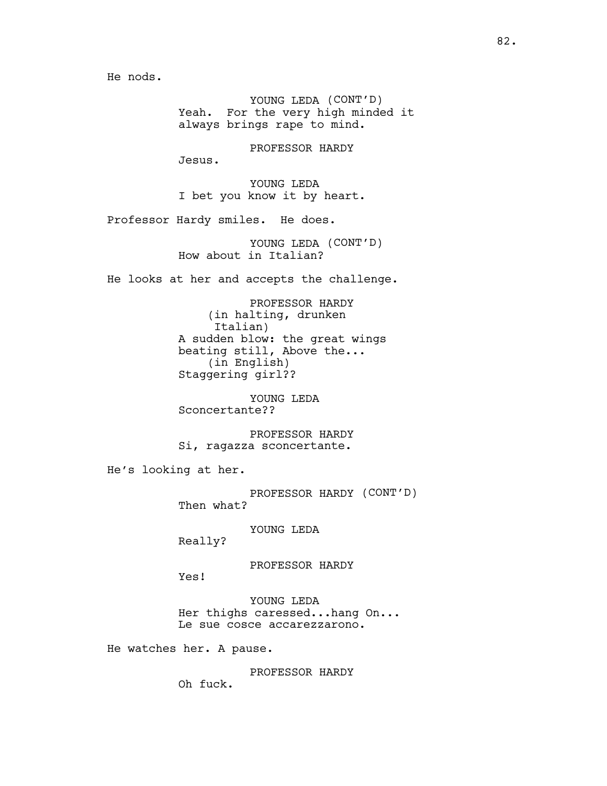He nods.

YOUNG LEDA (CONT'D) Yeah. For the very high minded it always brings rape to mind.

PROFESSOR HARDY

Jesus.

YOUNG LEDA I bet you know it by heart.

Professor Hardy smiles. He does.

YOUNG LEDA (CONT'D) How about in Italian?

He looks at her and accepts the challenge.

PROFESSOR HARDY (in halting, drunken Italian) A sudden blow: the great wings beating still, Above the... (in English) Staggering girl??

YOUNG LEDA Sconcertante??

PROFESSOR HARDY Si, ragazza sconcertante.

He's looking at her.

PROFESSOR HARDY (CONT'D) Then what?

YOUNG LEDA

Really?

Yes!

PROFESSOR HARDY

YOUNG LEDA Her thighs caressed...hang On... Le sue cosce accarezzarono.

He watches her. A pause.

PROFESSOR HARDY

Oh fuck.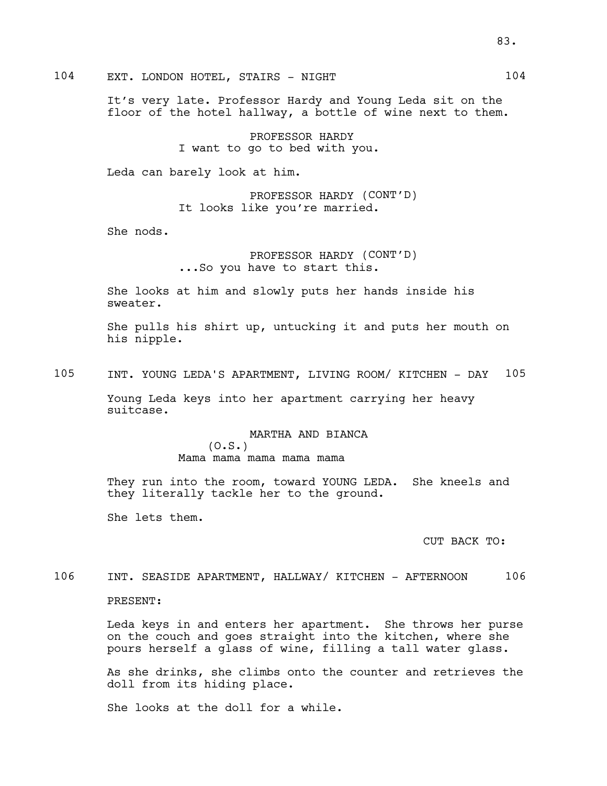104 EXT. LONDON HOTEL, STAIRS - NIGHT 104

It's very late. Professor Hardy and Young Leda sit on the floor of the hotel hallway, a bottle of wine next to them.

> PROFESSOR HARDY I want to go to bed with you.

Leda can barely look at him.

PROFESSOR HARDY (CONT'D) It looks like you're married.

She nods.

PROFESSOR HARDY (CONT'D) ...So you have to start this.

She looks at him and slowly puts her hands inside his sweater.

She pulls his shirt up, untucking it and puts her mouth on his nipple.

105 INT. YOUNG LEDA'S APARTMENT, LIVING ROOM/ KITCHEN - DAY 105

Young Leda keys into her apartment carrying her heavy suitcase.

> MARTHA AND BIANCA  $(0.S.)$ Mama mama mama mama mama

They run into the room, toward YOUNG LEDA. She kneels and they literally tackle her to the ground.

She lets them.

CUT BACK TO:

106 INT. SEASIDE APARTMENT, HALLWAY/ KITCHEN - AFTERNOON 106

## PRESENT:

Leda keys in and enters her apartment. She throws her purse on the couch and goes straight into the kitchen, where she pours herself a glass of wine, filling a tall water glass.

As she drinks, she climbs onto the counter and retrieves the doll from its hiding place.

She looks at the doll for a while.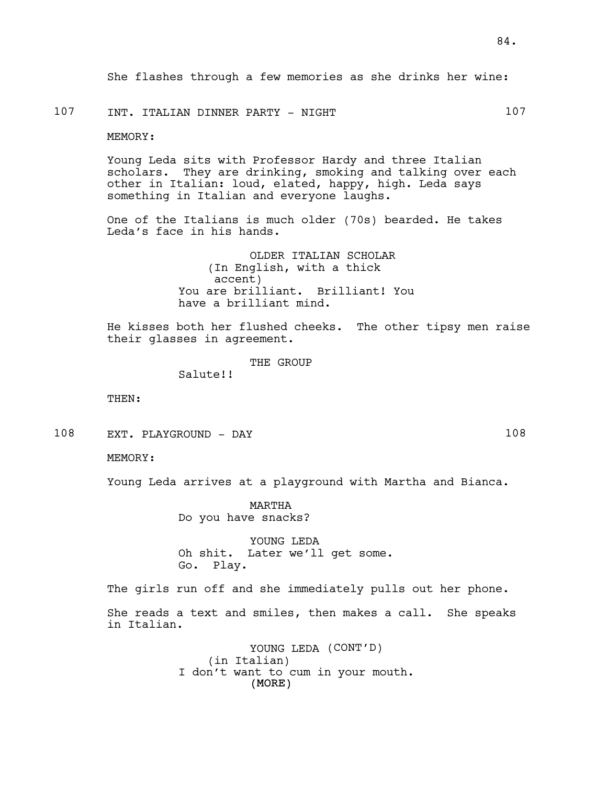107 INT. ITALIAN DINNER PARTY - NIGHT 107

#### MEMORY:

Young Leda sits with Professor Hardy and three Italian scholars. They are drinking, smoking and talking over each other in Italian: loud, elated, happy, high. Leda says something in Italian and everyone laughs.

One of the Italians is much older (70s) bearded. He takes Leda's face in his hands.

> OLDER ITALIAN SCHOLAR (In English, with a thick accent) You are brilliant. Brilliant! You have a brilliant mind.

He kisses both her flushed cheeks. The other tipsy men raise their glasses in agreement.

THE GROUP

Salute!!

THEN:

108 EXT. PLAYGROUND - DAY 108

MEMORY:

Young Leda arrives at a playground with Martha and Bianca.

MARTHA Do you have snacks?

YOUNG LEDA Oh shit. Later we'll get some. Go. Play.

The girls run off and she immediately pulls out her phone.

She reads a text and smiles, then makes a call. She speaks in Italian.

> (MORE) YOUNG LEDA (CONT'D) (in Italian) I don't want to cum in your mouth.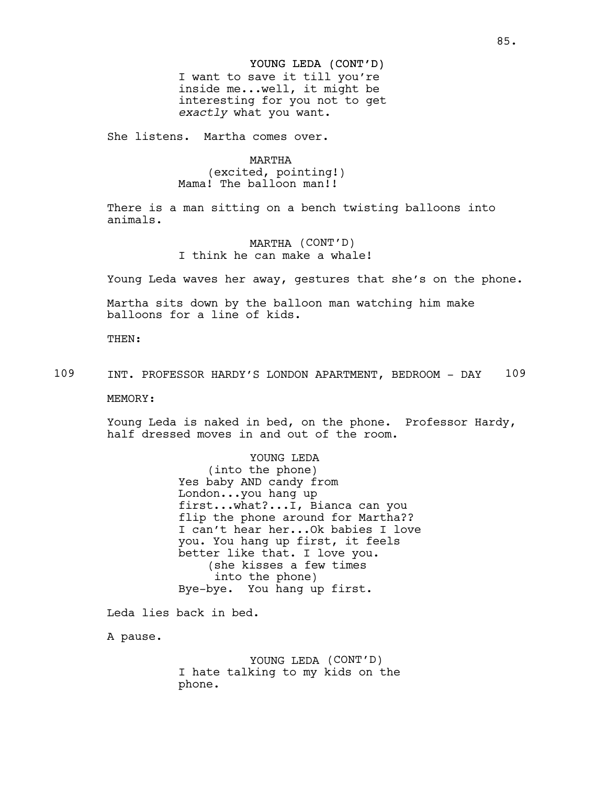#### YOUNG LEDA (CONT'D)

I want to save it till you're inside me...well, it might be interesting for you not to get *exactly* what you want.

She listens. Martha comes over.

#### MARTHA

(excited, pointing!) Mama! The balloon man!!

There is a man sitting on a bench twisting balloons into animals.

> MARTHA (CONT'D) I think he can make a whale!

Young Leda waves her away, gestures that she's on the phone.

Martha sits down by the balloon man watching him make balloons for a line of kids.

THEN:

109 INT. PROFESSOR HARDY'S LONDON APARTMENT, BEDROOM - DAY 109

MEMORY:

Young Leda is naked in bed, on the phone. Professor Hardy, half dressed moves in and out of the room.

> YOUNG LEDA (into the phone) Yes baby AND candy from London...you hang up first...what?...I, Bianca can you flip the phone around for Martha?? I can't hear her...Ok babies I love you. You hang up first, it feels better like that. I love you. (she kisses a few times into the phone) Bye-bye. You hang up first.

Leda lies back in bed.

A pause.

YOUNG LEDA (CONT'D) I hate talking to my kids on the phone.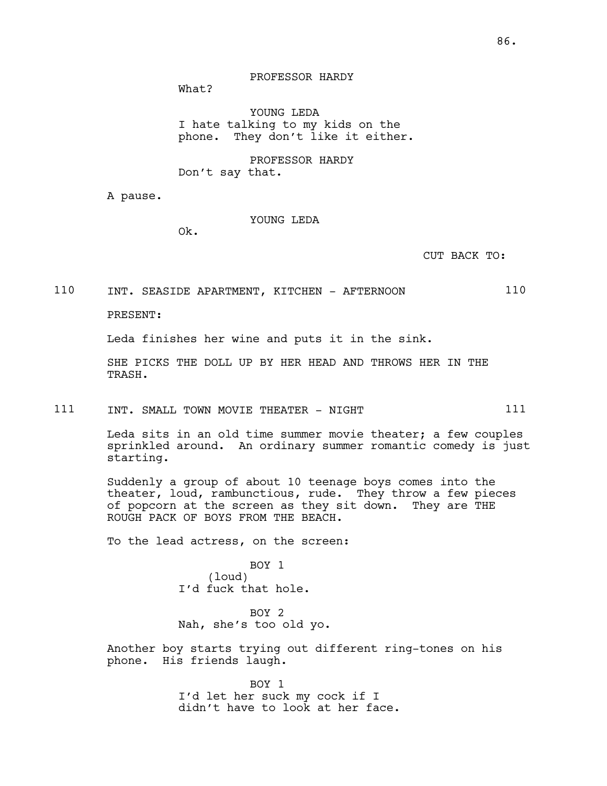# PROFESSOR HARDY

What?

YOUNG LEDA I hate talking to my kids on the phone. They don't like it either.

PROFESSOR HARDY Don't say that.

A pause.

YOUNG LEDA

Ok.

CUT BACK TO:

## 110 INT. SEASIDE APARTMENT, KITCHEN - AFTERNOON 110

PRESENT:

Leda finishes her wine and puts it in the sink.

SHE PICKS THE DOLL UP BY HER HEAD AND THROWS HER IN THE TRASH.

111 INT. SMALL TOWN MOVIE THEATER - NIGHT 111

Leda sits in an old time summer movie theater; a few couples sprinkled around. An ordinary summer romantic comedy is just starting.

Suddenly a group of about 10 teenage boys comes into the theater, loud, rambunctious, rude. They throw a few pieces of popcorn at the screen as they sit down. They are THE ROUGH PACK OF BOYS FROM THE BEACH.

To the lead actress, on the screen:

BOY 1 (loud) I'd fuck that hole.

BOY 2 Nah, she's too old yo.

Another boy starts trying out different ring-tones on his phone. His friends laugh.

> BOY 1 I'd let her suck my cock if I didn't have to look at her face.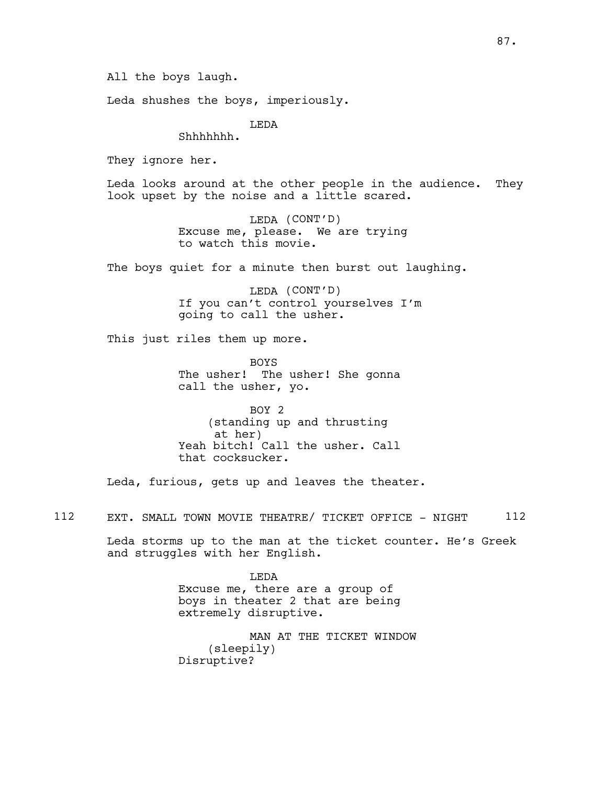All the boys laugh.

Leda shushes the boys, imperiously.

LEDA

Shhhhhhh.

They ignore her.

Leda looks around at the other people in the audience. They look upset by the noise and a little scared.

> LEDA (CONT'D) Excuse me, please. We are trying to watch this movie.

The boys quiet for a minute then burst out laughing.

LEDA (CONT'D) If you can't control yourselves I'm going to call the usher.

This just riles them up more.

BOYS The usher! The usher! She gonna call the usher, yo.

BOY 2 (standing up and thrusting at her) Yeah bitch! Call the usher. Call that cocksucker.

Leda, furious, gets up and leaves the theater.

112 EXT. SMALL TOWN MOVIE THEATRE/ TICKET OFFICE - NIGHT 112

Leda storms up to the man at the ticket counter. He's Greek and struggles with her English.

> LEDA Excuse me, there are a group of boys in theater 2 that are being extremely disruptive.

MAN AT THE TICKET WINDOW (sleepily) Disruptive?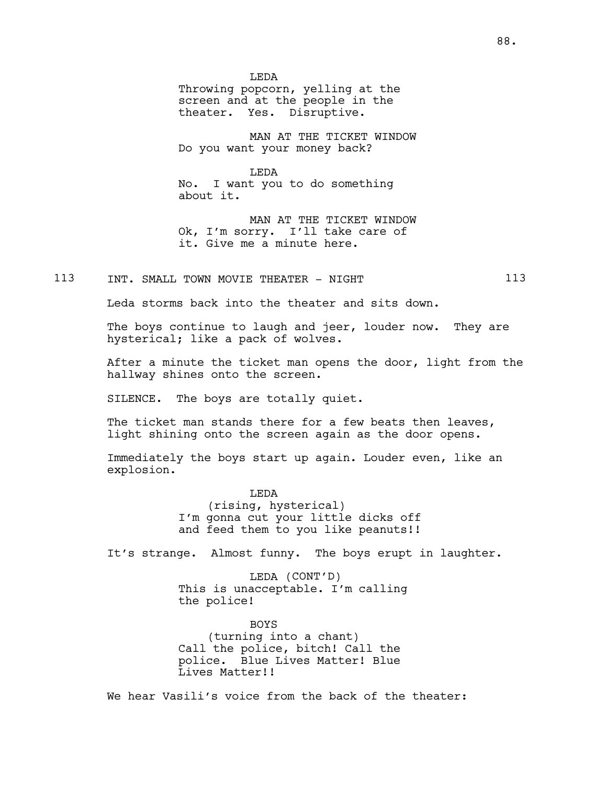**T.EDA** Throwing popcorn, yelling at the screen and at the people in the theater. Yes. Disruptive.

MAN AT THE TICKET WINDOW Do you want your money back?

LEDA No. I want you to do something about it.

MAN AT THE TICKET WINDOW Ok, I'm sorry. I'll take care of it. Give me a minute here.

113 INT. SMALL TOWN MOVIE THEATER - NIGHT 113

Leda storms back into the theater and sits down.

The boys continue to laugh and jeer, louder now. They are hysterical; like a pack of wolves.

After a minute the ticket man opens the door, light from the hallway shines onto the screen.

SILENCE. The boys are totally quiet.

The ticket man stands there for a few beats then leaves, light shining onto the screen again as the door opens.

Immediately the boys start up again. Louder even, like an explosion.

> LEDA (rising, hysterical) I'm gonna cut your little dicks off and feed them to you like peanuts!!

It's strange. Almost funny. The boys erupt in laughter.

LEDA (CONT'D) This is unacceptable. I'm calling the police!

BOYS (turning into a chant) Call the police, bitch! Call the police. Blue Lives Matter! Blue Lives Matter!!

We hear Vasili's voice from the back of the theater: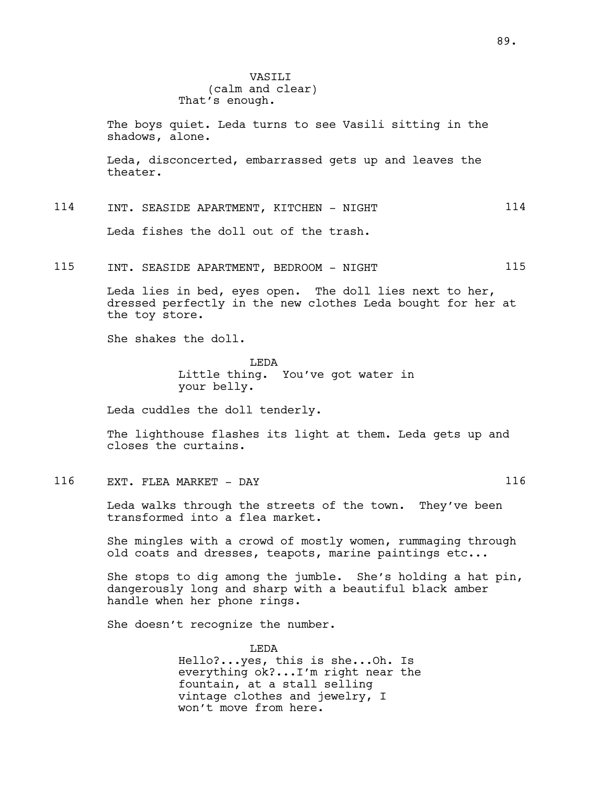## **VASTLT** (calm and clear) That's enough.

The boys quiet. Leda turns to see Vasili sitting in the shadows, alone.

Leda, disconcerted, embarrassed gets up and leaves the theater.

# 114 INT. SEASIDE APARTMENT, KITCHEN - NIGHT 114

Leda fishes the doll out of the trash.

## 115 INT. SEASIDE APARTMENT, BEDROOM - NIGHT 115

Leda lies in bed, eyes open. The doll lies next to her, dressed perfectly in the new clothes Leda bought for her at the toy store.

She shakes the doll.

LEDA Little thing. You've got water in your belly.

Leda cuddles the doll tenderly.

The lighthouse flashes its light at them. Leda gets up and closes the curtains.

116 EXT. FLEA MARKET - DAY 116

Leda walks through the streets of the town. They've been transformed into a flea market.

She mingles with a crowd of mostly women, rummaging through old coats and dresses, teapots, marine paintings etc...

She stops to dig among the jumble. She's holding a hat pin, dangerously long and sharp with a beautiful black amber handle when her phone rings.

She doesn't recognize the number.

LEDA Hello?...yes, this is she...Oh. Is everything ok?...I'm right near the fountain, at a stall selling vintage clothes and jewelry, I won't move from here.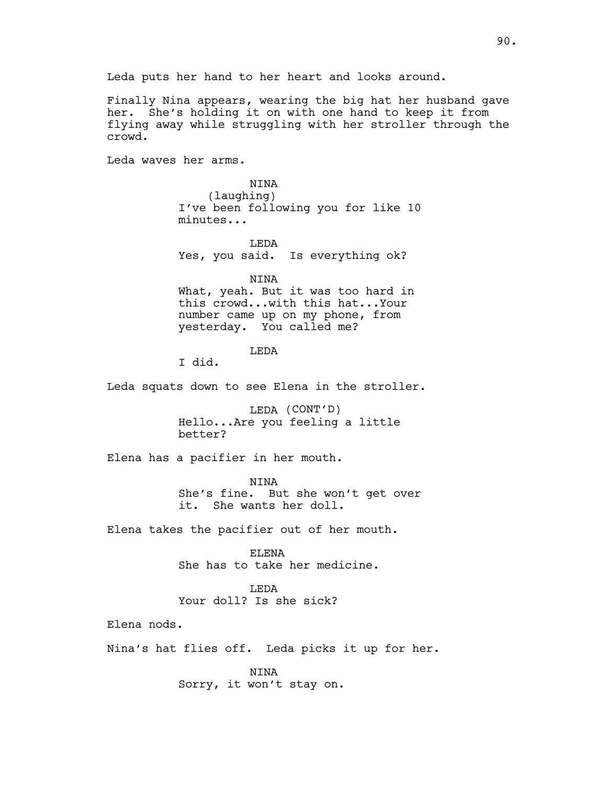Finally Nina appears, wearing the big hat her husband gave her. She's holding it on with one hand to keep it from flying away while struggling with her stroller through the crowd.

Leda waves her arms.

NINA (laughing) I've been following you for like 10 minutes...

LEDA Yes, you said. Is everything ok?

NINA

What, yeah. But it was too hard in this crowd...with this hat...Your number came up on my phone, from yesterday. You called me?

## LEDA

I did.

Leda squats down to see Elena in the stroller.

LEDA (CONT'D) Hello...Are you feeling a little better?

Elena has a pacifier in her mouth.

NINA She's fine. But she won't get over it. She wants her doll.

Elena takes the pacifier out of her mouth.

ELENA

She has to take her medicine.

## LEDA

Your doll? Is she sick?

Elena nods.

Nina's hat flies off. Leda picks it up for her.

NINA Sorry, it won't stay on.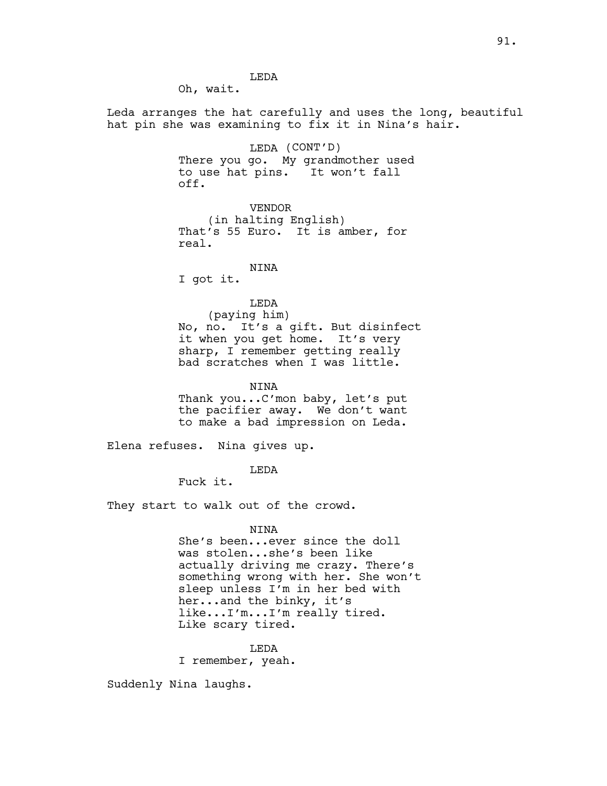LEDA

Oh, wait.

Leda arranges the hat carefully and uses the long, beautiful hat pin she was examining to fix it in Nina's hair.

> LEDA (CONT'D) There you go. My grandmother used to use hat pins. It won't fall off.

VENDOR (in halting English) That's 55 Euro. It is amber, for real.

NINA

I got it.

## LEDA

(paying him) No, no. It's a gift. But disinfect it when you get home. It's very sharp, I remember getting really bad scratches when I was little.

NINA

Thank you...C'mon baby, let's put the pacifier away. We don't want to make a bad impression on Leda.

Elena refuses. Nina gives up.

LEDA

Fuck it.

They start to walk out of the crowd.

NINA

She's been...ever since the doll was stolen...she's been like actually driving me crazy. There's something wrong with her. She won't sleep unless I'm in her bed with her...and the binky, it's like...I'm...I'm really tired. Like scary tired.

LEDA

I remember, yeah.

Suddenly Nina laughs.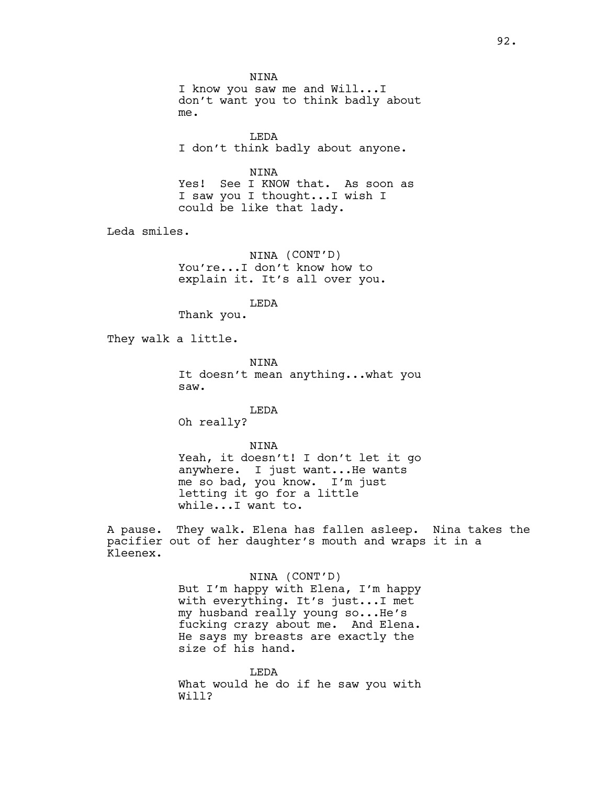NINA I know you saw me and Will...I don't want you to think badly about me.

LEDA I don't think badly about anyone.

NINA

Yes! See I KNOW that. As soon as I saw you I thought...I wish I could be like that lady.

Leda smiles.

NINA (CONT'D) You're...I don't know how to explain it. It's all over you.

LEDA

Thank you.

They walk a little.

NINA It doesn't mean anything...what you saw.

LEDA Oh really?

NINA Yeah, it doesn't! I don't let it go anywhere. I just want...He wants me so bad, you know. I'm just letting it go for a little while...I want to.

A pause. They walk. Elena has fallen asleep. Nina takes the pacifier out of her daughter's mouth and wraps it in a Kleenex.

> NINA (CONT'D) But I'm happy with Elena, I'm happy with everything. It's just...I met my husband really young so...He's fucking crazy about me. And Elena. He says my breasts are exactly the size of his hand.

> LEDA What would he do if he saw you with Will?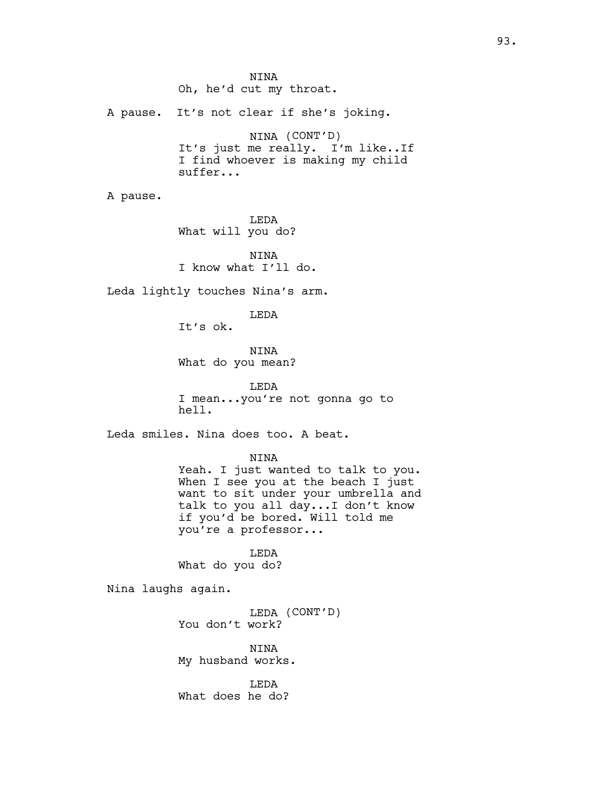NINA Oh, he'd cut my throat.

A pause. It's not clear if she's joking.

NINA (CONT'D) It's just me really. I'm like..If I find whoever is making my child suffer...

A pause.

LEDA What will you do?

**NTNA** I know what I'll do.

Leda lightly touches Nina's arm.

LEDA

It's ok.

NINA What do you mean?

LEDA I mean...you're not gonna go to hell.

Leda smiles. Nina does too. A beat.

NINA

Yeah. I just wanted to talk to you. When I see you at the beach I just want to sit under your umbrella and talk to you all day...I don't know if you'd be bored. Will told me you're a professor...

LEDA What do you do?

Nina laughs again.

LEDA (CONT'D) You don't work?

NINA My husband works.

LEDA What does he do?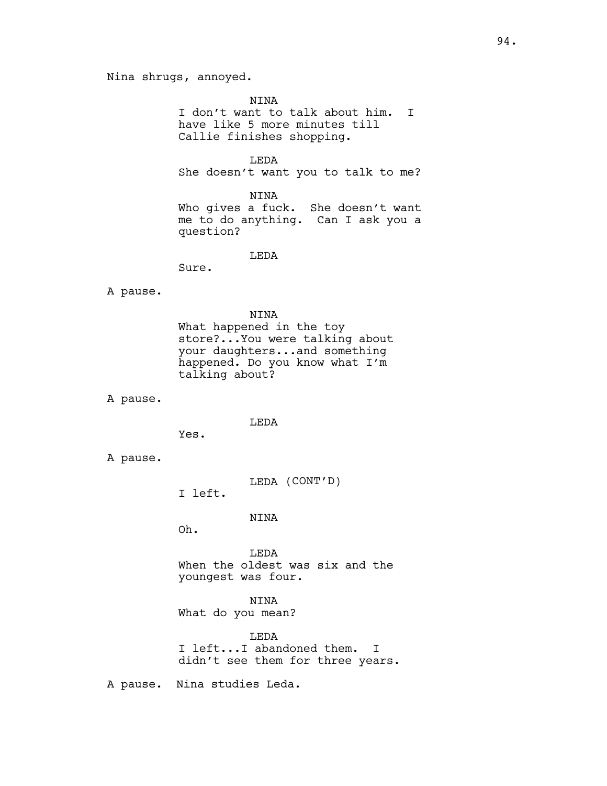Nina shrugs, annoyed.

NINA

I don't want to talk about him. I have like 5 more minutes till Callie finishes shopping.

LEDA

She doesn't want you to talk to me?

NINA

Who gives a fuck. She doesn't want me to do anything. Can I ask you a question?

LEDA

Sure.

A pause.

NINA What happened in the toy store?...You were talking about your daughters...and something happened. Do you know what I'm talking about?

A pause.

LEDA

Yes.

A pause.

LEDA (CONT'D)

I left.

NINA

Oh.

LEDA When the oldest was six and the youngest was four.

NINA What do you mean?

LEDA I left...I abandoned them. I didn't see them for three years.

A pause. Nina studies Leda.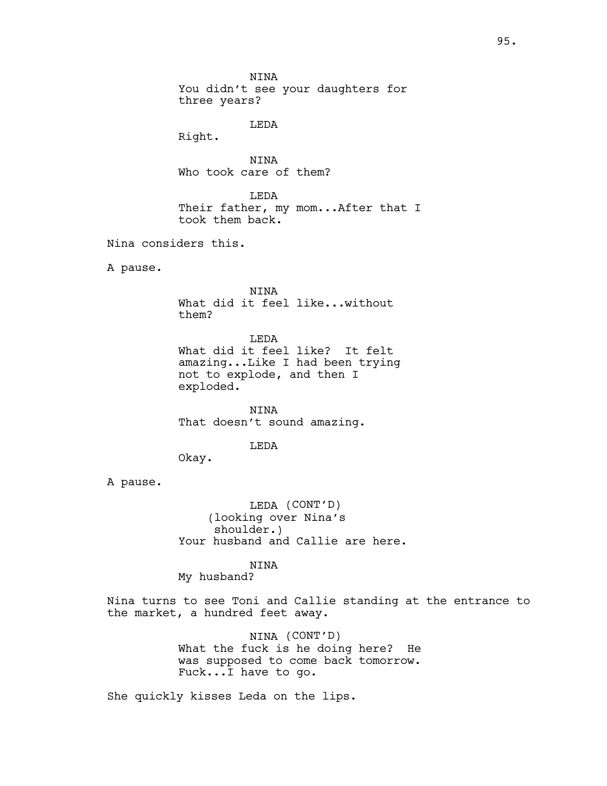NINA You didn't see your daughters for three years?

LEDA

Right.

NINA Who took care of them?

LEDA Their father, my mom...After that I took them back.

Nina considers this.

A pause.

NINA What did it feel like...without them?

LEDA What did it feel like? It felt amazing...Like I had been trying not to explode, and then I exploded.

NINA That doesn't sound amazing.

#### LEDA

Okay.

A pause.

LEDA (CONT'D) (looking over Nina's shoulder.) Your husband and Callie are here.

#### NINA

My husband?

Nina turns to see Toni and Callie standing at the entrance to the market, a hundred feet away.

> NINA (CONT'D) What the fuck is he doing here? He was supposed to come back tomorrow. Fuck...I have to go.

She quickly kisses Leda on the lips.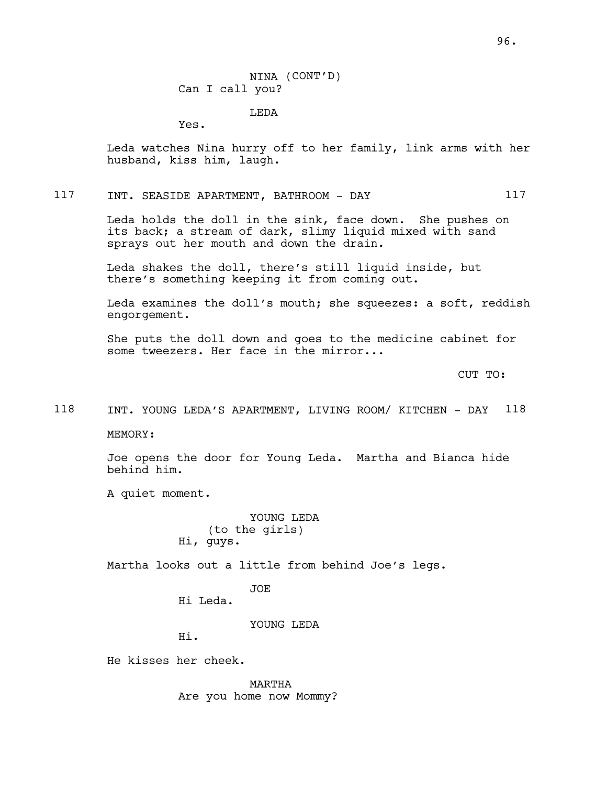NINA (CONT'D) Can I call you?

LEDA

Yes.

Leda watches Nina hurry off to her family, link arms with her husband, kiss him, laugh.

# 117 INT. SEASIDE APARTMENT, BATHROOM - DAY 117

Leda holds the doll in the sink, face down. She pushes on its back; a stream of dark, slimy liquid mixed with sand sprays out her mouth and down the drain.

Leda shakes the doll, there's still liquid inside, but there's something keeping it from coming out.

Leda examines the doll's mouth; she squeezes: a soft, reddish engorgement.

She puts the doll down and goes to the medicine cabinet for some tweezers. Her face in the mirror...

CUT TO:

## 118 INT. YOUNG LEDA'S APARTMENT, LIVING ROOM/ KITCHEN - DAY 118

MEMORY:

Joe opens the door for Young Leda. Martha and Bianca hide behind him.

A quiet moment.

YOUNG LEDA (to the girls) Hi, guys.

Martha looks out a little from behind Joe's legs.

JOE

Hi Leda.

YOUNG LEDA

Hi.

He kisses her cheek.

MARTHA Are you home now Mommy?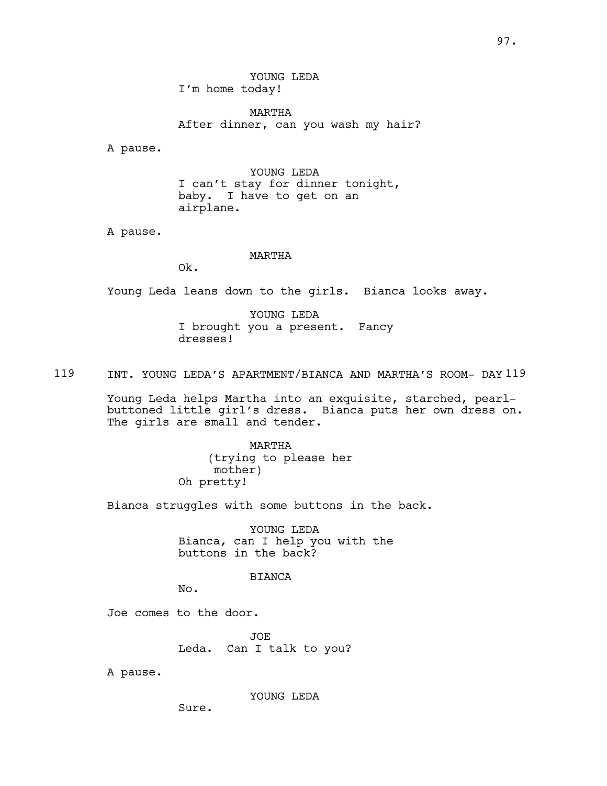MARTHA After dinner, can you wash my hair?

A pause.

YOUNG LEDA I can't stay for dinner tonight, baby. I have to get on an airplane.

A pause.

#### MARTHA

Ok.

Young Leda leans down to the girls. Bianca looks away.

YOUNG LEDA I brought you a present. Fancy dresses!

119 INT. YOUNG LEDA'S APARTMENT/BIANCA AND MARTHA'S ROOM- DAY 119

Young Leda helps Martha into an exquisite, starched, pearlbuttoned little girl's dress. Bianca puts her own dress on. The girls are small and tender.

> MARTHA (trying to please her mother) Oh pretty!

Bianca struggles with some buttons in the back.

YOUNG LEDA Bianca, can I help you with the buttons in the back?

## **BTANCA**

No.

Joe comes to the door.

JOE Leda. Can I talk to you?

A pause.

YOUNG LEDA

Sure.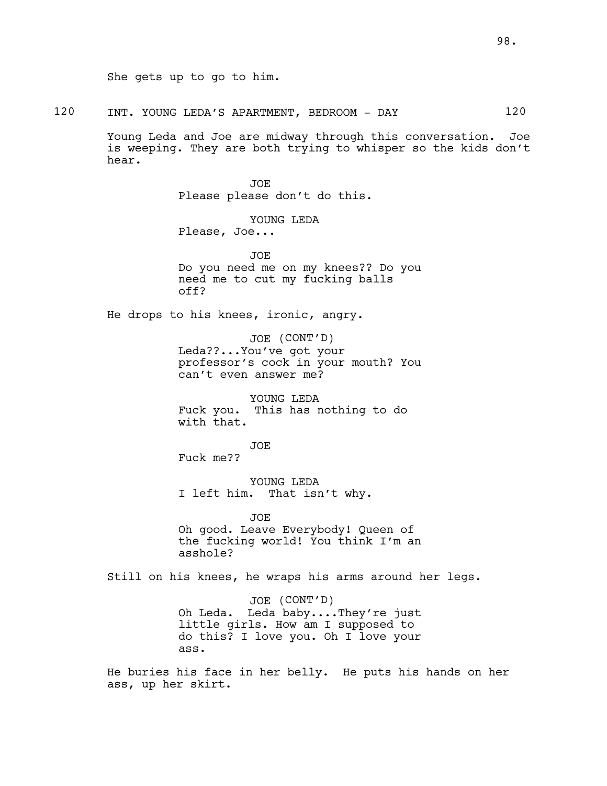She gets up to go to him.

120 INT. YOUNG LEDA'S APARTMENT, BEDROOM - DAY 120

Young Leda and Joe are midway through this conversation. Joe is weeping. They are both trying to whisper so the kids don't hear.

> JOE Please please don't do this.

YOUNG LEDA Please, Joe...

JOE Do you need me on my knees?? Do you need me to cut my fucking balls off?

He drops to his knees, ironic, angry.

JOE (CONT'D) Leda??...You've got your professor's cock in your mouth? You can't even answer me?

YOUNG LEDA Fuck you. This has nothing to do with that.

JOE

Fuck me??

YOUNG LEDA I left him. That isn't why.

JOE Oh good. Leave Everybody! Queen of the fucking world! You think I'm an asshole?

Still on his knees, he wraps his arms around her legs.

JOE (CONT'D) Oh Leda. Leda baby....They're just little girls. How am I supposed to do this? I love you. Oh I love your ass.

He buries his face in her belly. He puts his hands on her ass, up her skirt.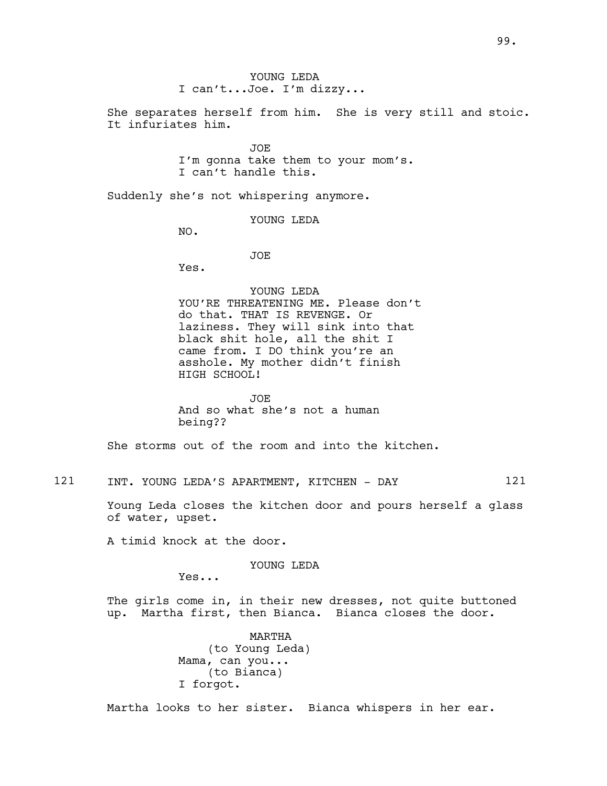99.

YOUNG LEDA I can't...Joe. I'm dizzy...

She separates herself from him. She is very still and stoic. It infuriates him.

> JOE I'm gonna take them to your mom's. I can't handle this.

Suddenly she's not whispering anymore.

YOUNG LEDA

NO.

JOE

Yes.

YOUNG LEDA

YOU'RE THREATENING ME. Please don't do that. THAT IS REVENGE. Or laziness. They will sink into that black shit hole, all the shit I came from. I DO think you're an asshole. My mother didn't finish HIGH SCHOOL!

JOE And so what she's not a human being??

She storms out of the room and into the kitchen.

121 INT. YOUNG LEDA'S APARTMENT, KITCHEN - DAY 121

Young Leda closes the kitchen door and pours herself a glass of water, upset.

A timid knock at the door.

YOUNG LEDA

Yes...

The girls come in, in their new dresses, not quite buttoned up. Martha first, then Bianca. Bianca closes the door.

> MARTHA (to Young Leda) Mama, can you... (to Bianca) I forgot.

Martha looks to her sister. Bianca whispers in her ear.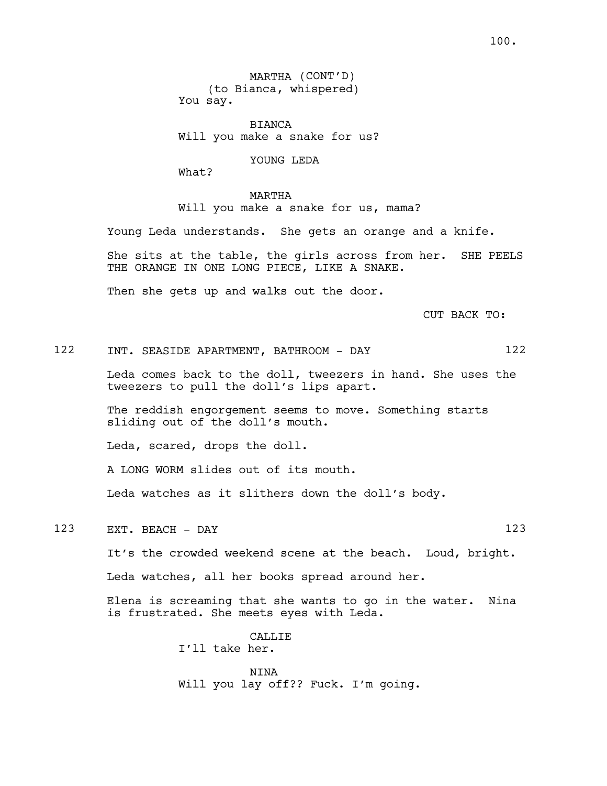MARTHA (CONT'D) (to Bianca, whispered) You say.

BIANCA Will you make a snake for us?

YOUNG LEDA

What?

MARTHA Will you make a snake for us, mama?

Young Leda understands. She gets an orange and a knife.

She sits at the table, the girls across from her. SHE PEELS THE ORANGE IN ONE LONG PIECE, LIKE A SNAKE.

Then she gets up and walks out the door.

CUT BACK TO:

122 INT. SEASIDE APARTMENT, BATHROOM - DAY 122

Leda comes back to the doll, tweezers in hand. She uses the tweezers to pull the doll's lips apart.

The reddish engorgement seems to move. Something starts sliding out of the doll's mouth.

Leda, scared, drops the doll.

A LONG WORM slides out of its mouth.

Leda watches as it slithers down the doll's body.

123 EXT. BEACH - DAY 123

It's the crowded weekend scene at the beach. Loud, bright.

Leda watches, all her books spread around her.

Elena is screaming that she wants to go in the water. Nina is frustrated. She meets eyes with Leda.

> CALLIE I'll take her.

NINA Will you lay off?? Fuck. I'm going.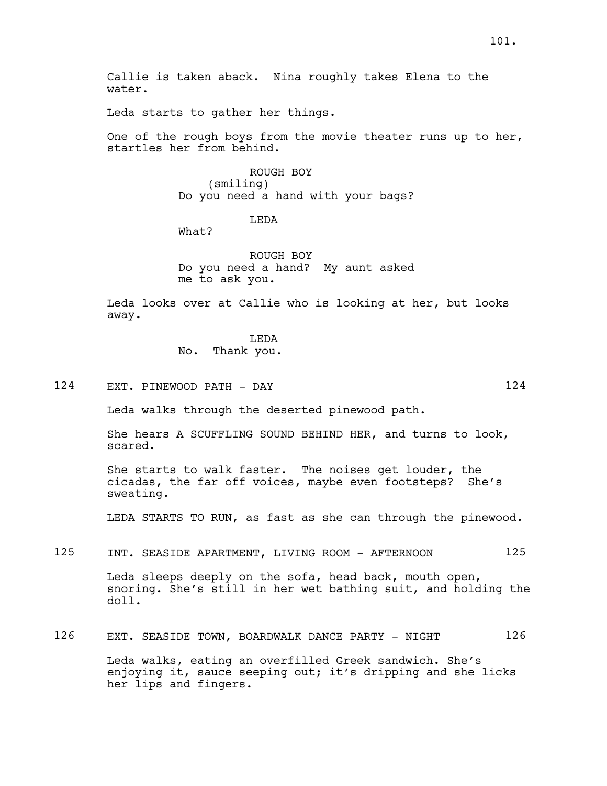Leda starts to gather her things.

One of the rough boys from the movie theater runs up to her, startles her from behind.

> ROUGH BOY (smiling) Do you need a hand with your bags?

#### LEDA

What?

ROUGH BOY Do you need a hand? My aunt asked me to ask you.

Leda looks over at Callie who is looking at her, but looks away.

#### LEDA

No. Thank you.

124 EXT. PINEWOOD PATH - DAY 124

Leda walks through the deserted pinewood path.

She hears A SCUFFLING SOUND BEHIND HER, and turns to look, scared.

She starts to walk faster. The noises get louder, the cicadas, the far off voices, maybe even footsteps? She's sweating.

LEDA STARTS TO RUN, as fast as she can through the pinewood.

## 125 INT. SEASIDE APARTMENT, LIVING ROOM - AFTERNOON 125

Leda sleeps deeply on the sofa, head back, mouth open, snoring. She's still in her wet bathing suit, and holding the doll.

## 126 EXT. SEASIDE TOWN, BOARDWALK DANCE PARTY - NIGHT 126

Leda walks, eating an overfilled Greek sandwich. She's enjoying it, sauce seeping out; it's dripping and she licks her lips and fingers.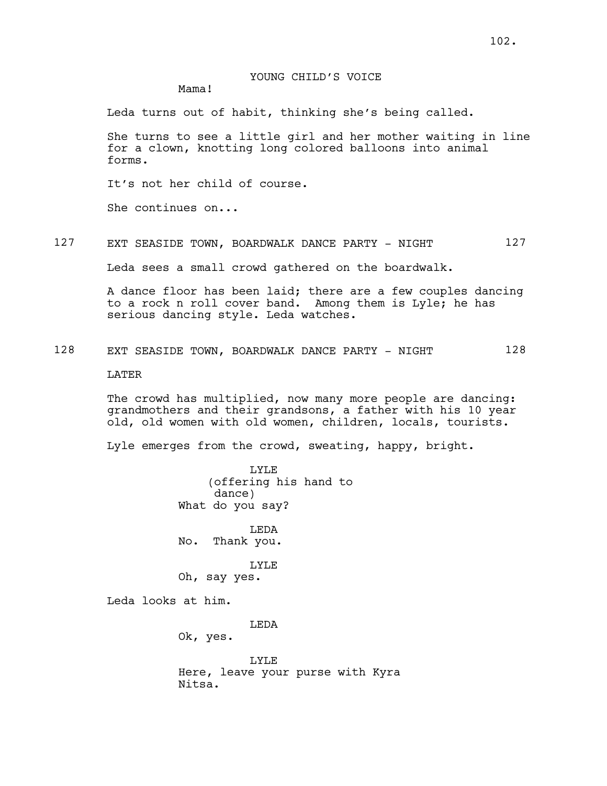## YOUNG CHILD'S VOICE

Mama!

Leda turns out of habit, thinking she's being called.

She turns to see a little girl and her mother waiting in line for a clown, knotting long colored balloons into animal forms.

It's not her child of course.

She continues on...

127 EXT SEASIDE TOWN, BOARDWALK DANCE PARTY - NIGHT 127

Leda sees a small crowd gathered on the boardwalk.

A dance floor has been laid; there are a few couples dancing to a rock n roll cover band. Among them is Lyle; he has serious dancing style. Leda watches.

128 EXT SEASIDE TOWN, BOARDWALK DANCE PARTY - NIGHT 128

LATER

The crowd has multiplied, now many more people are dancing: grandmothers and their grandsons, a father with his 10 year old, old women with old women, children, locals, tourists.

Lyle emerges from the crowd, sweating, happy, bright.

LYLE (offering his hand to dance) What do you say?

LEDA No. Thank you.

LYLE Oh, say yes.

Leda looks at him.

LEDA

Ok, yes.

LYLE Here, leave your purse with Kyra Nitsa.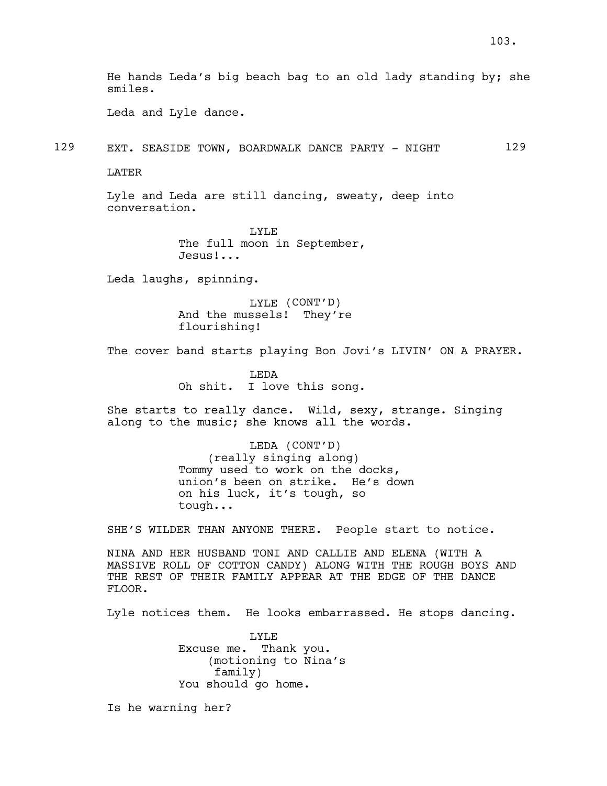He hands Leda's big beach bag to an old lady standing by; she smiles.

Leda and Lyle dance.

129 EXT. SEASIDE TOWN, BOARDWALK DANCE PARTY - NIGHT 129

LATER

Lyle and Leda are still dancing, sweaty, deep into conversation.

> LYLE The full moon in September, Jesus!...

Leda laughs, spinning.

LYLE (CONT'D) And the mussels! They're flourishing!

The cover band starts playing Bon Jovi's LIVIN' ON A PRAYER.

LEDA Oh shit. I love this song.

She starts to really dance. Wild, sexy, strange. Singing along to the music; she knows all the words.

> LEDA (CONT'D) (really singing along) Tommy used to work on the docks, union's been on strike. He's down on his luck, it's tough, so tough...

SHE'S WILDER THAN ANYONE THERE. People start to notice.

NINA AND HER HUSBAND TONI AND CALLIE AND ELENA (WITH A MASSIVE ROLL OF COTTON CANDY) ALONG WITH THE ROUGH BOYS AND THE REST OF THEIR FAMILY APPEAR AT THE EDGE OF THE DANCE FLOOR.

Lyle notices them. He looks embarrassed. He stops dancing.

LYLE Excuse me. Thank you. (motioning to Nina's family) You should go home.

Is he warning her?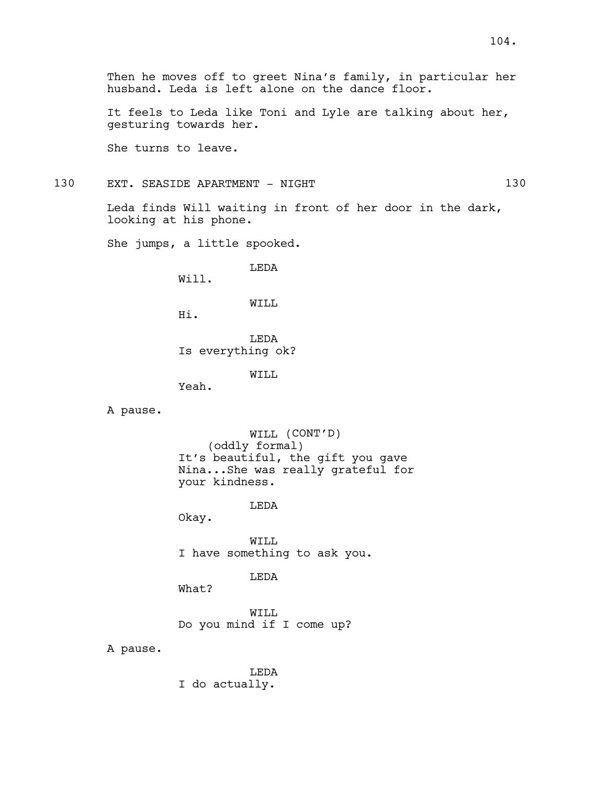Then he moves off to greet Nina's family, in particular her husband. Leda is left alone on the dance floor.

It feels to Leda like Toni and Lyle are talking about her, gesturing towards her.

She turns to leave.

130 EXT. SEASIDE APARTMENT - NIGHT 130

Leda finds Will waiting in front of her door in the dark, looking at his phone.

She jumps, a little spooked.

LEDA

Will.

WILL

Hi.

LEDA Is everything ok?

WILL

Yeah.

A pause.

WILL (CONT'D) (oddly formal) It's beautiful, the gift you gave Nina...She was really grateful for your kindness.

LEDA

Okay.

WILL I have something to ask you.

LEDA

What?

WILL Do you mind if I come up?

A pause.

LEDA I do actually.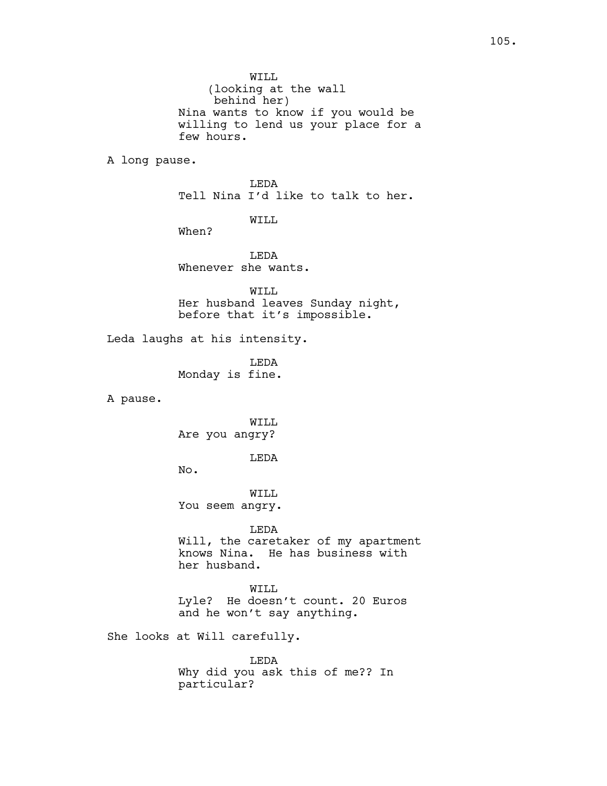WILL (looking at the wall behind her) Nina wants to know if you would be willing to lend us your place for a few hours.

A long pause.

LEDA Tell Nina I'd like to talk to her.

WILL

When?

LEDA Whenever she wants.

WILL Her husband leaves Sunday night, before that it's impossible.

Leda laughs at his intensity.

LEDA Monday is fine.

A pause.

WILL Are you angry?

LEDA

No.

WILL You seem angry.

LEDA Will, the caretaker of my apartment knows Nina. He has business with her husband.

WILL Lyle? He doesn't count. 20 Euros and he won't say anything.

She looks at Will carefully.

LEDA Why did you ask this of me?? In particular?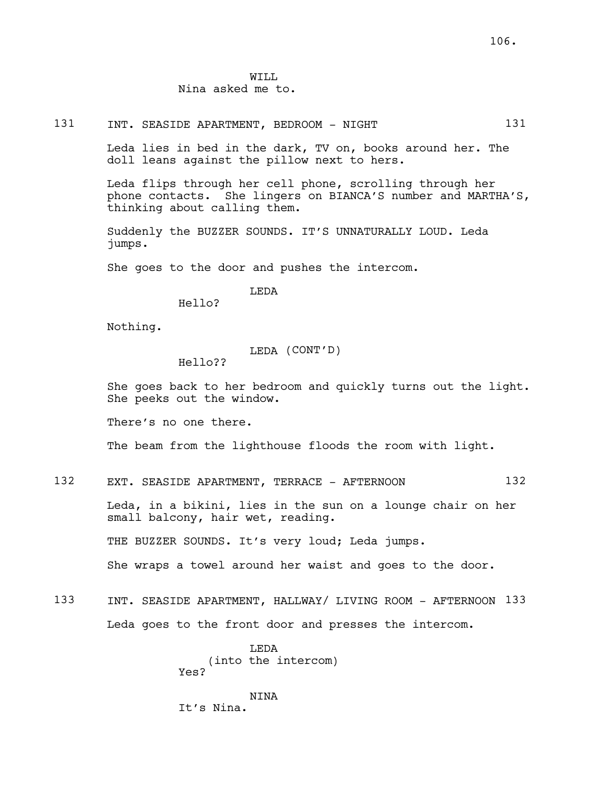#### WTT.T. Nina asked me to.

# 131 INT. SEASIDE APARTMENT, BEDROOM - NIGHT 131

Leda lies in bed in the dark, TV on, books around her. The doll leans against the pillow next to hers.

Leda flips through her cell phone, scrolling through her phone contacts. She lingers on BIANCA'S number and MARTHA'S, thinking about calling them.

Suddenly the BUZZER SOUNDS. IT'S UNNATURALLY LOUD. Leda jumps.

She goes to the door and pushes the intercom.

LEDA

Hello?

Nothing.

LEDA (CONT'D)

Hello??

She goes back to her bedroom and quickly turns out the light. She peeks out the window.

There's no one there.

The beam from the lighthouse floods the room with light.

132 EXT. SEASIDE APARTMENT, TERRACE - AFTERNOON 132

Leda, in a bikini, lies in the sun on a lounge chair on her small balcony, hair wet, reading.

THE BUZZER SOUNDS. It's very loud; Leda jumps.

She wraps a towel around her waist and goes to the door.

133 INT. SEASIDE APARTMENT, HALLWAY/ LIVING ROOM - AFTERNOON 133 Leda goes to the front door and presses the intercom.

> **T.EDA** (into the intercom) Yes?

NINA It's Nina.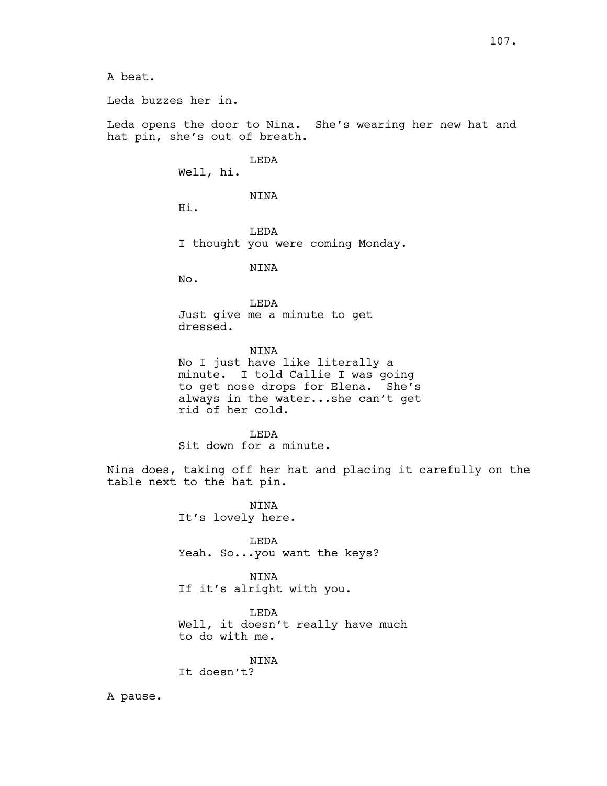A beat.

Leda buzzes her in.

Leda opens the door to Nina. She's wearing her new hat and hat pin, she's out of breath.

LEDA

Well, hi.

NINA

Hi.

LEDA I thought you were coming Monday.

NINA

No.

LEDA Just give me a minute to get dressed.

NINA No I just have like literally a minute. I told Callie I was going to get nose drops for Elena. She's always in the water...she can't get rid of her cold.

**T.EDA** Sit down for a minute.

Nina does, taking off her hat and placing it carefully on the table next to the hat pin.

> NINA It's lovely here. LEDA Yeah. So...you want the keys? NINA If it's alright with you. LEDA Well, it doesn't really have much to do with me. NINA It doesn't?

A pause.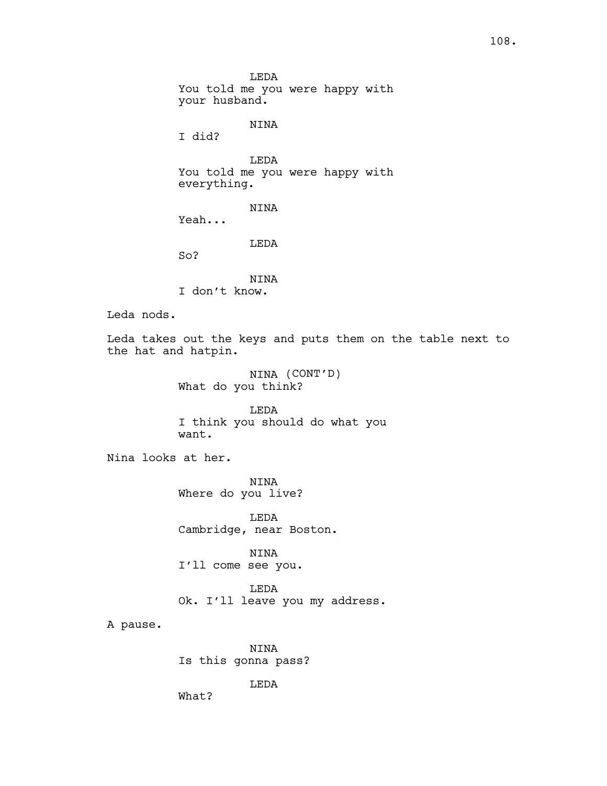LEDA You told me you were happy with your husband. NINA I did? LEDA You told me you were happy with everything. NINA Yeah... LEDA So? NINA I don't know. Leda nods. Leda takes out the keys and puts them on the table next to the hat and hatpin. NINA (CONT'D) What do you think? LEDA I think you should do what you want. Nina looks at her. NINA Where do you live? LEDA Cambridge, near Boston. NINA I'll come see you. LEDA Ok. I'll leave you my address. A pause. NINA Is this gonna pass? LEDA

What?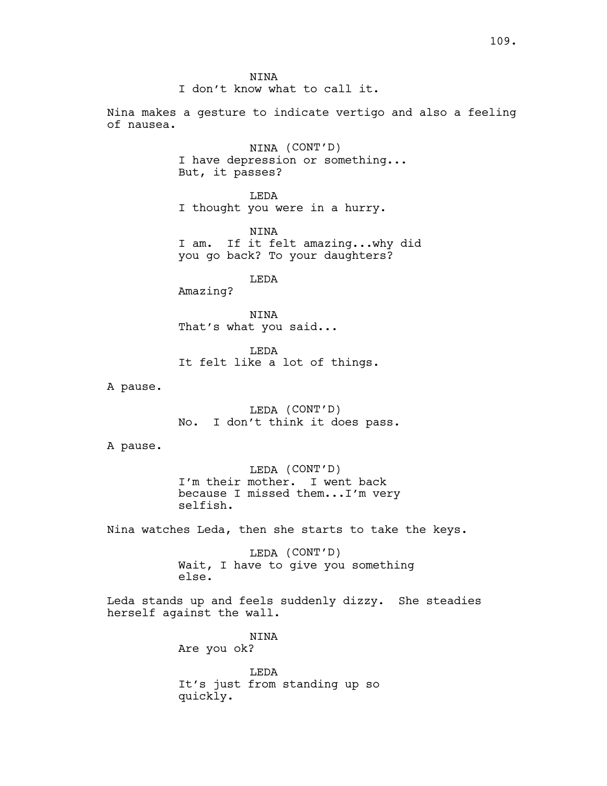**NTNA** I don't know what to call it.

Nina makes a gesture to indicate vertigo and also a feeling of nausea.

> NINA (CONT'D) I have depression or something... But, it passes?

LEDA I thought you were in a hurry.

NINA I am. If it felt amazing...why did you go back? To your daughters?

LEDA

Amazing?

NINA That's what you said...

LEDA It felt like a lot of things.

A pause.

LEDA (CONT'D) No. I don't think it does pass.

A pause.

LEDA (CONT'D) I'm their mother. I went back because I missed them...I'm very selfish.

Nina watches Leda, then she starts to take the keys.

LEDA (CONT'D) Wait, I have to give you something else.

Leda stands up and feels suddenly dizzy. She steadies herself against the wall.

> NINA Are you ok?

LEDA It's just from standing up so quickly.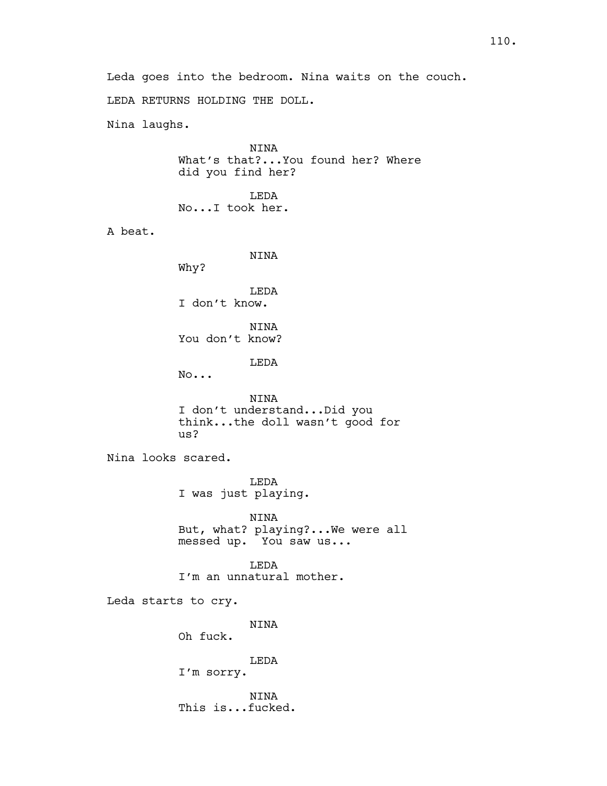Leda goes into the bedroom. Nina waits on the couch. LEDA RETURNS HOLDING THE DOLL. Nina laughs. NINA What's that?...You found her? Where did you find her? LEDA No...I took her. A beat. NINA Why? LEDA I don't know. NINA You don't know? LEDA No... NINA I don't understand...Did you think...the doll wasn't good for us? Nina looks scared. LEDA I was just playing. NINA But, what? playing?...We were all messed up. You saw us... LEDA I'm an unnatural mother. Leda starts to cry. NINA Oh fuck. LEDA I'm sorry. NINA This is...fucked.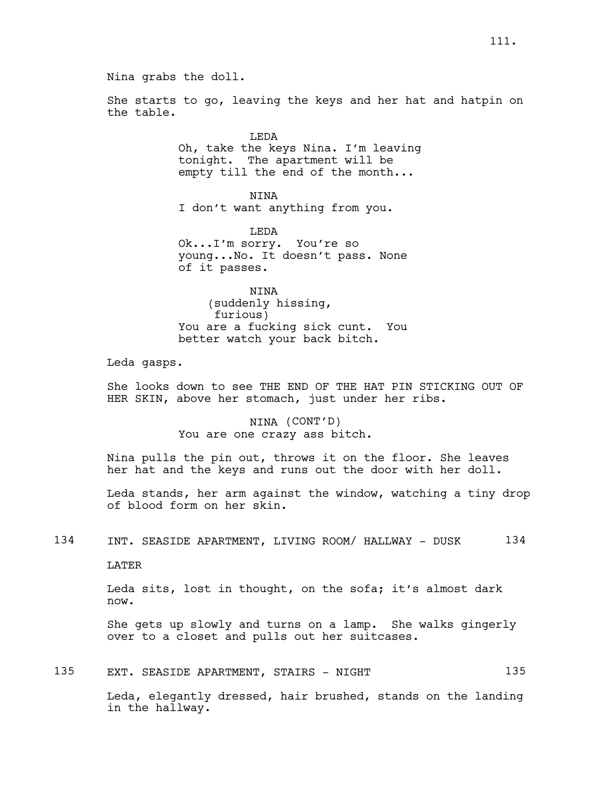Nina grabs the doll.

She starts to go, leaving the keys and her hat and hatpin on the table.

> LEDA Oh, take the keys Nina. I'm leaving tonight. The apartment will be empty till the end of the month...

NINA I don't want anything from you.

LEDA Ok...I'm sorry. You're so young...No. It doesn't pass. None of it passes.

NINA (suddenly hissing, furious) You are a fucking sick cunt. You better watch your back bitch.

Leda gasps.

She looks down to see THE END OF THE HAT PIN STICKING OUT OF HER SKIN, above her stomach, just under her ribs.

> NINA (CONT'D) You are one crazy ass bitch.

Nina pulls the pin out, throws it on the floor. She leaves her hat and the keys and runs out the door with her doll.

Leda stands, her arm against the window, watching a tiny drop of blood form on her skin.

134 INT. SEASIDE APARTMENT, LIVING ROOM/ HALLWAY - DUSK 134

LATER

Leda sits, lost in thought, on the sofa; it's almost dark now.

She gets up slowly and turns on a lamp. She walks gingerly over to a closet and pulls out her suitcases.

135 EXT. SEASIDE APARTMENT, STAIRS - NIGHT

Leda, elegantly dressed, hair brushed, stands on the landing in the hallway.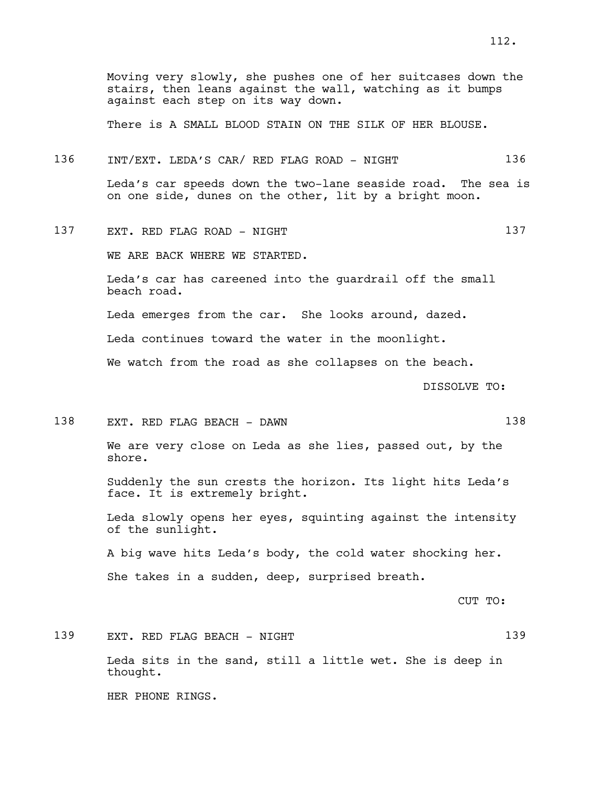Moving very slowly, she pushes one of her suitcases down the stairs, then leans against the wall, watching as it bumps against each step on its way down.

There is A SMALL BLOOD STAIN ON THE SILK OF HER BLOUSE.

## 136 INT/EXT. LEDA'S CAR/ RED FLAG ROAD - NIGHT 136

Leda's car speeds down the two-lane seaside road. The sea is on one side, dunes on the other, lit by a bright moon.

137 EXT. RED FLAG ROAD - NIGHT 137

WE ARE BACK WHERE WE STARTED.

Leda's car has careened into the guardrail off the small beach road.

Leda emerges from the car. She looks around, dazed.

Leda continues toward the water in the moonlight.

We watch from the road as she collapses on the beach.

DISSOLVE TO:

## 138 EXT. RED FLAG BEACH - DAWN 138

We are very close on Leda as she lies, passed out, by the shore.

Suddenly the sun crests the horizon. Its light hits Leda's face. It is extremely bright.

Leda slowly opens her eyes, squinting against the intensity of the sunlight.

A big wave hits Leda's body, the cold water shocking her. She takes in a sudden, deep, surprised breath.

CUT TO:

139 EXT. RED FLAG BEACH - NIGHT 139 Leda sits in the sand, still a little wet. She is deep in thought.

HER PHONE RINGS.